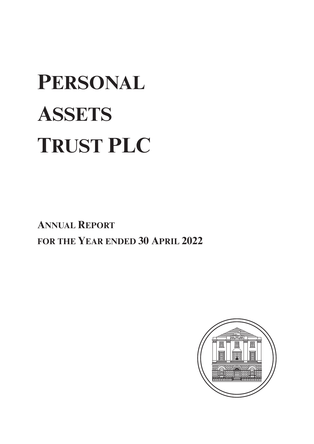# **PERSONAL ASSETS TRUST PLC**

**ANNUAL REPORT FOR THE YEAR ENDED 30 APRIL 2022**

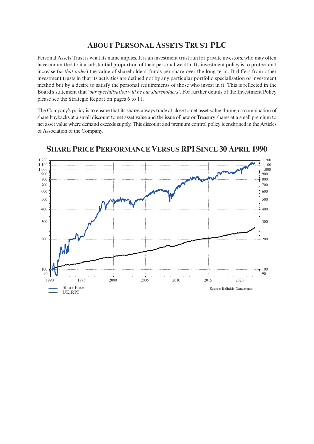# **ABOUT PERSONAL ASSETS TRUST PLC**

Personal Assets Trust is what its name implies. It is an investment trust run for private investors, who may often have committed to it a substantial proportion of their personal wealth. Its investment policy is to protect and increase (*in that order*) the value of shareholders' funds per share over the long term. It differs from other investment trusts in that its activities are defined not by any particular portfolio specialisation or investment method but by a desire to satisfy the personal requirements of those who invest in it. This is reflected in the Board's statement that *'our specialisation will be our shareholders'*. For further details of the Investment Policy please see the Strategic Report on pages 6 to 11.

The Company's policy is to ensure that its shares always trade at close to net asset value through a combination of share buybacks at a small discount to net asset value and the issue of new or Treasury shares at a small premium to net asset value where demand exceeds supply. This discount and premium control policy is enshrined in the Articles of Association of the Company.



**SHARE PRICE PERFORMANCE VERSUS RPI SINCE 30 APRIL 1990**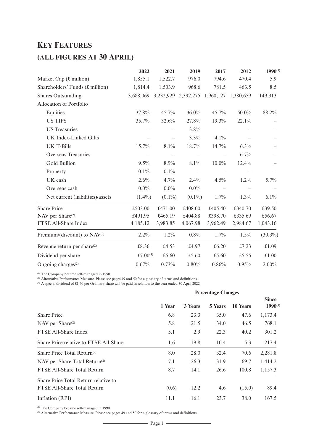# **KEY FEATURES**

# **(ALL FIGURES AT 30 APRIL)**

|                                          | 2022        | 2021      | 2019      | 2017      | 2012      | $1990^{(1)}$ |
|------------------------------------------|-------------|-----------|-----------|-----------|-----------|--------------|
| Market Cap $(f.$ million)                | 1,855.1     | 1,522.7   | 976.0     | 794.6     | 470.4     | 5.9          |
| Shareholders' Funds $(f.$ million)       | 1,814.4     | 1,503.9   | 968.6     | 781.5     | 463.5     | 8.5          |
| <b>Shares Outstanding</b>                | 3,688,069   | 3,232,929 | 2,392,275 | 1,960,127 | 1,380,659 | 149,313      |
| Allocation of Portfolio                  |             |           |           |           |           |              |
| Equities                                 | 37.8%       | 45.7%     | $36.0\%$  | 45.7%     | 50.0%     | 88.2%        |
| <b>US TIPS</b>                           | 35.7%       | 32.6%     | 27.8%     | 19.3%     | 22.1%     |              |
| <b>US</b> Treasuries                     |             |           | 3.8%      |           |           |              |
| <b>UK Index-Linked Gilts</b>             |             |           | 3.3%      | 4.1%      |           |              |
| <b>UK T-Bills</b>                        | 15.7%       | 8.1%      | 18.7%     | 14.7%     | 6.3%      |              |
| <b>Overseas Treasuries</b>               |             |           |           |           | 6.7%      |              |
| Gold Bullion                             | 9.5%        | 8.9%      | 8.1%      | $10.0\%$  | 12.4%     |              |
| Property                                 | 0.1%        | 0.1%      |           |           |           |              |
| UK cash                                  | 2.6%        | 4.7%      | $2.4\%$   | 4.5%      | 1.2%      | 5.7%         |
| Overseas cash                            | $0.0\%$     | $0.0\%$   | $0.0\%$   |           |           |              |
| Net current (liabilities)/assets         | $(1.4\%)$   | $(0.1\%)$ | $(0.1\%)$ | 1.7%      | 1.3%      | 6.1%         |
| <b>Share Price</b>                       | £503.00     | £471.00   | £408.00   | £405.40   | £340.70   | £39.50       |
| NAV per Share <sup>(2)</sup>             | £491.95     | £465.19   | £404.88   | £398.70   | £335.69   | £56.67       |
| FTSE All-Share Index                     | 4,185.12    | 3,983.85  | 4,067.98  | 3,962.49  | 2,984.67  | 1,043.16     |
| Premium/(discount) to NAV <sup>(2)</sup> | 2.2%        | $1.2\%$   | 0.8%      | 1.7%      | $1.5\%$   | $(30.3\%)$   |
| Revenue return per share <sup>(2)</sup>  | £8.36       | £4.53     | £4.97     | £6.20     | £7.23     | £1.09        |
| Dividend per share                       | £7.00 $(3)$ | £5.60     | £5.60     | £5.60     | £5.55     | £1.00        |
| Ongoing charges <sup>(2)</sup>           | 0.67%       | 0.73%     | 0.80%     | 0.86%     | 0.95%     | $2.00\%$     |

(1) The Company became self-managed in 1990.

(2) Alternative Performance Measure. Please see pages 49 and 50 for a glossary of terms and definitions.

(3) A special dividend of £1.40 per Ordinary share will be paid in relation to the year ended 30 April 2022.

|                                           | <b>Percentage Changes</b> |         |         |          |                              |  |  |
|-------------------------------------------|---------------------------|---------|---------|----------|------------------------------|--|--|
|                                           | 1 Year                    | 3 Years | 5 Years | 10 Years | <b>Since</b><br>$1990^{(1)}$ |  |  |
| <b>Share Price</b>                        | 6.8                       | 23.3    | 35.0    | 47.6     | 1,173.4                      |  |  |
| NAV per Share <sup>(2)</sup>              | 5.8                       | 21.5    | 34.0    | 46.5     | 768.1                        |  |  |
| FTSE All-Share Index                      | 5.1                       | 2.9     | 22.3    | 40.2     | 301.2                        |  |  |
| Share Price relative to FTSE All-Share    | 1.6                       | 19.8    | 10.4    | 5.3      | 217.4                        |  |  |
| Share Price Total Return $(2)$            | 8.0                       | 28.0    | 32.4    | 70.6     | 2,281.8                      |  |  |
| NAV per Share Total Return <sup>(2)</sup> | 7.1                       | 26.3    | 31.9    | 69.7     | 1,414.2                      |  |  |
| FTSE All-Share Total Return               | 8.7                       | 14.1    | 26.6    | 100.8    | 1,157.3                      |  |  |
| Share Price Total Return relative to      |                           |         |         |          |                              |  |  |
| FTSE All-Share Total Return               | (0.6)                     | 12.2    | 4.6     | (15.0)   | 89.4                         |  |  |
| Inflation (RPI)                           | 11.1                      | 16.1    | 23.7    | 38.0     | 167.5                        |  |  |

(1) The Company became self-managed in 1990.

(2) Alternative Performance Measure. Please see pages 49 and 50 for a glossary of terms and definitions.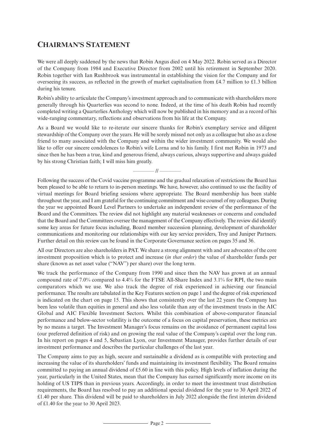# **CHAIRMAN'S STATEMENT**

We were all deeply saddened by the news that Robin Angus died on 4 May 2022. Robin served as a Director of the Company from 1984 and Executive Director from 2002 until his retirement in September 2020. Robin together with Ian Rushbrook was instrumental in establishing the vision for the Company and for overseeing its success, as reflected in the growth of market capitalisation from £4.7 million to £1.3 billion during his tenure.

Robin's ability to articulate the Company's investment approach and to communicate with shareholders more generally through his Quarterlies was second to none. Indeed, at the time of his death Robin had recently completed writing a Quarterlies Anthology which will now be published in his memory and as a record of his wide-ranging commentary, reflections and observations from his life at the Company.

As a Board we would like to re-iterate our sincere thanks for Robin's exemplary service and diligent stewardship of the Company over the years. He will be sorely missed not only as a colleague but also as a close friend to many associated with the Company and within the wider investment community. We would also like to offer our sincere condolences to Robin's wife Lorna and to his family. I first met Robin in 1973 and since then he has been a true, kind and generous friend, always curious, always supportive and always guided by his strong Christian faith; I will miss him greatly.

 $-$  //  $-$ 

Following the success of the Covid vaccine programme and the gradual relaxation ofrestrictions the Board has been pleased to be able to return to in-person meetings. We have, however, also continued to use the facility of virtual meetings for Board briefing sessions where appropriate. The Board membership has been stable throughout the year, and I am grateful forthe continuing commitment and wise counsel of my colleagues. During the year we appointed Board Level Partners to undertake an independent review of the performance of the Board and the Committees. The review did not highlight any material weaknesses or concerns and concluded that the Board and the Committees oversee the management ofthe Company effectively. The review did identify some key areas for future focus including, Board member succession planning, development of shareholder communications and monitoring our relationships with our key service providers, Troy and Juniper Partners. Further detail on this review can be found in the Corporate Governance section on pages 35 and 36.

All our Directors are also shareholders in PAT. We share a strong alignment with and are advocates of the core investment proposition which is to protect and increase (*in that order*) the value of shareholder funds per share (known as net asset value ("NAV") per share) over the long term.

We track the performance of the Company from 1990 and since then the NAV has grown at an annual compound rate of 7.0% compared to 4.4% for the FTSE All-Share Index and 3.1% for RPI, the two main comparators which we use. We also track the degree of risk experienced in achieving our financial performance. The results are tabulated in the Key Features section on page 1 and the degree ofrisk experienced is indicated on the chart on page 15. This shows that consistently over the last 22 years the Company has been less volatile than equities in general and also less volatile than any of the investment trusts in the AIC Global and AIC Flexible Investment Sectors. Whilst this combination of above-comparator financial performance and below-sector volatility is the outcome of a focus on capital preservation, these metrics are by no means a target. The Investment Manager's focus remains on the avoidance of permanent capital loss (our preferred definition of risk) and on growing the real value of the Company's capital over the long run. In his report on pages 4 and 5, Sebastian Lyon, our Investment Manager, provides further details of our investment performance and describes the particular challenges of the last year.

The Company aims to pay as high, secure and sustainable a dividend as is compatible with protecting and increasing the value of its shareholders' funds and maintaining its investment flexibility. The Board remains committed to paying an annual dividend of £5.60 in line with this policy. High levels of inflation during the year, particularly in the United States, mean that the Company has earned significantly more income on its holding of US TIPS than in previous years. Accordingly, in order to meet the investment trust distribution requirements, the Board has resolved to pay an additional special dividend for the year to 30 April 2022 of £1.40 per share. This dividend will be paid to shareholders in July 2022 alongside the first interim dividend of £1.40 for the year to 30 April 2023.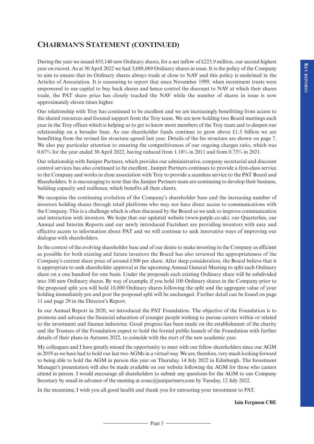# **CHAIRMAN'S STATEMENT (CONTINUED)**

During the year we issued 455,140 new Ordinary shares, for a net inflow of £223.9 million, our second highest year on record. As at 30 April 2022 we had 3,688,069 Ordinary shares in issue. It is the policy of the Company to aim to ensure that its Ordinary shares always trade at close to NAV and this policy is enshrined in the Articles of Association. It is reassuring to report that since November 1999, when investment trusts were empowered to use capital to buy back shares and hence control the discount to NAV at which their shares trade, the PAT share price has closely tracked the NAV while the number of shares in issue is now approximately eleven times higher.

Our relationship with Troy has continued to be excellent and we are increasingly benefitting from access to the shared resources and focused support from the Troy team. We are now holding two Board meetings each year in the Troy offices which is helping us to get to know more members of the Troy team and to deepen our relationship on a broader base. As our shareholder funds continue to grow above £1.5 billion we are benefitting from the revised fee structure agreed last year. Details of the fee structure are shown on page 7. We also pay particular attention to ensuring the competitiveness of our ongoing charges ratio, which was 0.67% for the year ended 30 April 2022, having reduced from 1.18% in 2011 and from 0.73% in 2021.

Our relationship with Juniper Partners, which provides our administrative, company secretarial and discount control services has also continued to be excellent. Juniper Partners continues to provide a first-class service to the Company and works in close association with Troy to provide a seamless service to the PAT Board and Shareholders. It is encouraging to note that the Juniper Partners team are continuing to develop their business, building capacity and resilience, which benefits all their clients.

We recognise the continuing evolution of the Company's shareholder base and the increasing number of investors holding shares through retail platforms who may not have direct access to communications with the Company. This is a challenge which is often discussed by the Board as we seek to improve communication and interaction with investors. We hope that our updated website (www.patplc.co.uk), our Quarterlies, our Annual and Interim Reports and our newly introduced Factsheet are providing investors with easy and effective access to information about PAT and we will continue to seek innovative ways of improving our dialogue with shareholders.

In the context of the evolving shareholder base and of our desire to make investing in the Company as efficient as possible for both existing and future investors the Board has also reviewed the appropriateness of the Company's current share price of around £500 per share. After deep consideration, the Board believe that it is appropriate to seek shareholder approval at the upcoming Annual General Meeting to split each Ordinary share on a one hundred for one basis. Under the proposals each existing Ordinary share will be subdivided into 100 new Ordinary shares. By way of example, if you hold 100 Ordinary shares in the Company prior to the proposed split you will hold 10,000 Ordinary shares following the split and the aggregate value of your holding immediately pre and post the proposed split will be unchanged. Further detail can be found on page 11 and page 29 in the Director's Report.

In our Annual Report in 2020, we introduced the PAT Foundation. The objective of the Foundation is to promote and advance the financial education of younger people wishing to pursue careers within or related to the investment and finance industries. Good progress has been made on the establishment of the charity and the Trustees of the Foundation expect to hold the formal public launch of the Foundation with further details of their plans in Autumn 2022, to coincide with the start of the new academic year.

My colleagues and I have greatly missed the opportunity to meet with our fellow shareholders since our AGM in 2019 as we have had to hold our last two AGMs in a virtual way. We are, therefore, very much looking forward to being able to hold the AGM in person this year on Thursday, 14 July 2022 in Edinburgh. The Investment Manager's presentation will also be made available on our website following the AGM for those who cannot attend in person. I would encourage all shareholders to submit any questions for the AGM to our Company Secretary by email in advance of the meeting at cosec@junipartners.com by Tuesday, 12 July 2022.

In the meantime, I wish you all good health and thank you for entrusting your investment to PAT.

**Iain Ferguson CBE**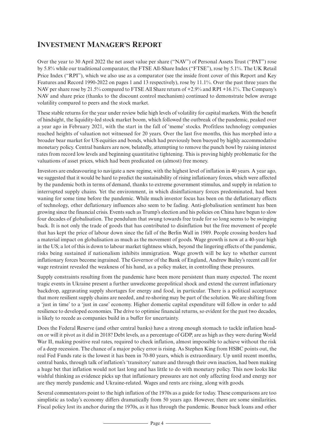# **INVESTMENT MANAGER'S REPORT**

Over the year to 30 April 2022 the net asset value per share ("NAV") of Personal Assets Trust ("PAT") rose by 5.8% while our traditional comparator, the FTSE All-Share Index ("FTSE"), rose by 5.1%. The UK Retail Price Index ("RPI"), which we also use as a comparator (see the inside front cover of this Report and Key Features and Record 1990-2022 on pages 1 and 13 respectively), rose by 11.1%. Over the past three years the NAV per share rose by 21.5% compared to FTSE All Share return of +2.9% and RPI +16.1%. The Company's NAV and share price (thanks to the discount control mechanism) continued to demonstrate below average volatility compared to peers and the stock market.

These stable returns for the year under review belie high levels of volatility for capital markets. With the benefit of hindsight, the liquidity-led stock market boom, which followed the outbreak of the pandemic, peaked over a year ago in February 2021, with the start in the fall of 'meme' stocks. Profitless technology companies reached heights of valuation not witnessed for 20 years. Over the last five months, this has morphed into a broader bear market for US equities and bonds, which had previously been buoyed by highly accommodative monetary policy. Central bankers are now, belatedly, attempting to remove the punch bowl by raising interest rates from record low levels and beginning quantitative tightening. This is proving highly problematic for the valuations of asset prices, which had been predicated on (almost) free money.

Investors are endeavouring to navigate a new regime, with the highest level of inflation in 40 years. A year ago, we suggested that it would be hard to predict the sustainability ofrising inflationary forces, which were affected by the pandemic both in terms of demand, thanks to extreme government stimulus, and supply in relation to interrupted supply chains. Yet the environment, in which disinflationary forces predominated, had been waning for some time before the pandemic. While much investor focus has been on the deflationary effects of technology, other deflationary influences also seem to be fading. Anti-globalisation sentiment has been growing since the financial crisis. Events such as Trump's election and his policies on China have begun to slow four decades of globalisation. The pendulum that swung towards free trade for so long seems to be swinging back. It is not only the trade of goods that has contributed to disinflation but the free movement of people that has kept the price of labour down since the fall of the Berlin Wall in 1989. People crossing borders had a material impact on globalisation as much as the movement of goods. Wage growth is now at a 40-year high in the US; a lot of this is down to labour market tightness which, beyond the lingering effects of the pandemic, risks being sustained if nationalism inhibits immigration. Wage growth will be key to whether current inflationary forces become ingrained. The Governor of the Bank of England, Andrew Bailey's recent call for wage restraint revealed the weakness of his hand, as a policy maker, in controlling these pressures.

Supply constraints resulting from the pandemic have been more persistent than many expected. The recent tragic events in Ukraine present a further unwelcome geopolitical shock and extend the current inflationary backdrop, aggravating supply shortages for energy and food, in particular. There is a political acceptance that more resilient supply chains are needed, and re-shoring may be part of the solution. We are shifting from a 'just in time' to a 'just in case' economy. Higher domestic capital expenditure will follow in order to add resilience to developed economies. The drive to optimise financial returns, so evident for the past two decades, is likely to recede as companies build in a buffer for uncertainty.

Does the Federal Reserve (and other central banks) have a strong enough stomach to tackle inflation headon or will it pivot as it did in 2018? Debt levels, as a percentage of GDP, are as high as they were during World War II, making positive real rates, required to check inflation, almost impossible to achieve without the risk of a deep recession. The chance of a major policy error is rising. As Stephen King from HSBC points out, the real Fed Funds rate is the lowest it has been in 70-80 years, which is extraordinary. Up until recent months, central banks, through talk of inflation's 'transitory' nature and through their own inaction, had been making a huge bet that inflation would not last long and has little to do with monetary policy. This now looks like wishful thinking as evidence picks up that inflationary pressures are not only affecting food and energy nor are they merely pandemic and Ukraine-related. Wages and rents are rising, along with goods.

Several commentators point to the high inflation of the 1970s as a guide for today. These comparisons are too simplistic as today's economy differs dramatically from 50 years ago. However, there are some similarities. Fiscal policy lost its anchor during the 1970s, as it has through the pandemic. Bounce back loans and other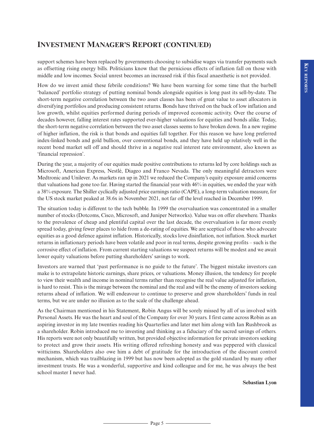# **INVESTMENT MANAGER'S REPORT (CONTINUED)**

support schemes have been replaced by governments choosing to subsidise wages via transfer payments such as offsetting rising energy bills. Politicians know that the pernicious effects of inflation fall on those with middle and low incomes. Social unrest becomes an increased risk if this fiscal anaesthetic is not provided.

How do we invest amid these febrile conditions? We have been warning for some time that the barbell 'balanced' portfolio strategy of putting nominal bonds alongside equities is long past its sell-by-date. The short-term negative correlation between the two asset classes has been of great value to asset allocators in diversifying portfolios and producing consistent returns. Bonds have thrived on the back of low inflation and low growth, whilst equities performed during periods of improved economic activity. Over the course of decades however, falling interest rates supported ever-higher valuations for equities and bonds alike. Today, the short-term negative correlation between the two asset classes seems to have broken down. In a new regime of higher inflation, the risk is that bonds and equities fall together. For this reason we have long preferred index-linked bonds and gold bullion, over conventional bonds, and they have held up relatively well in the recent bond market sell off and should thrive in a negative real interest rate environment, also known as 'financial repression'.

During the year, a majority of our equities made positive contributions to returns led by core holdings such as Microsoft, American Express, Nestlé, Diageo and Franco Nevada. The only meaningful detractors were Medtronic and Unilever. As markets ran up in 2021 we reduced the Company's equity exposure amid concerns that valuations had gone too far. Having started the financial year with 46% in equities, we ended the year with a 38% exposure. The Shiller cyclically adjusted price earnings ratio (CAPE), a long-term valuation measure, for the US stock market peaked at 38.6x in November 2021, not far off the level reached in December 1999.

The situation today is different to the tech bubble. In 1999 the overvaluation was concentrated in a smaller number ofstocks (Dotcoms, Cisco, Microsoft, and Juniper Networks). Value was on offer elsewhere. Thanks to the prevalence of cheap and plentiful capital over the last decade, the overvaluation is far more evenly spread today, giving fewer places to hide from a de-rating of equities. We are sceptical of those who advocate equities as a good defence against inflation. Historically, stocks love disinflation, not inflation. Stock market returns in inflationary periods have been volatile and poor in real terms, despite growing profits – such is the corrosive effect of inflation. From current starting valuations we suspect returns will be modest and we await lower equity valuations before putting shareholders' savings to work.

Investors are warned that 'past performance is no guide to the future'. The biggest mistake investors can make is to extrapolate historic earnings, share prices, or valuations. Money illusion, the tendency for people to view their wealth and income in nominal terms rather than recognise the real value adjusted for inflation, is hard to resist. This is the mirage between the nominal and the real and will be the enemy of investors seeking returns ahead of inflation. We will endeavour to continue to preserve and grow shareholders' funds in real terms, but we are under no illusion as to the scale of the challenge ahead.

As the Chairman mentioned in his Statement, Robin Angus will be sorely missed by all of us involved with Personal Assets. He was the heart and soul of the Company for over 30 years. I first came across Robin as an aspiring investor in my late twenties reading his Quarterlies and later met him along with Ian Rushbrook as a shareholder. Robin introduced me to investing and thinking as a fiduciary of the sacred savings of others. His reports were not only beautifully written, but provided objective information for private investors seeking to protect and grow their assets. His writing offered refreshing honesty and was peppered with classical witticisms. Shareholders also owe him a debt of gratitude for the introduction of the discount control mechanism, which was trailblazing in 1999 but has now been adopted as the gold standard by many other investment trusts. He was a wonderful, supportive and kind colleague and for me, he was always the best school master I never had.

**Sebastian Lyon**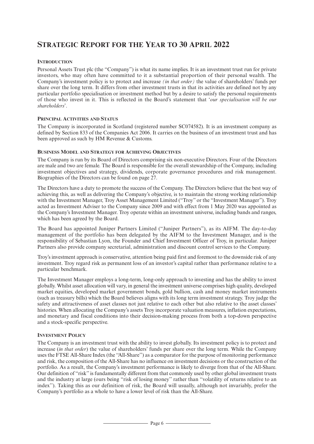# **STRATEGIC REPORT FOR THE YEAR TO 30 APRIL 2022**

# **INTRODUCTION**

Personal Assets Trust plc (the "Company") is what its name implies. It is an investment trust run for private investors, who may often have committed to it a substantial proportion of their personal wealth. The Company's investment policy is to protect and increase *(in that order)* the value of shareholders' funds per share over the long term. It differs from other investment trusts in that its activities are defined not by any particular portfolio specialisation or investment method but by a desire to satisfy the personal requirements of those who invest in it. This is reflected in the Board's statement that '*our specialisation will be our shareholders*'.

# **PRINCIPAL ACTIVITIES AND STATUS**

The Company is incorporated in Scotland (registered number SC074582). It is an investment company as defined by Section 833 of the Companies Act 2006. It carries on the business of an investment trust and has been approved as such by HM Revenue & Customs.

### **BUSINESS MODEL AND STRATEGY FOR ACHIEVING OBJECTIVES**

The Company is run by its Board of Directors comprising six non-executive Directors. Four of the Directors are male and two are female. The Board is responsible for the overall stewardship of the Company, including investment objectives and strategy, dividends, corporate governance procedures and risk management. Biographies of the Directors can be found on page 27.

The Directors have a duty to promote the success of the Company. The Directors believe that the best way of achieving this, as well as delivering the Company's objective, is to maintain the strong working relationship with the Investment Manager, Troy Asset Management Limited ("Troy" or the "Investment Manager"). Troy acted as Investment Adviser to the Company since 2009 and with effect from 1 May 2020 was appointed as the Company's Investment Manager. Troy operate within an investment universe, including bands and ranges, which has been agreed by the Board.

The Board has appointed Juniper Partners Limited ("Juniper Partners"), as its AIFM. The day-to-day management of the portfolio has been delegated by the AIFM to the Investment Manager, and is the responsibility of Sebastian Lyon, the Founder and Chief Investment Officer of Troy, in particular. Juniper Partners also provide company secretarial, administration and discount control services to the Company.

Troy's investment approach is conservative, attention being paid first and foremost to the downside risk of any investment. Troy regard risk as permanent loss of an investor's capital rather than performance relative to a particular benchmark.

The Investment Manager employs a long-term, long-only approach to investing and has the ability to invest globally. Whilst asset allocation will vary, in general the investment universe comprises high quality, developed market equities, developed market government bonds, gold bullion, cash and money market instruments (such as treasury bills) which the Board believes aligns with its long term investment strategy. Troy judge the safety and attractiveness of asset classes not just relative to each other but also relative to the asset classes' histories. When allocating the Company's assets Troy incorporate valuation measures, inflation expectations, and monetary and fiscal conditions into their decision-making process from both a top-down perspective and a stock-specific perspective.

### **INVESTMENT POLICY**

The Company is an investment trust with the ability to invest globally. Its investment policy is to protect and increase (*in that order*) the value of shareholders' funds per share over the long term. While the Company uses the FTSE All-Share Index (the ''All-Share'') as a comparator for the purpose of monitoring performance and risk, the composition of the All-Share has no influence on investment decisions or the construction of the portfolio. As a result, the Company's investment performance is likely to diverge from that of the All-Share. Our definition of ''risk'' is fundamentally different from that commonly used by other global investment trusts and the industry at large (ours being "risk of losing money" rather than "volatility of returns relative to an index''). Taking this as our definition of risk, the Board will usually, although not invariably, prefer the Company's portfolio as a whole to have a lower level of risk than the All-Share.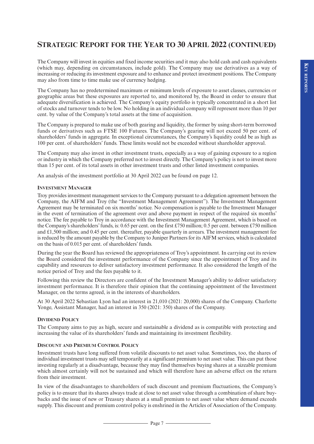The Company will invest in equities and fixed income securities and it may also hold cash and cash equivalents (which may, depending on circumstances, include gold). The Company may use derivatives as a way of increasing or reducing its investment exposure and to enhance and protect investment positions. The Company may also from time to time make use of currency hedging.

The Company has no predetermined maximum or minimum levels of exposure to asset classes, currencies or geographic areas but these exposures are reported to, and monitored by, the Board in order to ensure that adequate diversification is achieved. The Company's equity portfolio is typically concentrated in a short list of stocks and turnover tends to be low. No holding in an individual company will represent more than 10 per cent. by value of the Company's total assets at the time of acquisition.

The Company is prepared to make use of both gearing and liquidity, the former by using short-term borrowed funds or derivatives such as FTSE 100 Futures. The Company's gearing will not exceed 50 per cent. of shareholders' funds in aggregate. In exceptional circumstances, the Company's liquidity could be as high as 100 per cent. of shareholders' funds. These limits would not be exceeded without shareholder approval.

The Company may also invest in other investment trusts, especially as a way of gaining exposure to a region or industry in which the Company preferred not to invest directly. The Company's policy is not to invest more than 15 per cent. of its total assets in other investment trusts and other listed investment companies.

An analysis of the investment portfolio at 30 April 2022 can be found on page 12.

### **INVESTMENT MANAGER**

Troy provides investment management services to the Company pursuant to a delegation agreement between the Company, the AIFM and Troy (the "Investment Management Agreement"). The Investment Management Agreement may be terminated on six months' notice. No compensation is payable to the Investment Manager in the event of termination of the agreement over and above payment in respect of the required six months' notice. The fee payable to Troy in accordance with the Investment Management Agreement, which is based on the Company's shareholders' funds, is: 0.65 per cent. on the first £750 million; 0.5 per cent. between £750 million and £1,500 million; and 0.45 per cent. thereafter, payable quarterly in arrears. The investment management fee is reduced by the amount payable by the Company to Juniper Partners for its AIFM services, which is calculated on the basis of 0.015 per cent. of shareholders' funds.

During the year the Board has reviewed the appropriateness of Troy's appointment. In carrying out its review the Board considered the investment performance of the Company since the appointment of Troy and its capability and resources to deliver satisfactory investment performance. It also considered the length of the notice period of Troy and the fees payable to it.

Following this review the Directors are confident of the Investment Manager's ability to deliver satisfactory investment performance. It is therefore their opinion that the continuing appointment of the Investment Manager, on the terms agreed, is in the interests of shareholders.

At 30 April 2022 Sebastian Lyon had an interest in 21,010 (2021: 20,000) shares of the Company. Charlotte Yonge, Assistant Manager, had an interest in 350 (2021: 350) shares of the Company.

# **DIVIDEND POLICY**

The Company aims to pay as high, secure and sustainable a dividend as is compatible with protecting and increasing the value of its shareholders' funds and maintaining its investment flexibility.

# **DISCOUNT AND PREMIUM CONTROL POLICY**

Investment trusts have long suffered from volatile discounts to net asset value. Sometimes, too, the shares of individual investment trusts may sell temporarily at a significant premium to net asset value. This can put those investing regularly at a disadvantage, because they may find themselves buying shares at a sizeable premium which almost certainly will not be sustained and which will therefore have an adverse effect on the return from their investment.

In view of the disadvantages to shareholders of such discount and premium fluctuations, the Company's policy is to ensure that its shares always trade at close to net asset value through a combination of share buybacks and the issue of new or Treasury shares at a small premium to net asset value where demand exceeds supply. This discount and premium control policy is enshrined in the Articles of Association of the Company.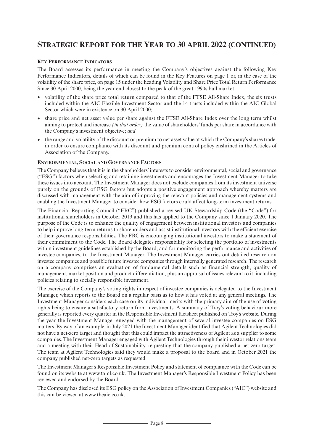### **KEY PERFORMANCE INDICATORS**

The Board assesses its performance in meeting the Company's objectives against the following Key Performance Indicators, details of which can be found in the Key Features on page 1 or, in the case of the volatility of the share price, on page 15 under the heading Volatility and Share Price Total Return Performance Since 30 April 2000, being the year end closest to the peak of the great 1990s bull market:

- volatility of the share price total return compared to that of the FTSE All-Share Index, the six trusts included within the AIC Flexible Investment Sector and the 14 trusts included within the AIC Global Sector which were in existence on 30 April 2000;
- share price and net asset value per share against the FTSE All-Share Index over the long term whilst aiming to protect and increase *(in that order)* the value of shareholders' funds per share in accordance with the Company's investment objective; *and*
- the range and volatility of the discount or premium to net asset value at which the Company's shares trade, in order to ensure compliance with its discount and premium control policy enshrined in the Articles of Association of the Company.

# **ENVIRONMENTAL, SOCIAL AND GOVERNANCE FACTORS**

The Company believes that it is in the shareholders' interests to consider environmental, social and governance ("ESG") factors when selecting and retaining investments and encourages the Investment Manager to take these issues into account. The Investment Manager does not exclude companies from its investment universe purely on the grounds of ESG factors but adopts a positive engagement approach whereby matters are discussed with management with the aim of improving the relevant policies and management systems and enabling the Investment Manager to consider how ESG factors could affect long-term investment returns.

The Financial Reporting Council ("FRC") published a revised UK Stewardship Code (the "Code") for institutional shareholders in October 2019 and this has applied to the Company since 1 January 2020. The purpose of the Code is to enhance the quality of engagement between institutional investors and companies to help improve long-term returns to shareholders and assist institutional investors with the efficient exercise of their governance responsibilities. The FRC is encouraging institutional investors to make a statement of their commitment to the Code. The Board delegates responsibility for selecting the portfolio of investments within investment guidelines established by the Board, and for monitoring the performance and activities of investee companies, to the Investment Manager. The Investment Manager carries out detailed research on investee companies and possible future investee companies through internally generated research. The research on a company comprises an evaluation of fundamental details such as financial strength, quality of management, market position and product differentiation, plus an appraisal of issues relevant to it, including policies relating to socially responsible investment.

The exercise of the Company's voting rights in respect of investee companies is delegated to the Investment Manager, which reports to the Board on a regular basis as to how it has voted at any general meetings. The Investment Manager considers each case on its individual merits with the primary aim of the use of voting rights being to ensure a satisfactory return from investments. A summary of Troy's voting behaviour more generally is reported every quarter in the Responsible Investment factsheet published on Troy's website. During the year the Investment Manager engaged with the management of several investee companies on ESG matters. By way of an example, in July 2021 the Investment Manager identified that Agilent Technologies did not have a net-zero target and thought that this could impact the attractiveness of Agilent as a supplier to some companies. The Investment Manager engaged with Agilent Technologies through their investor relations team and a meeting with their Head of Sustainability, requesting that the company published a net-zero target. The team at Agilent Technologies said they would make a proposal to the board and in October 2021 the company published net-zero targets as requested.

The Investment Manager's Responsible Investment Policy and statement of compliance with the Code can be found on its website at www.taml.co.uk. The Investment Manager's Responsible Investment Policy has been reviewed and endorsed by the Board.

The Company has disclosed its ESG policy on the Association of Investment Companies ("AIC") website and this can be viewed at www.theaic.co.uk.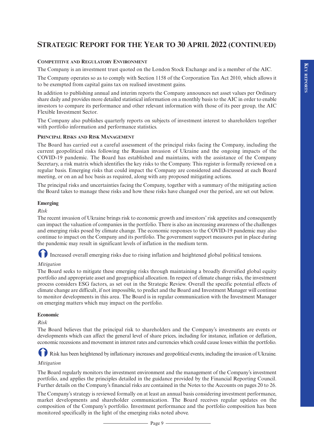# **COMPETITIVE AND REGULATORY ENVIRONMENT**

The Company is an investment trust quoted on the London Stock Exchange and is a member of the AIC.

The Company operates so as to comply with Section 1158 of the Corporation Tax Act 2010, which allows it to be exempted from capital gains tax on realised investment gains.

In addition to publishing annual and interim reports the Company announces net asset values per Ordinary share daily and provides more detailed statistical information on a monthly basis to the AIC in order to enable investors to compare its performance and other relevant information with those of its peer group, the AIC Flexible Investment Sector.

The Company also publishes quarterly reports on subjects of investment interest to shareholders together with portfolio information and performance statistics.

### **PRINCIPAL RISKS AND RISK MANAGEMENT**

The Board has carried out a careful assessment of the principal risks facing the Company, including the current geopolitical risks following the Russian invasion of Ukraine and the ongoing impacts of the COVID-19 pandemic. The Board has established and maintains, with the assistance of the Company Secretary, a risk matrix which identifies the key risks to the Company. This register is formally reviewed on a regular basis. Emerging risks that could impact the Company are considered and discussed at each Board meeting, or on an ad hoc basis as required, along with any proposed mitigating actions.

The principal risks and uncertainties facing the Company, together with a summary of the mitigating action the Board takes to manage these risks and how these risks have changed over the period, are set out below.

### **Emerging**

### *Risk*

The recent invasion of Ukraine brings risk to economic growth and investors'risk appetites and consequently can impact the valuation of companies in the portfolio. There is also an increasing awareness of the challenges and emerging risks posed by climate change. The economic responses to the COVID-19 pandemic may also continue to impact on the Company and its portfolio. The government support measures put in place during the pandemic may result in significant levels of inflation in the medium term.

-Increased overall emerging risks due to rising inflation and heightened global political tensions.

# *Mitigation*

The Board seeks to mitigate these emerging risks through maintaining a broadly diversified global equity portfolio and appropriate asset and geographical allocation. In respect of climate change risks, the investment process considers ESG factors, as set out in the Strategic Review. Overall the specific potential effects of climate change are difficult, if not impossible, to predict and the Board and Investment Manager will continue to monitor developments in this area. The Board is in regular communication with the Investment Manager on emerging matters which may impact on the portfolio.

### **Economic**

# *Risk*

The Board believes that the principal risk to shareholders and the Company's investments are events or developments which can affect the general level of share prices, including for instance, inflation or deflation, economic recessions and movement in interest rates and currencies which could cause losses within the portfolio.

**0** Risk has been heightened by inflationary increases and geopolitical events, including the invasion of Ukraine.

### *Mitigation*

The Board regularly monitors the investment environment and the management of the Company's investment portfolio, and applies the principles detailed in the guidance provided by the Financial Reporting Council. Further details on the Company's financial risks are contained in the Notes to the Accounts on pages 20 to 26.

The Company's strategy is reviewed formally on at least an annual basis considering investment performance, market developments and shareholder communication. The Board receives regular updates on the composition of the Company's portfolio. Investment performance and the portfolio composition has been monitored specifically in the light of the emerging risks noted above.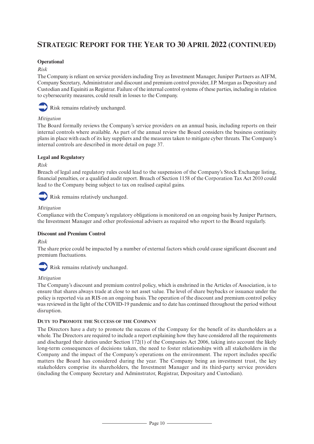# **Operational**

### *Risk*

The Company is reliant on service providers including Troy as Investment Manager, Juniper Partners as AIFM, Company Secretary, Administrator and discount and premium control provider, J.P. Morgan as Depositary and Custodian and Equiniti as Registrar. Failure of the internal control systems of these parties, including in relation to cybersecurity measures, could result in losses to the Company.



# *Mitigation*

The Board formally reviews the Company's service providers on an annual basis, including reports on their internal controls where available. As part of the annual review the Board considers the business continuity plans in place with each of its key suppliers and the measures taken to mitigate cyber threats. The Company's internal controls are described in more detail on page 37.

# **Legal and Regulatory**

# *Risk*

Breach of legal and regulatory rules could lead to the suspension of the Company's Stock Exchange listing, financial penalties, or a qualified audit report. Breach of Section 1158 of the Corporation Tax Act 2010 could lead to the Company being subject to tax on realised capital gains.

# Risk remains relatively unchanged.

# *Mitigation*

Compliance with the Company's regulatory obligations is monitored on an ongoing basis by Juniper Partners, the Investment Manager and other professional advisers as required who report to the Board regularly.

# **Discount and Premium Control**

# *Risk*

The share price could be impacted by a number of external factors which could cause significant discount and premium fluctuations.



Risk remains relatively unchanged.

# *Mitigation*

The Company's discount and premium control policy, which is enshrined in the Articles of Association, is to ensure that shares always trade at close to net asset value. The level of share buybacks or issuance under the policy is reported via an RIS on an ongoing basis. The operation of the discount and premium control policy was reviewed in the light of the COVID-19 pandemic and to date has continued throughout the period without disruption.

# **DUTY TO PROMOTE THE SUCCESS OF THE COMPANY**

The Directors have a duty to promote the success of the Company for the benefit of its shareholders as a whole. The Directors are required to include a report explaining how they have considered all the requirements and discharged their duties under Section 172(1) of the Companies Act 2006, taking into account the likely long-term consequences of decisions taken, the need to foster relationships with all stakeholders in the Company and the impact of the Company's operations on the environment. The report includes specific matters the Board has considered during the year. The Company being an investment trust, the key stakeholders comprise its shareholders, the Investment Manager and its third-party service providers (including the Company Secretary and Adminstrator, Registrar, Depositary and Custodian).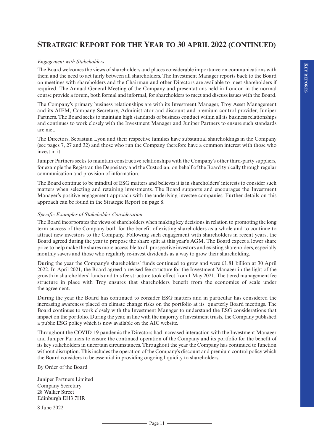### *Engagement with Stakeholders*

The Board welcomes the views ofshareholders and places considerable importance on communications with them and the need to act fairly between all shareholders. The Investment Manager reports back to the Board on meetings with shareholders and the Chairman and other Directors are available to meet shareholders if required. The Annual General Meeting of the Company and presentations held in London in the normal course provide a forum, both formal and informal, for shareholders to meet and discuss issues with the Board.

The Company's primary business relationships are with its Investment Manager, Troy Asset Management and its AIFM, Company Secretary, Administrator and discount and premium control provider, Juniper Partners. The Board seeks to maintain high standards of business conduct within all its business relationships and continues to work closely with the Investment Manager and Juniper Partners to ensure such standards are met.

The Directors, Sebastian Lyon and their respective families have substantial shareholdings in the Company (see pages 7, 27 and 32) and those who run the Company therefore have a common interest with those who invest in it.

Juniper Partners seeks to maintain constructive relationships with the Company's other third-party suppliers, for example the Registrar, the Depositary and the Custodian, on behalf of the Board typically through regular communication and provision of information.

The Board continue to be mindful of ESG matters and believes it is in shareholders' interests to consider such matters when selecting and retaining investments. The Board supports and encourages the Investment Manager's positive engagement approach with the underlying investee companies. Further details on this approach can be found in the Strategic Report on page 8.

#### *Specific Examples of Stakeholder Consideration*

The Board incorporates the views of shareholders when making key decisions in relation to promoting the long term success of the Company both for the benefit of existing shareholders as a whole and to continue to attract new investors to the Company. Following such engagement with shareholders in recent years, the Board agreed during the year to propose the share split at this year's AGM. The Board expect a lower share price to help make the shares more accessible to all prospective investors and existing shareholders, especially monthly savers and those who regularly re-invest dividends as a way to grow their shareholding.

During the year the Company's shareholders' funds continued to grow and were £1.81 billion at 30 April 2022. In April 2021, the Board agreed a revised fee structure for the Investment Manager in the light of the growth in shareholders' funds and this fee structure took effect from 1 May 2021. The tiered management fee structure in place with Troy ensures that shareholders benefit from the economies of scale under the agreement.

During the year the Board has continued to consider ESG matters and in particular has considered the increasing awareness placed on climate change risks on the portfolio at its quarterly Board meetings. The Board continues to work closely with the Investment Manager to understand the ESG considerations that impact on the portfolio. During the year, in line with the majority of investment trusts, the Company published a public ESG policy which is now available on the AIC website.

Throughout the COVID-19 pandemic the Directors had increased interaction with the Investment Manager and Juniper Partners to ensure the continued operation of the Company and its portfolio for the benefit of its key stakeholders in uncertain circumstances. Throughout the year the Company has continued to function without disruption. This includes the operation of the Company's discount and premium control policy which the Board considers to be essential in providing ongoing liquidity to shareholders.

By Order of the Board

Juniper Partners Limited Company Secretary 28 Walker Street Edinburgh EH3 7HR

8 June 2022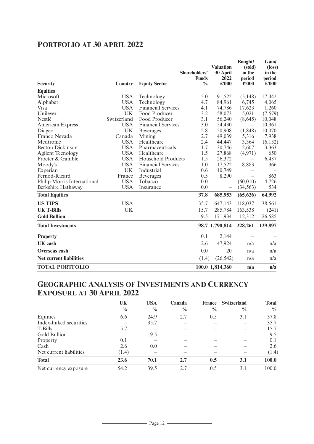# **PORTFOLIO AT 30 APRIL 2022**

|                                |                |                           | Shareholders'<br><b>Funds</b> | <b>Valuation</b><br>30 April<br>2022 | <b>Bought/</b><br>(sold)<br>in the<br>period | Gain/<br>(loss)<br>in the<br>period |
|--------------------------------|----------------|---------------------------|-------------------------------|--------------------------------------|----------------------------------------------|-------------------------------------|
| <b>Security</b>                | <b>Country</b> | <b>Equity Sector</b>      | $\frac{0}{0}$                 | $\pounds 000$                        | £'000                                        | £'000                               |
| <b>Equities</b>                |                |                           |                               |                                      |                                              |                                     |
| Microsoft                      | <b>USA</b>     | Technology                | 5.0                           | 91,522                               | (5,148)                                      | 17,442                              |
| Alphabet                       | <b>USA</b>     | Technology                | 4.7                           | 84,961                               | 6,745                                        | 4,065                               |
| Visa                           | <b>USA</b>     | <b>Financial Services</b> | 4.1                           | 74,786                               | 17,623                                       | 1,260                               |
| Unilever                       | <b>UK</b>      | Food Producer             | 3.2                           | 58,073                               | 5,021                                        | (7,579)                             |
| Nestlé                         | Switzerland    | Food Producer             | 3.1                           | 56,240                               | (8,645)                                      | 10,048                              |
| <b>American Express</b>        | <b>USA</b>     | <b>Financial Services</b> | 3.0                           | 54,430                               | $\overline{\phantom{m}}$                     | 10,961                              |
| Diageo                         | <b>UK</b>      | <b>Beverages</b>          | 2.8                           | 50,908                               | (1, 848)                                     | 10,070                              |
| Franco Nevada                  | Canada         | Mining                    | 2.7                           | 49,039                               | 5,316                                        | 7,938                               |
| Medtronic                      | <b>USA</b>     | Healthcare                | 2.4                           | 44,447                               | 3,364                                        | (6, 152)                            |
| <b>Becton Dickinson</b>        | <b>USA</b>     | Pharmaceuticals           | 1.7                           | 30,746                               | 2,607                                        | 3,363                               |
| <b>Agilent Tecnology</b>       | <b>USA</b>     | Healthcare                | 1.5                           | 27,868                               | (4,971)                                      | 650                                 |
| Procter & Gamble               | <b>USA</b>     | Household Products        | 1.5                           | 26,372                               | $\overline{\phantom{0}}$                     | 6,437                               |
| Moody's                        | <b>USA</b>     | <b>Financial Services</b> | 1.0                           | 17,522                               | 8,883                                        | 366                                 |
| Experian                       | <b>UK</b>      | Industrial                | 0.6                           | 10,749                               |                                              |                                     |
| Pernod-Ricard                  | France         | <b>Beverages</b>          | 0.5                           | 8,290                                |                                              | 863                                 |
| Philip Morris International    | <b>USA</b>     | Tobacco                   | 0.0                           |                                      | (60, 010)                                    | 4,726                               |
| Berkshire Hathaway             | <b>USA</b>     | Insurance                 | 0.0                           | $\qquad \qquad -$                    | (34, 563)                                    | 534                                 |
| <b>Total Equities</b>          |                |                           | 37.8                          | 685,953                              | (65, 626)                                    | 64,992                              |
| <b>US TIPS</b>                 | <b>USA</b>     |                           | 35.7                          | 647,143                              | 118,037                                      | 38,561                              |
| <b>UK T-Bills</b>              | <b>UK</b>      |                           | 15.7                          | 285,784                              | 163,538                                      | (241)                               |
| <b>Gold Bullion</b>            |                |                           | 9.5                           | 171,934                              | 12,312                                       | 26,585                              |
| <b>Total Investments</b>       |                |                           |                               | 98.7 1,790,814                       | 228,261                                      | 129,897                             |
| <b>Property</b>                |                |                           | 0.1                           | 2,144                                |                                              |                                     |
| UK cash                        |                |                           | 2.6                           | 47,924                               | n/a                                          | n/a                                 |
| <b>Overseas cash</b>           |                |                           | 0.0                           | 20                                   | n/a                                          | n/a                                 |
| <b>Net current liabilities</b> |                |                           | (1.4)                         | (26, 542)                            | n/a                                          | n/a                                 |
| <b>TOTAL PORTFOLIO</b>         |                |                           |                               | 100.0 1,814,360                      | n/a                                          | n/a                                 |

# **GEOGRAPHIC ANALYSIS OF INVESTMENTS AND CURRENCY EXPOSURE AT 30 APRIL 2022**

|                         | UK            | <b>USA</b>    | Canada        | France        | <b>Switzerland</b> | <b>Total</b>  |
|-------------------------|---------------|---------------|---------------|---------------|--------------------|---------------|
|                         | $\frac{0}{0}$ | $\frac{0}{0}$ | $\frac{0}{0}$ | $\frac{0}{0}$ | $\frac{0}{0}$      | $\frac{0}{0}$ |
| Equities                | 6.6           | 24.9          | 2.7           | 0.5           | 3.1                | 37.8          |
| Index-linked securities |               | 35.7          |               |               |                    | 35.7          |
| T-Bills                 | 15.7          |               |               |               |                    | 15.7          |
| Gold Bullion            |               | 9.5           |               |               |                    | 9.5           |
| Property                | 0.1           |               |               |               |                    | 0.1           |
| Cash                    | 2.6           | 0.0           |               |               |                    | 2.6           |
| Net current liabilities | (1.4)         |               |               |               |                    | (1.4)         |
| <b>Total</b>            | 23.6          | 70.1          | 2.7           | 0.5           | 3.1                | 100.0         |
| Net currency exposure   | 54.2          | 39.5          | 2.7           | 0.5           | 3.1                | 100.0         |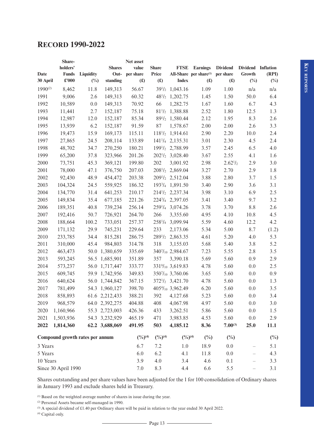# **RECORD 1990-2022**

|          | Share-                          |                  |                  | Net asset             |                       |                                          |                                    |                 |                          |        |
|----------|---------------------------------|------------------|------------------|-----------------------|-----------------------|------------------------------------------|------------------------------------|-----------------|--------------------------|--------|
|          | holders'                        |                  | <b>Shares</b>    | value                 | <b>Share</b>          | <b>FTSE</b>                              | <b>Earnings</b>                    | <b>Dividend</b> | Dividend Inflation       |        |
| Date     | <b>Funds</b>                    | <b>Liquidity</b> | Out-             | per share             | Price                 |                                          | All-Share per share <sup>(1)</sup> | per share       | Growth                   | (RPI)  |
| 30 April | $\pounds 000$                   | $(\%)$           | standing         | $(\pmb{\pounds})$     | $(\pounds)$           | <b>Index</b>                             | (f)                                | (f)             | $(\%)$                   | $(\%)$ |
| 1990(2)  | 8,462                           | 11.8             | 149,313          | 56.67                 |                       | $39^{1}/_{2}$ 1,043.16                   | 1.09                               | 1.00            | n/a                      | n/a    |
| 1991     | 9,006                           | 2.6              | 149,313          | 60.32                 |                       | $48^{1}/_2$ 1, 202.75                    | 1.45                               | 1.50            | 50.0                     | 6.4    |
| 1992     | 10,589                          | 0.0              | 149,313          | 70.92                 | 66                    | 1,282.75                                 | 1.67                               | 1.60            | 6.7                      | 4.3    |
| 1993     | 11,441                          | 2.7              | 152,187          | 75.18                 |                       | 81 <sup>1</sup> / <sub>2</sub> 1,388.88  | 2.52                               | 1.80            | 12.5                     | 1.3    |
| 1994     | 12,987                          | 12.0             | 152,187          | 85.34                 |                       | 89 <sup>1</sup> / <sub>2</sub> 1,580.44  | 2.12                               | 1.95            | 8.3                      | 2.6    |
| 1995     | 13,939                          | 6.2              | 152,187          | 91.59                 | 87                    | 1,578.67                                 | 2.00                               | 2.00            | 2.6                      | 3.3    |
| 1996     | 19,473                          | 15.9             | 169,173          | 115.11                |                       | 118 <sup>1</sup> / <sub>2</sub> 1,914.61 | 2.90                               | 2.20            | 10.0                     | 2.4    |
| 1997     | 27,865                          | 24.5             | 208,114          | 133.89                |                       | $141^{1}/_{4}$ 2, 135.31                 | 3.01                               | 2.30            | 4.5                      | 2.4    |
| 1998     | 48,702                          | 34.7             | 270,250          | 180.21                |                       | 1991/2 2,788.99                          | 3.57                               | 2.45            | 6.5                      | 4.0    |
| 1999     | 65,200                          | 37.8             | 323,966          | 201.26                |                       | $202^{1/2}$ 3,028.40                     | 3.67                               | 2.55            | 4.1                      | 1.6    |
| 2000     | 73,751                          | 45.3             | 369,121          | 199.80                | 202                   | 3,001.92                                 | 2.98                               | $2.62^{1/2}$    | 2.9                      | 3.0    |
| 2001     | 78,000                          | 47.1             | 376,750          | 207.03                |                       | 208 <sup>1</sup> / <sub>2</sub> 2,869.04 | 3.27                               | 2.70            | 2.9                      | 1.8    |
| 2002     | 92,430                          | 48.9             | 454,472          | 203.38                |                       | 209 <sup>1</sup> / <sub>2</sub> 2,512.04 | 3.88                               | 2.80            | 3.7                      | 1.5    |
| 2003     | 104,324                         | 24.5             | 559,925          | 186.32                |                       | 193 <sup>3</sup> / <sub>4</sub> 1,891.50 | 3.40                               | 2.90            | 3.6                      | 3.1    |
| 2004     | 134,770                         | 31.4             | 641,253          | 210.17                |                       | 214 <sup>1</sup> / <sub>2</sub> 2,237.34 | 3.98                               | 3.10            | 6.9                      | 2.5    |
| 2005     | 149,834                         | 35.4             | 677,185          | 221.26                |                       | 2243/4 2,397.05                          | 3.41                               | 3.40            | 9.7                      | 3.2    |
| 2006     | 189,351                         | 40.8             | 739,234          | 256.14                |                       | 259 $\frac{1}{4}$ 3,074.26               | 3.78                               | 3.70            | 8.8                      | 2.6    |
| 2007     | 192,416                         | 50.7             | 726,921          | 264.70                | 266                   | 3,355.60                                 | 4.95                               | 4.10            | 10.8                     | 4.5    |
| 2008     | 188,664                         | 100.2            | 733,051          | 257.37                |                       | 258 <sup>1</sup> / <sub>4</sub> 3,099.94 | 5.59                               | 4.60            | 12.2                     | 4.2    |
| 2009     | 171,132                         | 29.9             | 745,231          | 229.64                | 233                   | 2,173.06                                 | 5.34                               | 5.00            | 8.7                      | (1.2)  |
| 2010     | 233,785                         | 34.4             | 815,281          | 286.75                |                       | 289 <sup>1</sup> / <sub>2</sub> 2,863.35 | 4.61                               | 5.20            | 4.0                      | 5.3    |
| 2011     | 310,000                         | 45.4             | 984,803          | 314.78                | 318                   | 3,155.03                                 | 5.68                               | 5.40            | 3.8                      | 5.2    |
| 2012     | 463,473                         | 50.0             | 1,380,659        | 335.69                |                       | 3407/10 2,984.67                         | 7.23                               | 5.55            | 2.8                      | 3.5    |
| 2013     | 593,245                         | 56.5             | 1,685,901        | 351.89                | 357                   | 3,390.18                                 | 5.69                               | 5.60            | 0.9                      | 2.9    |
| 2014     | 573,237                         | 56.0             | 1,717,447        | 333.77                |                       | 331%10 3,619.83                          | 4.78                               | 5.60            | 0.0                      | 2.5    |
| 2015     | 609,745                         |                  | 59.9 1,742,956   | 349.83                |                       | 3507/10 3,760.06                         | 3.65                               | 5.60            | 0.0                      | 0.9    |
| 2016     | 640,624                         |                  | 56.0 1,744,842   | 367.15                |                       | $372^{1/2}$ 3,421.70                     | 4.78                               | 5.60            | 0.0                      | 1.3    |
| 2017     | 781,499                         |                  | 54.3 1,960,127   | 398.70                |                       | 4054/10 3,962.49                         | 6.20                               | 5.60            | 0.0                      | 3.5    |
| 2018     | 858,893                         |                  | 61.6 2, 212, 433 | 388.21                |                       | 392 4,127.68                             | 5.23                               | 5.60            | 0.0                      | 3.4    |
| 2019     | 968,579                         |                  | 64.0 2,392,275   | 404.88                | 408                   | 4,067.98                                 | 4.97                               | 5.60            | 0.0                      | 3.0    |
| 2020     | 1,160,966                       |                  | 55.3 2,723,003   | 426.36                | 433                   | 3,262.51                                 | 5.86                               | 5.60            | 0.0                      | 1.5    |
| 2021     | 1,503,936                       |                  | 54.3 3, 232, 929 | 465.19                | 471                   | 3,983.85                                 | 4.53                               | 5.60            | $0.0\,$                  | 2.9    |
| 2022     | 1,814,360                       |                  | 62.2 3,688,069   | 491.95                | 503                   | 4,185.12                                 | 8.36                               | $7.00^{(3)}$    | 25.0                     | 11.1   |
|          | Compound growth rates per annum |                  |                  | $(\frac{0}{0})^{(4)}$ | $(\frac{0}{0})^{(4)}$ | $(\frac{0}{0})^{(4)}$                    | $\binom{0}{0}$                     | $(\%)$          |                          | $(\%)$ |
| 3 Years  |                                 |                  |                  | 6.7                   | 7.2                   | 1.0                                      | 18.9                               | 0.0             |                          | 5.1    |
| 5 Years  |                                 |                  |                  | 6.0                   | 6.2                   | 4.1                                      | 11.8                               | 0.0             | $\overline{\phantom{0}}$ | 4.3    |
| 10 Years |                                 |                  |                  | 3.9                   | 4.0                   | 3.4                                      | 4.6                                | 0.1             | $\overline{\phantom{0}}$ | 3.3    |
|          | Since 30 April 1990             |                  |                  | 7.0                   | 8.3                   | 4.4                                      | 6.6                                | 5.5             |                          | 3.1    |

Shares outstanding and per share values have been adjusted for the 1 for 100 consolidation of Ordinary shares in January 1993 and exclude shares held in Treasury.

(1) Based on the weighted average number of shares in issue during the year.

(2) Personal Assets became self-managed in 1990.

(3) A special dividend of £1.40 per Ordinary share will be paid in relation to the year ended 30 April 2022.

(4) Capital only.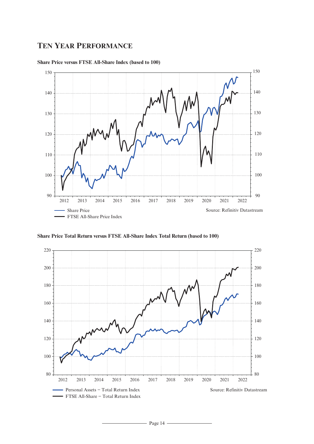# **TEN YEAR PERFORMANCE**



# **Share Price versus FTSE All-Share Index (based to 100)**

**Share Price Total Return versus FTSE All-Share Index Total Return (based to 100)**

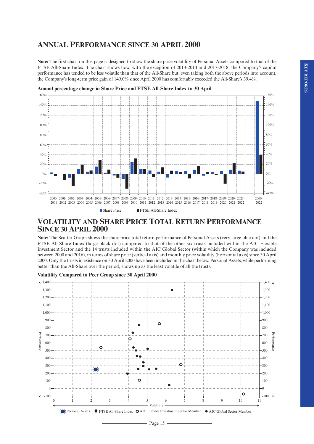# **ANNUAL PERFORMANCE SINCE 30 APRIL 2000**

**Note:** The first chart on this page is designed to show the share price volatility of Personal Assets compared to that of the FTSE All-Share Index. The chart shows how, with the exception of 2013-2014 and 2017-2018, the Company's capital performance has tended to be less volatile than that of the All-Share but, even taking both the above periods into account, the Company's long-term price gain of 149.0% since April 2000 has comfortably exceeded the All-Share's 39.4%.



**Annual percentage change in Share Price and FTSE All-Share Index to 30 April**

# **VOLATILITY AND SHARE PRICE TOTAL RETURN PERFORMANCE SINCE 30 APRIL 2000**

**Note:** The Scatter Graph shows the share price total return performance of Personal Assets (very large blue dot) and the FTSE All-Share Index (large black dot) compared to that of the other six trusts included within the AIC Flexible Investment Sector and the 14 trusts included within the AIC Global Sector (within which the Company was included between 2000 and 2016), in terms of share price (vertical axis) and monthly price volatility (horizontal axis) since 30 April 2000. Only the trusts in existence on 30 April 2000 have been included in the chart below. Personal Assets, while performing better than the All-Share over the period, shows up as the least volatile of all the trusts.



#### **Volatility Compared to Peer Group since 30 April 2000**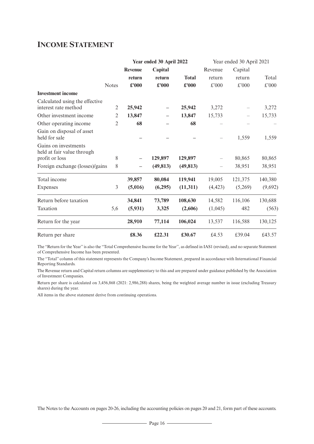# **INCOME STATEMENT**

|                                                    |                | Year ended 30 April 2022 |               |              | Year ended 30 April 2021 |               |         |  |
|----------------------------------------------------|----------------|--------------------------|---------------|--------------|--------------------------|---------------|---------|--|
|                                                    |                | <b>Revenue</b>           | Capital       |              | Revenue                  | Capital       |         |  |
|                                                    |                | return                   | return        | <b>Total</b> | return                   | return        | Total   |  |
| <b>Notes</b>                                       |                | £'000                    | $\pounds 000$ | £'000        | £'000                    | $\pounds$ 000 | £'000   |  |
| <b>Investment</b> income                           |                |                          |               |              |                          |               |         |  |
| Calculated using the effective                     |                |                          |               |              |                          |               |         |  |
| interest rate method                               | 2              | 25,942                   |               | 25,942       | 3,272                    |               | 3,272   |  |
| Other investment income                            | 2              | 13,847                   |               | 13,847       | 15,733                   |               | 15,733  |  |
| Other operating income                             | $\overline{2}$ | 68                       |               | 68           |                          |               |         |  |
| Gain on disposal of asset<br>held for sale         |                |                          |               |              |                          | 1,559         | 1,559   |  |
| Gains on investments<br>held at fair value through |                |                          |               |              |                          |               |         |  |
| profit or loss                                     | 8              | —                        | 129,897       | 129,897      |                          | 80,865        | 80,865  |  |
| Foreign exchange (losses)/gains                    | $8\,$          |                          | (49, 813)     | (49, 813)    |                          | 38,951        | 38,951  |  |
| Total income                                       |                | 39,857                   | 80,084        | 119,941      | 19,005                   | 121,375       | 140,380 |  |
| Expenses                                           | 3              | (5,016)                  | (6,295)       | (11, 311)    | (4, 423)                 | (5,269)       | (9,692) |  |
| Return before taxation                             |                | 34,841                   | 73,789        | 108,630      | 14,582                   | 116,106       | 130,688 |  |
| Taxation                                           | 5,6            | (5,931)                  | 3,325         | (2,606)      | (1,045)                  | 482           | (563)   |  |
| Return for the year                                |                | 28,910                   | 77,114        | 106,024      | 13,537                   | 116,588       | 130,125 |  |
| Return per share                                   |                | £8.36                    | £22.31        | £30.67       | £4.53                    | £39.04        | £43.57  |  |

The ''Return for the Year'' is also the ''Total Comprehensive Income for the Year'', as defined in IAS1 (revised), and no separate Statement of Comprehensive Income has been presented.

The ''Total'' column of this statement represents the Company's Income Statement, prepared in accordance with International Financial Reporting Standards.

The Revenue return and Capital return columns are supplementary to this and are prepared under guidance published by the Association of Investment Companies.

Return per share is calculated on 3,456,868 (2021: 2,986,288) shares, being the weighted average number in issue (excluding Treasury shares) during the year.

All items in the above statement derive from continuing operations.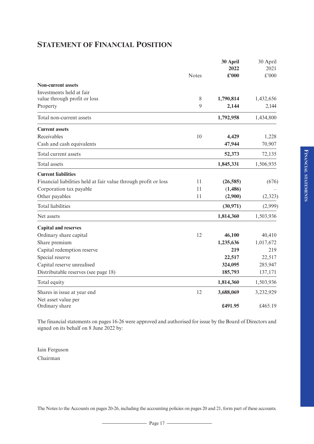# **STATEMENT OF FINANCIAL POSITION**

|                                                                 | <b>Notes</b> | 30 April<br>2022<br>£'000 | 30 April<br>2021<br>£'000 |
|-----------------------------------------------------------------|--------------|---------------------------|---------------------------|
| <b>Non-current assets</b>                                       |              |                           |                           |
| Investments held at fair                                        |              |                           |                           |
| value through profit or loss                                    | 8            | 1,790,814                 | 1,432,656                 |
| Property                                                        | $\mathbf{Q}$ | 2,144                     | 2,144                     |
| Total non-current assets                                        |              | 1,792,958                 | 1,434,800                 |
| <b>Current assets</b>                                           |              |                           |                           |
| Receivables                                                     | 10           | 4,429                     | 1,228                     |
| Cash and cash equivalents                                       |              | 47,944                    | 70,907                    |
| Total current assets                                            |              | 52,373                    | 72,135                    |
| Total assets                                                    |              | 1,845,331                 | 1,506,935                 |
| <b>Current liabilities</b>                                      |              |                           |                           |
| Financial liabilities held at fair value through profit or loss | 11           | (26, 585)                 | (676)                     |
| Corporation tax payable                                         | 11           | (1,486)                   |                           |
| Other payables                                                  | 11           | (2,900)                   | (2, 323)                  |
| <b>Total liabilities</b>                                        |              | (30, 971)                 | (2,999)                   |
| Net assets                                                      |              | 1,814,360                 | 1,503,936                 |
| <b>Capital and reserves</b>                                     |              |                           |                           |
| Ordinary share capital                                          | 12           | 46,100                    | 40,410                    |
| Share premium                                                   |              | 1,235,636                 | 1,017,672                 |
| Capital redemption reserve                                      |              | 219                       | 219                       |
| Special reserve                                                 |              | 22,517                    | 22,517                    |
| Capital reserve unrealised                                      |              | 324,095                   | 285,947                   |
| Distributable reserves (see page 18)                            |              | 185,793                   | 137,171                   |
| Total equity                                                    |              | 1,814,360                 | 1,503,936                 |
| Shares in issue at year end                                     | 12           | 3,688,069                 | 3,232,929                 |
| Net asset value per<br>Ordinary share                           |              | £491.95                   | £465.19                   |

The financial statements on pages 16-26 were approved and authorised for issue by the Board of Directors and signed on its behalf on 8 June 2022 by:

Iain Ferguson Chairman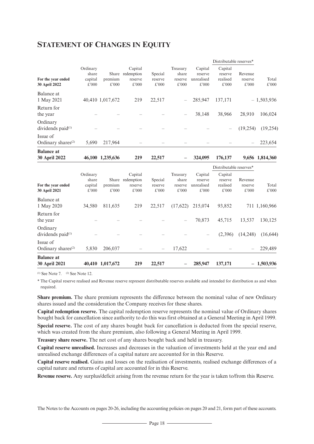# **STATEMENT OF CHANGES IN EQUITY**

|                                            |                                       |                  |                                                 |                             |                                       |                                           | Distributable reserves*                 |                             |                 |
|--------------------------------------------|---------------------------------------|------------------|-------------------------------------------------|-----------------------------|---------------------------------------|-------------------------------------------|-----------------------------------------|-----------------------------|-----------------|
| For the year ended<br>30 April 2022        | Ordinary<br>share<br>capital<br>£'000 | premium<br>£'000 | Capital<br>Share redemption<br>reserve<br>£'000 | Special<br>reserve<br>£'000 | Treasury<br>share<br>reserve<br>£'000 | Capital<br>reserve<br>unrealised<br>£'000 | Capital<br>reserve<br>realised<br>£'000 | Revenue<br>reserve<br>£'000 | Total<br>£'000  |
| Balance at<br>1 May 2021                   |                                       | 40,410 1,017,672 | 219                                             | 22,517                      |                                       | 285,947                                   | 137,171                                 |                             | $-1,503,936$    |
| Return for<br>the year                     |                                       |                  |                                                 |                             |                                       | 38,148                                    | 38,966                                  | 28,910                      | 106,024         |
| Ordinary<br>dividends paid <sup>(1)</sup>  |                                       |                  |                                                 |                             |                                       |                                           |                                         | (19, 254)                   | (19,254)        |
| Issue of<br>Ordinary shares <sup>(2)</sup> | 5,690                                 | 217,964          |                                                 |                             |                                       |                                           |                                         |                             | 223,654         |
| <b>Balance</b> at<br>30 April 2022         |                                       | 46,100 1,235,636 | 219                                             | 22,517                      |                                       | 324,095                                   | 176,137                                 |                             | 9,656 1,814,360 |
|                                            |                                       |                  |                                                 |                             |                                       |                                           | Distributable reserves*                 |                             |                 |
| For the year ended<br>30 April 2021        | Ordinary<br>share<br>capital<br>£'000 | premium<br>£'000 | Capital<br>Share redemption<br>reserve<br>£'000 | Special<br>reserve<br>£'000 | Treasury<br>share<br>reserve<br>£'000 | Capital<br>reserve<br>unrealised<br>£'000 | Capital<br>reserve<br>realised<br>£'000 | Revenue<br>reserve<br>£'000 | Total<br>£'000  |
| Balance at<br>1 May 2020                   | 34,580                                | 811,635          | 219                                             | 22,517                      | (17,622)                              | 215,074                                   | 93,852                                  |                             | 711 1,160,966   |
| Return for<br>the year                     |                                       |                  |                                                 |                             |                                       | 70,873                                    | 45,715                                  | 13,537                      | 130,125         |
| Ordinary<br>dividends paid <sup>(1)</sup>  |                                       |                  |                                                 |                             |                                       |                                           | (2,396)                                 | (14,248)                    | (16, 644)       |
| Issue of<br>Ordinary shares <sup>(2)</sup> | 5,830                                 | 206,037          |                                                 |                             | 17,622                                |                                           |                                         |                             | 229,489         |
| <b>Balance at</b><br>30 April 2021         |                                       | 40,410 1,017,672 | 219                                             | 22,517                      |                                       | 285,947                                   | 137,171                                 |                             | $-1,503,936$    |

 $(1)$  See Note 7.  $(2)$  See Note 12.

\* The Capital reserve realised and Revenue reserve represent distributable reserves available and intended for distribution as and when required.

**Share premium.** The share premium represents the difference between the nominal value of new Ordinary shares issued and the consideration the Company receives for these shares.

**Capital redemption reserve.** The capital redemption reserve represents the nominal value of Ordinary shares bought back for cancellation since authority to do this was first obtained at a General Meeting in April 1999. **Special reserve.** The cost of any shares bought back for cancellation is deducted from the special reserve, which was created from the share premium, also following a General Meeting in April 1999.

**Treasury share reserve.** The net cost of any shares bought back and held in treasury.

**Capital reserve unrealised.** Increases and decreases in the valuation of investments held at the year end and unrealised exchange differences of a capital nature are accounted for in this Reserve.

**Capital reserve realised.** Gains and losses on the realisation of investments, realised exchange differences of a capital nature and returns of capital are accounted for in this Reserve.

**Revenue reserve.** Any surplus/deficit arising from the revenue return for the year is taken to/from this Reserve.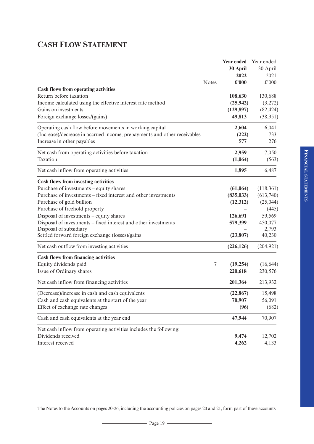# **CASH FLOW STATEMENT**

|                                                                          |                  | Year ended    | Year ended    |
|--------------------------------------------------------------------------|------------------|---------------|---------------|
|                                                                          |                  | 30 April      | 30 April      |
|                                                                          |                  | 2022          | 2021          |
|                                                                          | <b>Notes</b>     | $\pounds 000$ | $\pounds 000$ |
| <b>Cash flows from operating activities</b>                              |                  |               |               |
| Return before taxation                                                   |                  | 108,630       | 130,688       |
| Income calculated using the effective interest rate method               |                  | (25, 942)     | (3,272)       |
| Gains on investments                                                     |                  | (129, 897)    | (82, 424)     |
| Foreign exchange losses/(gains)                                          |                  | 49,813        | (38,951)      |
| Operating cash flow before movements in working capital                  |                  | 2,604         | 6,041         |
| (Increase)/decrease in accrued income, prepayments and other receivables |                  | (222)         | 733           |
| Increase in other payables                                               |                  | 577           | 276           |
| Net cash from operating activities before taxation                       |                  | 2,959         | 7,050         |
| Taxation                                                                 |                  | (1,064)       | (563)         |
| Net cash inflow from operating activities                                |                  | 1,895         | 6,487         |
| <b>Cash flows from investing activities</b>                              |                  |               |               |
| Purchase of investments – equity shares                                  |                  | (61,064)      | (118, 361)    |
| Purchase of investments – fixed interest and other investments           |                  | (835, 033)    | (613,740)     |
| Purchase of gold bullion                                                 |                  | (12, 312)     | (25, 044)     |
| Purchase of freehold property                                            |                  |               | (445)         |
| Disposal of investments – equity shares                                  |                  | 126,691       | 59,569        |
| Disposal of investments - fixed interest and other investments           |                  | 579,399       | 450,077       |
| Disposal of subsidiary                                                   |                  |               | 2,793         |
| Settled forward foreign exchange (losses)/gains                          |                  | (23, 807)     | 40,230        |
| Net cash outflow from investing activities                               |                  | (226, 126)    | (204, 921)    |
| <b>Cash flows from financing activities</b>                              |                  |               |               |
| Equity dividends paid                                                    | $\boldsymbol{7}$ | (19,254)      | (16, 644)     |
| Issue of Ordinary shares                                                 |                  | 220,618       | 230,576       |
| Net cash inflow from financing activities                                |                  | 201,364       | 213,932       |
| (Decrease)/increase in cash and cash equivalents                         |                  | (22, 867)     | 15,498        |
| Cash and cash equivalents at the start of the year                       |                  | 70,907        | 56,091        |
| Effect of exchange rate changes                                          |                  | (96)          | (682)         |
| Cash and cash equivalents at the year end                                |                  | 47,944        | 70,907        |
| Net cash inflow from operating activities includes the following:        |                  |               |               |
| Dividends received                                                       |                  | 9,474         | 12,702        |
| Interest received                                                        |                  | 4,262         | 4,133         |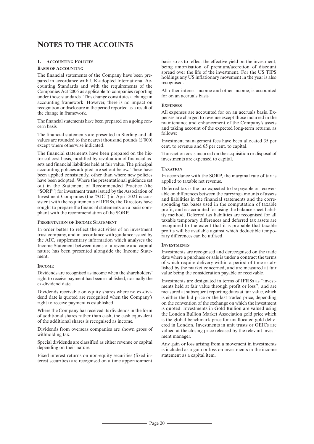# **NOTES TO THE ACCOUNTS**

### **1. ACCOUNTING POLICIES**

#### **BASIS OF ACCOUNTING**

The financial statements of the Company have been prepared in accordance with UK-adopted International Accounting Standards and with the requirements of the Companies Act 2006 as applicable to companies reporting under those standards. This change constitutes a change in accounting framework. However, there is no impact on recognition or disclosure in the period reported as a result of the change in framework.

The financial statements have been prepared on a going concern basis.

The financial statements are presented in Sterling and all values are rounded to the nearest thousand pounds (£'000) except where otherwise indicated.

The financial statements have been prepared on the historical cost basis, modified by revaluation of financial assets and financial liabilities held at fair value. The principal accounting policies adopted are set out below. These have been applied consistently, other than where new policies have been adopted. Where the presentational guidance set out in the Statement of Recommended Practice (the ''SORP'') for investment trusts issued by the Association of Investment Companies (the ''AIC'') in April 2021 is consistent with the requirements of IFRSs, the Directors have sought to prepare the financial statements on a basis compliant with the recommendation of the SORP.

### **PRESENTATION OF INCOME STATEMENT**

In order better to reflect the activities of an investment trust company, and in accordance with guidance issued by the AIC, supplementary information which analyses the Income Statement between items of a revenue and capital nature has been presented alongside the Income Statement.

#### **INCOME**

Dividends are recognised as income when the shareholders' right to receive payment has been established, normally the ex-dividend date.

Dividends receivable on equity shares where no ex-dividend date is quoted are recognised when the Company's right to receive payment is established.

Where the Company has received its dividends in the form of additional shares rather than cash, the cash equivalent of the additional shares is recognised as income.

Dividends from overseas companies are shown gross of withholding tax.

Special dividends are classified as either revenue or capital depending on their nature.

Fixed interest returns on non-equity securities (fixed interest securities) are recognised on a time apportionment basis so as to reflect the effective yield on the investment, being amortisation of premium/accretion of discount spread over the life of the investment. For the US TIPS holdings any US inflationary movement in the year is also recognised.

All other interest income and other income, is accounted for on an accruals basis.

#### **EXPENSES**

All expenses are accounted for on an accruals basis. Expenses are charged to revenue except those incurred in the maintenance and enhancement of the Company's assets and taking account of the expected long-term returns, as follows:

Investment management fees have been allocated 35 per cent. to revenue and 65 per cent. to capital.

Transaction costs incurred on the acquisition or disposal of investments are expensed to capital.

#### **TAXATION**

In accordance with the SORP, the marginal rate of tax is applied to taxable net revenue.

Deferred tax is the tax expected to be payable or recoverable on differences between the carrying amounts of assets and liabilities in the financial statements and the corresponding tax bases used in the computation of taxable profit, and is accounted for using the balance sheet liability method. Deferred tax liabilities are recognised for all taxable temporary differences and deferred tax assets are recognised to the extent that it is probable that taxable profits will be available against which deductible temporary differences can be utilised.

#### **INVESTMENTS**

Investments are recognised and derecognised on the trade date where a purchase or sale is under a contract the terms of which require delivery within a period of time established by the market concerned, and are measured at fair value being the consideration payable or receivable.

Investments are designated in terms of IFRSs as ''investments held at fair value through profit or loss'', and are measured at subsequent reporting dates at fair value, which is either the bid price or the last traded price, depending on the convention of the exchange on which the investment is quoted. Investments in Gold Bullion are valued using the London Bullion Market Association gold price which is the global benchmark price for unallocated gold delivered in London. Investments in unit trusts or OEICs are valued at the closing price released by the relevant investment manager.

Any gain or loss arising from a movement in investments is included as a gain or loss on investments in the income statement as a capital item.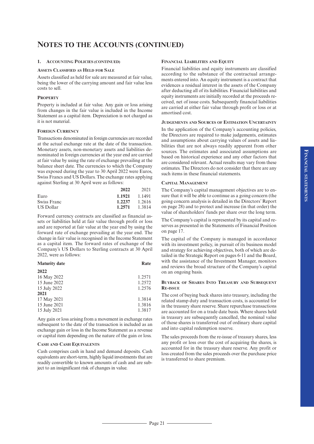#### **1. ACCOUNTING POLICIES (CONTINUED)**

#### **ASSETS CLASSIFIED AS HELD FOR SALE**

Assets classified as held for sale are measured at fair value, being the lower of the carrying amount and fair value less costs to sell.

#### **PROPERTY**

Property is included at fair value. Any gain or loss arising from changes in the fair value is included in the Income Statement as a capital item. Depreciation is not charged as it is not material.

#### **FOREIGN CURRENCY**

Transactions denominated in foreign currencies are recorded at the actual exchange rate at the date of the transaction. Monetary assets, non-monetary assets and liabilities denominated in foreign currencies at the year end are carried at fair value by using the rate of exchange prevailing at the balance sheet date. The currencies to which the Company was exposed during the year to 30 April 2022 were Euros, Swiss Francs and US Dollars. The exchange rates applying against Sterling at 30 April were as follows:

|             | 2022   | 2021   |
|-------------|--------|--------|
| Euro        | 1.1921 | 1.1491 |
| Swiss Franc | 1.2237 | 1.2616 |
| US Dollar   | 1.2571 | 1.3814 |

Forward currency contracts are classified as financial assets or liabilities held at fair value through profit or loss and are reported at fair value at the year end by using the forward rate of exchange prevailing at the year end. The change in fair value is recognised in the Income Statement as a capital item. The forward rates of exchange of the Company's US Dollars to Sterling contracts at 30 April 2022, were as follows:

| <b>Maturity date</b> | Rate   |
|----------------------|--------|
| 2022                 |        |
| 16 May 2022          | 1.2571 |
| 15 June 2022         | 1.2572 |
| 15 July 2022         | 1.2576 |
| 2021                 |        |
| 17 May 2021          | 1.3814 |
| 15 June 2021         | 1.3816 |
| 15 July 2021         | 1.3817 |
|                      |        |

Any gain or loss arising from a movement in exchange rates subsequent to the date of the transaction is included as an exchange gain or loss in the Income Statement as a revenue or capital item depending on the nature of the gain or loss.

#### **CASH AND CASH EQUIVALENTS**

Cash comprises cash in hand and demand deposits. Cash equivalents are short-term, highly liquid investments that are readily convertible to known amounts of cash and are subject to an insignificant risk of changes in value.

### **FINANCIAL LIABILITIES AND EQUITY**

Financial liabilities and equity instruments are classified according to the substance of the contractual arrangements entered into. An equity instrument is a contract that evidences a residual interest in the assets of the Company after deducting all of its liabilities. Financial liabilities and equity instruments are initially recorded at the proceeds received, net of issue costs. Subsequently financial liabilities are carried at either fair value through profit or loss or at amortised cost.

#### **JUDGEMENTS AND SOURCES OF ESTIMATION UNCERTAINTY**

In the application of the Company's accounting policies, the Directors are required to make judgements, estimates and assumptions about carrying values of assets and liabilities that are not always readily apparent from other sources. The estimates and associated assumptions are based on historical experience and any other factors that are considered relevant. Actual results may vary from these estimates. The Directors do not consider that there are any such items in these financial statements.

#### **CAPITAL MANAGEMENT**

The Company's capital management objectives are to ensure that it will be able to continue as a going concern (the going concern analysis is detailed in the Directors' Report on page 28) and to protect and increase (in that order) the value of shareholders' funds per share over the long term.

The Company's capital is represented by its capital and reserves as presented in the Statements of Financial Position on page 17.

The capital of the Company is managed in accordance with its investment policy, in pursuit of its business model and strategy for achieving objectives, both of which are detailed in the Strategic Report on pages 6-11 and the Board, with the assistance of the Investment Manager, monitors and reviews the broad structure of the Company's capital on an ongoing basis.

#### **BUYBACK OF SHARES INTO TREASURY AND SUBSEQUENT RE-ISSUE**

The cost of buying back shares into treasury, including the related stamp duty and transaction costs, is accounted for in the treasury share reserve. Share repurchase transactions are accounted for on a trade date basis. Where shares held in treasury are subsequently cancelled, the nominal value of those shares is transferred out of ordinary share capital and into capital redemption reserve.

The sales proceeds from the re-issue of treasury shares, less any profit or loss over the cost of acquiring the shares, is accounted for in the treasury share reserve. Any profit or loss created from the sales proceeds over the purchase price is transferred to share premium.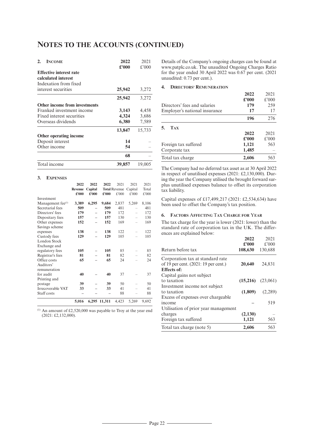| <b>INCOME</b><br>$\mathbf{2}$        | 2022<br>£'000 | 2021<br>$£$ '000 |
|--------------------------------------|---------------|------------------|
| <b>Effective interest rate</b>       |               |                  |
| calculated interest                  |               |                  |
| Indexation from fixed                |               |                  |
| interest securities                  | 25,942        | 3,272            |
|                                      | 25,942        | 3,272            |
| <b>Other income from investments</b> |               |                  |
| Franked investment income            | 3,143         | 4,458            |
| Fixed interest securities            | 4,324         | 3,686            |
| Overseas dividends                   | 6,380         | 7,589            |
|                                      | 13,847        | 15,733           |
| Other operating income               |               |                  |
| Deposit interest                     | 14            |                  |
| Other income                         | 54            |                  |
|                                      | 68            |                  |
| Total income                         | 39,857        | 19,005           |

#### **3. EXPENSES**

|                               | 2022           | 2022    | 2022   | 2021                 | 2021    | 2021  |
|-------------------------------|----------------|---------|--------|----------------------|---------|-------|
|                               | <b>Revenue</b> | Capital |        | <b>Total Revenue</b> | Capital | Total |
|                               | £000           | £000    | £000   | £'000                | £'000   | £'000 |
| Investment                    |                |         |        |                      |         |       |
| Management fee <sup>(1)</sup> | 3,389          | 6,295   | 9,684  | 2,837                | 5,269   | 8,106 |
| Secretarial fees              | 509            |         | 509    | 481                  |         | 481   |
| Directors' fees               | 179            |         | 179    | 172                  |         | 172   |
| Depositary fees               | 157            |         | 157    | 130                  |         | 130   |
| Other expenses                | 152            |         | 152    | 169                  |         | 169   |
| Savings scheme                |                |         |        |                      |         |       |
| expenses                      | 138            |         | 138    | 122                  |         | 122   |
| Custody fees                  | 129            |         | 129    | 105                  |         | 105   |
| London Stock                  |                |         |        |                      |         |       |
| Exchange and                  |                |         |        |                      |         |       |
| regulatory fees               | 105            |         | 105    | 85                   |         | 85    |
| Registrar's fees              | 81             |         | 81     | 82                   |         | 82    |
| Office costs                  | 65             |         | 65     | 24                   |         | 24    |
| Auditors'                     |                |         |        |                      |         |       |
| remuneration                  |                |         |        |                      |         |       |
| for audit                     | 40             |         | 40     | 37                   |         | 37    |
| Printing and                  |                |         |        |                      |         |       |
| postage                       | 39             |         | 39     | 50                   |         | 50    |
| Irrecoverable VAT             | 33             |         | 33     | 41                   |         | 41    |
| Staff costs                   |                |         |        | 88                   |         | 88    |
|                               | 5,016          | 6,295   | 11,311 | 4,423                | 5,269   | 9,692 |

 $(1)$  An amount of £2,520,000 was payable to Troy at the year end (2021: £2,132,000).

Details of the Company's ongoing charges can be found at www.patplc.co.uk. The unaudited Ongoing Charges Ratio for the year ended 30 April 2022 was 0.67 per cent. (2021 unaudited: 0.73 per cent.).

#### **4. DIRECTORS' REMUNERATION**

|                               | 2022          | 2021  |
|-------------------------------|---------------|-------|
|                               | $\pounds 000$ | £'000 |
| Directors' fees and salaries  | 179           | 259   |
| Employer's national insurance | 17            | 17    |
|                               | 196           | 276   |
| <b>TAX</b><br>-5.             |               |       |
|                               | 2022          | 2021  |
|                               | £2000         | £'000 |
| Foreign tax suffered          | 1,121         | 563   |
| Corporate tax                 | 1,485         |       |
| Total tax charge              | 2,606         | 563   |

The Company had no deferred tax asset as at 30 April 2022 in respect of unutilised expenses (2021: £2,130,000). During the year the Company utilised the brought forward surplus unutilised expenses balance to offset its corporation tax liability.

Capital expenses of £17,499,217 (2021: £2,534,634) have been used to offset the Company's tax position.

#### **6. FACTORS** A**FFECTING** T**AX** C**HARGE FOR** Y**EAR**

The tax charge for the year is lower (2021: lower) than the standard rate of corporation tax in the UK. The differences are explained below:

|                                      | 2022                      | 2021     |
|--------------------------------------|---------------------------|----------|
|                                      | $\pmb{\pounds}^{\eta}000$ | £'000    |
| Return before tax                    | 108,630                   | 130,688  |
| Corporation tax at standard rate     |                           |          |
| of 19 per cent. (2021: 19 per cent.) | 20,640                    | 24,831   |
| Effects of:                          |                           |          |
| Capital gains not subject            |                           |          |
| to taxation                          | (15,216)                  | (23,061) |
| Investment income not subject        |                           |          |
| to taxation                          | (1,809)                   | (2,289)  |
| Excess of expenses over chargeable   |                           |          |
| income                               |                           | 519      |
| Utilisation of prior year management |                           |          |
| charges                              | (2,130)                   |          |
| Foreign tax suffered                 | 1,121                     | 563      |
| Total tax charge (note 5)            | 2.606                     | 563      |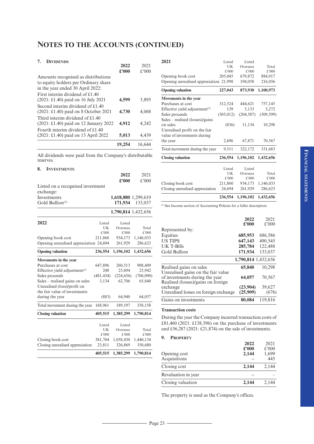### **7. DIVIDENDS**

| <b>DITIDENT</b> O                             | 2022   | 2021   |
|-----------------------------------------------|--------|--------|
|                                               | £2000  | £'000  |
| Amounts recognised as distributions           |        |        |
| to equity holders per Ordinary share          |        |        |
| in the year ended 30 April 2022:              |        |        |
| First interim dividend of £1.40               |        |        |
| $(2021: \pounds1.40)$ paid on 16 July 2021    | 4,599  | 3.895  |
| Second interim dividend of £1.40              |        |        |
| $(2021: \pounds1.40)$ paid on 8 October 2021  | 4.730  | 4,068  |
| Third interim dividend of £1.40               |        |        |
| $(2021: \pounds1.40)$ paid on 12 January 2022 | 4,912  | 4,242  |
| Fourth interim dividend of £1.40              |        |        |
| (2021: £1.40) paid on 13 April 2022           | 5,013  | 4,439  |
|                                               | 19.254 | 16.644 |

All dividends were paid from the Company's distributable reserves.

| 8.<br><b>INVESTMENTS</b>                  |            |                     |           |
|-------------------------------------------|------------|---------------------|-----------|
|                                           |            | 2022                | 2021      |
|                                           |            | £'000               | $£$ '000  |
| Listed on a recognised investment         |            |                     |           |
| exchange:                                 |            |                     |           |
| Investments                               |            | 1,618,880 1,299,619 |           |
| Gold Bullion <sup>(1)</sup>               |            | 171,934             | 133,037   |
|                                           |            | 1,790,814 1,432,656 |           |
|                                           |            |                     |           |
| 2022                                      | Listed     | Listed              |           |
|                                           | UK         | Overseas            | Total     |
|                                           | £'000      | £'000               | £'000     |
| Opening book cost                         | 211,860    | 934,173             | 1,146,033 |
| Opening unrealised appreciation 24,694    |            | 261,929             | 286,623   |
| <b>Opening valuation</b>                  | 236,554    | 1,196,102           | 1,432,656 |
| Movements in the year                     |            |                     |           |
| Purchases at cost                         | 647,896    | 260,513             | 908,409   |
| Effective yield adjustment <sup>(1)</sup> | 248        | 25,694              | 25,942    |
| Sales proceeds                            | (481, 434) | (224, 656)          | (706,090) |
| Sales – realised gains on sales           | 3,134      | 62,706              | 65,840    |
| Unrealised (loss)/profit on               |            |                     |           |
| the fair value of investments             |            |                     |           |
| during the year                           | (883)      | 64,940              | 64,057    |
| Total movement during the year            | 168,961    | 189,197             | 358,158   |
| <b>Closing valuation</b>                  | 405,515    | 1,385,299           | 1,790,814 |
|                                           | Listed     | Listed              |           |
|                                           | UK         | Overseas            | Total     |
|                                           | £'000      | £'000               | £'000     |
| Closing book cost                         | 381,704    | 1,058,430           | 1,440,134 |
| Closing unrealised appreciation           | 23,811     | 326,869             | 350,680   |
|                                           | 405,515    | 1,385,299           | 1,790,814 |

|                                             | 236,554      | 1,196,102          | 1,432,656  |
|---------------------------------------------|--------------|--------------------|------------|
| Closing unrealised appreciation             | 24,694       | 261,929            | 286,623    |
| Closing book cost                           | 211,860      | 934,173            | 1,146,033  |
|                                             | £'000        | £'000              | £'000      |
|                                             | UK           | Overseas           | Total      |
|                                             | Listed       | Listed             |            |
| <b>Closing valuation</b>                    | 236,554      | 1,196,102          | 1,432,656  |
| Total movement during the year              | 9,511        | 322,172            | 331,683    |
| value of investments during<br>the year     | 2,696        | 67,871             | 70,567     |
| Unrealised profit on the fair               |              |                    |            |
| Sales – realised (losses)/gains<br>on sales | (836)        | 11,134             | 10,298     |
| Sales proceeds                              | (305, 012)   | (204, 587)         | (509, 599) |
| Effective yield adjustment $(1)$            | 139          | 3,133              | 3,272      |
| Purchases at cost                           | 312,524      | 444,621            | 757,145    |
| Movements in the year                       |              |                    |            |
| <b>Opening valuation</b>                    | 227,043      | 873,930            | 1,100,973  |
| Opening unrealised appreciation 21,998      |              | 194,058            | 216,056    |
| Opening book cost                           | 205,045      | 679,872            | 884,917    |
|                                             | £'000        | £'000              | £'000      |
| 2021                                        | Listed<br>UK | Listed<br>Overseas | Total      |
|                                             |              |                    |            |

(1) See Income section of Accounting Policies for a fuller description.

|                                                                                                            | 2022<br>£2000 | 2021<br>$£$ '000    |
|------------------------------------------------------------------------------------------------------------|---------------|---------------------|
| Represented by:                                                                                            |               |                     |
| Equities                                                                                                   | 685,953       | 686,586             |
| <b>US TIPS</b>                                                                                             | 647,143       | 490,545             |
| UK T-Bills                                                                                                 | 285,784       | 122,488             |
| Gold Bullion                                                                                               | 171,934       | 133,037             |
|                                                                                                            |               | 1,790,814 1,432,656 |
| Realised gains on sales                                                                                    | 65,840        | 10,298              |
| Unrealised gains on the fair value<br>of investments during the year<br>Realised (losses)/gains on foreign | 64,057        | 70,567              |
| exchange                                                                                                   | (23,904)      | 39,627              |
| Unrealised losses on foreign exchange                                                                      | (25,909)      | (676)               |
| Gains on investments                                                                                       | 80,084        | 119,816             |

#### **Transaction costs**

During the year the Company incurred transaction costs of £81,460 (2021: £138,596) on the purchase of investments and £56,287 (2021: £21,874) on the sale of investments.

# **9. PROPERTY**

|                     | 2022<br>£2000 | 2021<br>£'000 |
|---------------------|---------------|---------------|
| Opening cost        | 2,144         | 1,699         |
| Acquisitions        |               | 445           |
| Closing cost        | 2,144         | 2,144         |
| Revaluation in year |               |               |
| Closing valuation   | 2,144         | 2,144         |

The property is used as the Company's offices.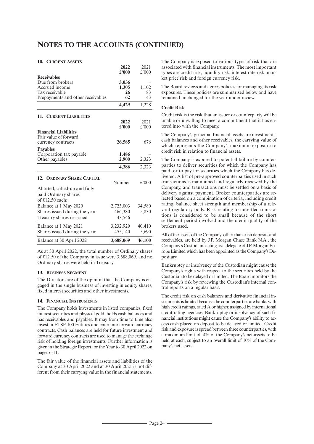#### **10. CURRENT ASSETS**

|                                    | 2022           | 2021   |
|------------------------------------|----------------|--------|
|                                    | £2000          | £'000  |
| <b>Receivables</b>                 |                |        |
| Due from brokers<br>Accrued income | 3,036<br>1,305 | 1,102  |
| Tax receivable                     | 26             | 83     |
| Prepayments and other receivables  | 62             | 43     |
|                                    | 4,429          | 1,228  |
|                                    |                |        |
| <b>11. CURRENT LIABILITIES</b>     |                |        |
|                                    | 2022           | 2021   |
|                                    | £2000          | £'000  |
| <b>Financial Liabilities</b>       |                |        |
| Fair value of forward              |                | 676    |
| currency contracts                 | 26,585         |        |
| <b>Pavables</b>                    |                |        |
| Corporation tax payable            | 1,486          |        |
| Other payables                     | 2,900          | 2,323  |
|                                    | 4,386          | 2,323  |
| <b>12. ORDINARY SHARE CAPITAL</b>  |                |        |
|                                    | Number         | £'000  |
| Allotted, called-up and fully      |                |        |
| paid Ordinary shares               |                |        |
| of $£12.50$ each:                  |                |        |
| Balance at 1 May 2020              | 2,723,003      | 34,580 |
| Shares issued during the year      | 466,380        | 5,830  |
| Treasury shares re-issued          | 43,546         |        |
|                                    |                |        |
| Balance at 1 May 2021              | 3,232,929      | 40,410 |
| Shares issued during the year      | 455,140        | 5,690  |
| Balance at 30 April 2022           | 3,688,069      | 46,100 |

As at 30 April 2022, the total number of Ordinary shares of £12.50 of the Company in issue were 3,688,069, and no Ordinary shares were held in Treasury.

#### **13. BUSINESS SEGMENT**

The Directors are of the opinion that the Company is engaged in the single business of investing in equity shares, fixed interest securities and other investments.

#### **14. FINANCIAL INSTRUMENTS**

The Company holds investments in listed companies, fixed interest securities and physical gold, holds cash balances and has receivables and payables. It may from time to time also invest in FTSE 100 Futures and enter into forward currency contracts. Cash balances are held for future investment and forward currency contracts are used to manage the exchange risk of holding foreign investments. Further information is given in the Strategic Report for the Year to 30 April 2022 on pages 6-11.

The fair value of the financial assets and liabilities of the Company at 30 April 2022 and at 30 April 2021 is not different from their carrying value in the financial statements.

The Company is exposed to various types of risk that are associated with financial instruments. The most important types are credit risk, liquidity risk, interest rate risk, market price risk and foreign currency risk.

The Board reviews and agrees policies for managing its risk exposures. These policies are summarised below and have remained unchanged for the year under review.

#### **Credit Risk**

Credit risk is the risk that an issuer or counterparty will be unable or unwilling to meet a commitment that it has entered into with the Company.

The Company's principal financial assets are investments, cash balances and other receivables, the carrying value of which represents the Company's maximum exposure to credit risk in relation to financial assets.

The Company is exposed to potential failure by counterparties to deliver securities for which the Company has paid, or to pay for securities which the Company has delivered. A list of pre-approved counterparties used in such transactions is maintained and regularly reviewed by the Company, and transactions must be settled on a basis of delivery against payment. Broker counterparties are selected based on a combination of criteria, including credit rating, balance sheet strength and membership of a relevant regulatory body. Risk relating to unsettled transactions is considered to be small because of the short settlement period involved and the credit quality of the brokers used.

All of the assets of the Company, other than cash deposits and receivables, are held by J.P. Morgan Chase Bank N.A., the Company's Custodian, acting as a delegate of J.P.MorganEurope Limited which has been appointed as the Company's Depositary.

Bankruptcy or insolvency of the Custodian might cause the Company's rights with respect to the securities held by the Custodian to be delayed or limited. The Board monitors the Company's risk by reviewing the Custodian's internal control reports on a regular basis.

The credit risk on cash balances and derivative financial instruments is limited because the counterparties are banks with high credit ratings, rated A or higher, assigned by international credit rating agencies. Bankruptcy or insolvency of such financial institutions might cause the Company's ability to access cash placed on deposit to be delayed or limited. Credit risk and exposure isspread between three counterparties, with a maximum limit of 4% of the Company's net assets to be held at each, subject to an overall limit of 10% of the Company's net assets.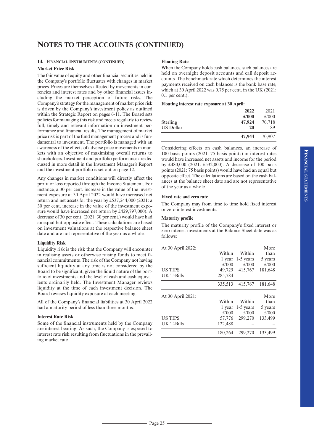#### **14. FINANCIAL INSTRUMENTS (CONTINUED)**

#### **Market Price Risk**

The fair value of equity and other financial securities held in the Company's portfolio fluctuates with changes in market prices. Prices are themselves affected by movements in currencies and interest rates and by other financial issues including the market perception of future risks. The Company's strategy for the management of market price risk is driven by the Company's investment policy as outlined within the Strategic Report on pages 6-11. The Board sets policies for managing this risk and meets regularly to review full, timely and relevant information on investment performance and financial results. The management of market price risk is part of the fund management process and is fundamental to investment. The portfolio is managed with an awareness of the effects of adverse price movements in markets with an objective of maximising overall returns to shareholders.Investment and portfolio performance are discussed in more detail in the Investment Manager's Report and the investment portfolio is set out on page 12.

Any changes in market conditions will directly affect the profit or loss reported through the Income Statement. For instance, a 30 per cent. increase in the value of the investment exposure at 30 April 2022 would have increased net return and net assets for the year by £537,244,000 (2021: a 30 per cent. increase in the value of the investment exposure would have increased net return by £429,797,000). A decrease of 30 per cent. (2021: 30 per cent.) would have had an equal but opposite effect. These calculations are based on investment valuations at the respective balance sheet date and are not representative of the year as a whole.

#### **Liquidity Risk**

Liquidity risk is the risk that the Company will encounter in realising assets or otherwise raising funds to meet financial commitments. The risk of the Company not having sufficient liquidity at any time is not considered by the Board to be significant, given the liquid nature of the portfolio of investments and the level of cash and cash equivalents ordinarily held. The Investment Manager reviews liquidity at the time of each investment decision. The Board reviews liquidity exposure at each meeting.

All of the Company's financial liabilities at 30 April 2022 had a maturity period of less than three months.

#### **Interest Rate Risk**

Some of the financial instruments held by the Company are interest bearing. As such, the Company is exposed to interest rate risk resulting from fluctuations in the prevailing market rate.

#### **Floating Rate**

When the Company holds cash balances, such balances are held on overnight deposit accounts and call deposit accounts. The benchmark rate which determines the interest payments received on cash balances is the bank base rate, which at 30 April 2022 was 0.75 per cent. in the UK (2021: 0.1 per cent.).

### **Floating interest rate exposure at 30 April:**

|           | 2022<br>£2000 | 2021<br>£'000 |
|-----------|---------------|---------------|
| Sterling  | 47,924        | 70,718        |
| US Dollar | 20            | 189           |
|           | 47,944        | 70,907        |

Considering effects on cash balances, an increase of 100 basis points (2021: 75 basis points) in interest rates would have increased net assets and income for the period by £480,000 (2021: £532,000). A decrease of 100 basis points (2021: 75 basis points) would have had an equal but opposite effect. The calculations are based on the cash balances at the balance sheet date and are not representative of the year as a whole.

#### **Fixed rate and zero rate**

The Company may from time to time hold fixed interest or zero interest investments.

#### **Maturity profile**

The maturity profile of the Company's fixed interest or zero interest investments at the Balance Sheet date was as follows:

| At 30 April 2022: |          |             | More    |
|-------------------|----------|-------------|---------|
|                   | Within   | Within      | than    |
|                   | l year   | $1-5$ years | 5 years |
|                   | $£$ '000 | £'000       | £'000   |
| <b>US TIPS</b>    | 49,729   | 415,767     | 181,648 |
| UK T-Bills        | 285,784  |             |         |
|                   | 335,513  | 415,767     | 181,648 |
| At 30 April 2021: |          |             | More    |
|                   | Within   | Within      | than    |
|                   | 1 year   | 1-5 years   | 5 years |
|                   |          |             |         |
|                   | £'000    | £'000       | £'000   |
| <b>US TIPS</b>    | 57,776   | 299,270     | 133,499 |
| UK T-Bills        | 122.488  |             |         |
|                   | 180,264  | 299,270     | 133,499 |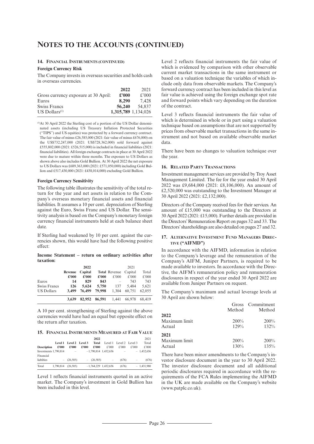#### **14. FINANCIAL INSTRUMENTS (CONTINUED)**

#### **Foreign Currency Risk**

The Company invests in overseas securities and holds cash in overseas currencies.

|                                      | 2022   | 2021                |
|--------------------------------------|--------|---------------------|
| Gross currency exposure at 30 April: | £2000  | f'000               |
| Euros                                | 8.290  | 7.428               |
| <b>Swiss Francs</b>                  | 56,240 | 54.837              |
| $US$ Dollars <sup>(1)</sup>          |        | 1.315.789 1.134.026 |

(1) At 30 April 2022 the Sterling cost of a portion of the US Dollar denominated assets (including US Treasury Inflation Protected Securities (''TIPS'') and US equities) was protected by a forward currency contract. The fair value of minus  $£26,585,000$  (2021: fair value of minus £676,000) on the US\$732,247,000 (2021: US\$728,362,000) sold forward against £555,802,000 (2021: £526,515,000) is included in financial liabilities (2021: financial liabilities). All foreign exchange contractsin place at 30 April 2022 were due to mature within three months. The exposure to US Dollars as shown above also includes Gold Bullion. At 30 April 2022 the net exposure to US Dollars was £689,363,000 (2021: £571,050,000) including Gold Bullion and £517,430,000 (2021: £438,014,000) excluding Gold Bullion.

#### **Foreign Currency Sensitivity**

The following table illustrates the sensitivity of the total return for the year and net assets in relation to the Company's overseas monetary financial assets and financial liabilities. It assumes a 10 per cent. depreciation of Sterling against the Euro, Swiss Franc and US Dollar. The sensitivity analysis is based on the Company's monetary foreign currency financial instruments held at each balance sheet date.

If Sterling had weakened by 10 per cent. against the currencies shown, this would have had the following positive effect:

**Income Statement – return on ordinary activities after taxation:**

|                     |                | 2022    |        |                      | 2021    |        |
|---------------------|----------------|---------|--------|----------------------|---------|--------|
|                     | <b>Revenue</b> | Capital |        | <b>Total Revenue</b> | Capital | Total  |
|                     | £'000          | £'000   | £'000  | £'000                | £'000   | £'000  |
| Euros               | 14             | 829     | 843    |                      | 743     | 743    |
| <b>Swiss Francs</b> | 126            | 5.624   | 5,750  | 137                  | 5.484   | 5.621  |
| <b>US Dollars</b>   | 3.499          | 76,499  | 79,998 | 1.304                | 60.751  | 62,055 |
|                     | 3.639          | 82,952  | 86,591 | 1.441                | 66.978  | 68.419 |

A 10 per cent. strengthening of Sterling against the above currencies would have had an equal but opposite effect on the return after taxation.

#### **15. FINANCIAL INSTRUMENTS MEASURED AT FAIR VALUE**

|                       |           |                         |       | 2022         |                          |                         |       | 2021         |
|-----------------------|-----------|-------------------------|-------|--------------|--------------------------|-------------------------|-------|--------------|
|                       |           | Level 1 Level 2 Level 3 |       | Total        |                          | Level 1 Level 2 Level 3 |       | Total        |
| <b>Description</b>    | £'000     | £2000                   | £'000 | £'000        | £'000                    | £'000                   | £'000 | £'000        |
| Investments 1,790,814 |           | $\sim$                  |       |              | $-1,790,814$ 1,432,656   | $\qquad \qquad -$       |       | $-1.432.656$ |
| Financial             |           |                         |       |              |                          |                         |       |              |
| liabilties            |           | $-$ (26,585)            |       | $-$ (26.585) | $\overline{\phantom{a}}$ | (676)                   | ÷     | (676)        |
| Total                 | 1.790.814 | (26.585)                |       |              | $-1,764,229$ 1,432,656   | (676)                   |       | $-1,431,980$ |

Level 1 reflects financial instruments quoted in an active market. The Company's investment in Gold Bullion has been included in this level.

Level 2 reflects financial instruments the fair value of which is evidenced by comparison with other observable current market transactions in the same instrument or based on a valuation technique the variables of which include only data from observable markets. The Company's forward currency contract has been included in this level as fair value is achieved using the foreign exchange spot rate and forward points which vary depending on the duration of the contract.

Level 3 reflects financial instruments the fair value of which is determined in whole or in part using a valuation technique based on assumptions that are not supported by prices from observable market transactions in the same instrument and not based on available observable market data.

There have been no changes to valuation technique over the year.

#### **16. RELATED PARTY TRANSACTIONS**

Investment management services are provided by Troy Asset Management Limited. The fee for the year ended 30 April 2022 was £9,684,000 (2021: £8,106,000). An amount of £2,520,000 was outstanding to the Investment Manager at 30 April 2022 (2021: £2,132,000).

Directors of the Company received fees for their services. An amount of £15,000 was outstanding to the Directors at 30 April 2022 (2021: £15,000). Further details are provided in the Directors'Remuneration Report on pages 32 and 33. The Directors'shareholdings are also detailed on pages 27 and 32.

#### **17. ALTERNATIVE INVESTMENT FUND MANAGERS DIREC-TIVE ("AIFMD")**

In accordance with the AIFMD, information in relation to the Company's leverage and the remuneration of the Company's AIFM, Juniper Partners, is required to be made available to investors. In accordance with the Directive, the AIFM's remuneration policy and remuneration disclosures in respect of the year ended 30 April 2022 are available from Juniper Partners on request.

The Company's maximum and actual leverage levels at 30 April are shown below:

|      | Gross Commitment |
|------|------------------|
|      | Method           |
|      |                  |
| 200% | 200%             |
| 129% | 132%             |
|      |                  |
| 200% | 200%             |
| 130% | 135%             |
|      | Method           |

There have been minor amendments to the Company's investor disclosure document in the year to 30 April 2022. The investor disclosure document and all additional periodic disclosures required in accordance with the requirements of the FCA Rules implementing the AIFMD in the UK are made available on the Company's website (www.patplc.co.uk).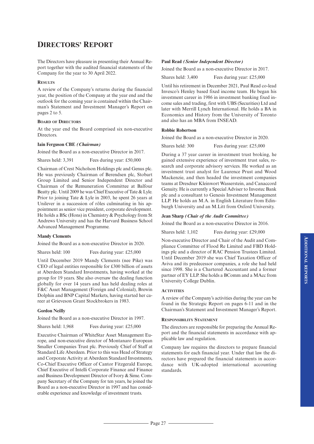# **DIRECTORS' REPORT**

The Directors have pleasure in presenting their Annual Report together with the audited financial statements of the Company for the year to 30 April 2022.

#### **RESULTS**

A review of the Company's returns during the financial year, the position of the Company at the year end and the outlook for the coming year is contained within the Chairman's Statement and Investment Manager's Report on pages 2 to 5.

#### **BOARD OF DIRECTORS**

At the year end the Board comprised six non-executive Directors.

#### **Iain Ferguson CBE** *(Chairman)*

Joined the Board as a non-executive Director in 2017.

Shares held: 3.391 Fees during year: £50,000

Chairman of Crest Nicholson Holdings plc and Genus plc. He was previously Chairman of Berendsen plc, Stobart Group Limited and Senior Independent Director and Chairman of the Remuneration Committee at Balfour Beatty plc. Until 2009 he was Chief Executive of Tate & Lyle. Prior to joining Tate & Lyle in 2003, he spent 26 years at Unilever in a succession of rôles culminating in his appointment as senior vice president, corporate development. He holds a BSc (Hons) in Chemistry & Psychology from St Andrews University and has the Harvard Business School Advanced Management Programme.

### **Mandy Clements**

Joined the Board as a non-executive Director in 2020.

Shares held: 100 Fees during year: £25,000

Until December 2019 Mandy Clements (nee Pike) was CEO of legal entities responsible for £300 billion of assets at Aberdeen Standard Investments, having worked at the group for 19 years. She also oversaw the dealing function globally for over 14 years and has held dealing roles at F&C Asset Management (Foreign and Colonial), Brewin Dolphin and BNP Capital Markets, having started her career at Grieveson Grant Stockbrokers in 1983.

#### **Gordon Neilly**

Joined the Board as a non-executive Director in 1997.

Shares held: 1,968 Fees during year: £25,000

Executive Chairman of WhiteStar Asset Management Europe, and non-executive director of Montanaro European Smaller Companies Trust plc. Previously Chief of Staff at Standard Life Aberdeen. Prior to this was Head of Strategy and Corporate Activity at Aberdeen Standard Investments, Co-Chief Executive Officer of Cantor Fitzgerald Europe, Chief Executive of Intelli Corporate Finance and Finance and Business Development Director of Ivory & Sime. Company Secretary of the Company for ten years, he joined the Board as a non-executive Director in 1997 and has considerable experience and knowledge of investment trusts.

#### **Paul Read** *(Senior Independent Director)*

Joined the Board as a non-executive Director in 2017.

Shares held: 3,400 Fees during year: £25,000

Until his retirement in December 2021, Paul Read co-lead Invesco's Henley based fixed income team. He began his investment career in 1986 in investment banking fixed income sales and trading, first with UBS (Securities) Ltd and later with Merrill Lynch International. He holds a BA in Economics and History from the University of Toronto and also has an MBA from INSEAD.

### **Robbie Robertson**

Joined the Board as a non-executive Director in 2020.

Shares held: 300 Fees during year: £25,000

During a 37 year career in investment trust broking, he gained extensive experience of investment trust sales, research and corporate advisory services. He worked as an investment trust analyst for Laurence Prust and Wood Mackenzie, and then headed the investment companies teams at Dresdner Kleinwort Wasserstein, and Canaccord Genuity. He is currently a Special Adviser to Investec Bank plc and a consultant to Genesis Investment Management LLP. He holds an M.A. in English Literature from Edinburgh University and an M.Litt from Oxford University.

#### **Jean Sharp** *(Chair of the Audit Committee)*

Joined the Board as a non-executive Director in 2016.

Shares held: 1,102 Fees during year: £29,000

Non-executive Director and Chair of the Audit and Compliance Committee of Flood Re Limited and FBD Holdings plc and a director of RAC Pension Trustees Limited. Until December 2019 she was Chief Taxation Officer of Aviva and its predecessor companies, a role she had held since 1998. She is a Chartered Accountant and a former partner of EY LLP. She holds a BComm and a MAcc from University College Dublin.

#### **ACTIVITIES**

A review of the Company's activities during the year can be found in the Strategic Report on pages 6-11 and in the Chairman's Statement and Investment Manager's Report.

#### **RESPONSIBILITY STATEMENT**

The directors are responsible for preparing the Annual Report and the financial statements in accordance with applicable law and regulation.

Company law requires the directors to prepare financial statements for each financial year. Under that law the directors have prepared the financial statements in accordance with UK-adopted international accounting standards.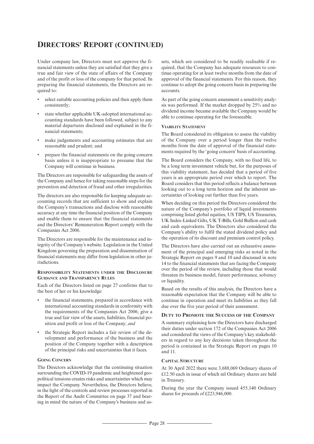# **DIRECTORS' REPORT (CONTINUED)**

Under company law, Directors must not approve the financial statements unless they are satisfied that they give a true and fair view of the state of affairs of the Company and of the profit or loss of the company for that period. In preparing the financial statements, the Directors are required to:

- select suitable accounting policies and then apply them consistently;
- state whether applicable UK-adopted international accounting standards have been followed, subject to any material departures disclosed and explained in the financial statements;
- make judgements and accounting estimates that are reasonable and prudent; and
- prepare the financial statements on the going concern basis unless it is inappropriate to presume that the Company will continue in business.

The Directors are responsible for safeguarding the assets of the Company and hence for taking reasonable steps for the prevention and detection of fraud and other irregularities.

The directors are also responsible for keeping adequate accounting records that are sufficient to show and explain the Company's transactions and disclose with reasonable accuracy at any time the financial position of the Company and enable them to ensure that the financial statements and the Directors' Remuneration Report comply with the Companies Act 2006.

The Directors are responsible for the maintenance and integrity of the Company's website. Legislation in the United Kingdom governing the preparation and dissemination of financial statements may differ from legislation in other jurisdictions.

#### **RESPONSIBILITY STATEMENTS UNDER THE DISCLOSURE GUIDANCE AND TRANSPARENCY RULES**

Each of the Directors listed on page 27 confirms that to the best of her or his knowledge:

- the financial statements, prepared in accordance with international accounting standards in conformity with the requirements of the Companies Act 2006, give a true and fair view of the assets, liabilities, financial position and profit or loss of the Company; *and*
- the Strategic Report includes a fair review of the development and performance of the business and the position of the Company together with a description of the principal risks and uncertainties that it faces.

#### **GOING CONCERN**

The Directors acknowledge that the continuing situation surrounding the COVID-19 pandemic and heightened geopolitical tensions creates risks and uncertainties which may impact the Company. Nevertheless, the Directors believe, in the light of the controls and review processes reported in the Report of the Audit Committee on page 37 and bearing in mind the nature of the Company's business and assets, which are considered to be readily realisable if required, that the Company has adequate resources to continue operating for at least twelve months from the date of approval of the financial statements. For this reason, they continue to adopt the going concern basis in preparing the accounts.

As part of the going concern assessment a sensitivity analysis was performed. If the market dropped by 25% and no dividend income became available the Company would be able to continue operating for the foreseeable.

#### **VIABILITY STATEMENT**

The Board considered its obligation to assess the viability of the Company over a period longer than the twelve months from the date of approval of the financial statements required by the 'going concern' basis of accounting.

The Board considers the Company, with no fixed life, to be a long term investment vehicle but, for the purposes of this viability statement, has decided that a period of five years is an appropriate period over which to report. The Board considers that this period reflects a balance between looking out to a long term horizon and the inherent uncertainties of looking out further than five years.

When deciding on this period the Directors considered the nature of the Company's portfolio of liquid investments comprising listed global equities, US TIPS, US Treasuries, UK Index-Linked Gilts, UK T-Bills, Gold Bullion and cash and cash equivalents. The Directors also considered the Company's ability to fulfil the stated dividend policy and the operation of its discount and premium control policy.

The Directors have also carried out an exhaustive assessment of the principal and emerging risks as noted in the Strategic Report on pages 9 and 10 and discussed in note 14 to the financial statements that are facing the Company over the period of the review, including those that would threaten its business model, future performance, solvency or liquidity.

Based on the results of this analysis, the Directors have a reasonable expectation that the Company will be able to continue in operation and meet its liabilities as they fall due over the five year period of their assessment.

#### **DUTY TO PROMOTE THE SUCCESS OF THE COMPANY**

A summary explaining how the Directors have discharged their duties under section 172 of the Companies Act 2006 and considered the views of the Company's key stakeholders in regard to any key decisions taken throughout the period is contained in the Strategic Report on pages 10 and 11.

#### **CAPITAL STRUCTURE**

At 30 April 2022 there were 3,688,069 Ordinary shares of £12.50 each in issue of which nil Ordinary shares are held in Treasury.

During the year the Company issued 455,140 Ordinary shares for proceeds of £223,946,000.

 $\frac{\ }{\ }$  Page 28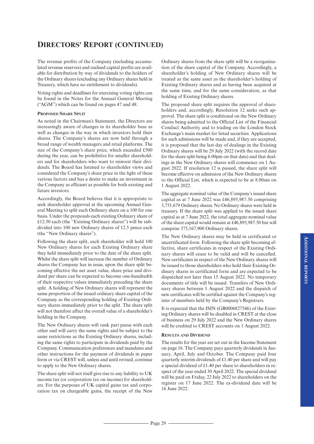The revenue profits of the Company (including accumulated revenue reserves) and realised capital profits are available for distribution by way of dividends to the holders of the Ordinary shares (excluding any Ordinary shares held in Treasury, which have no entitlement to dividends).

Voting rights and deadlines for exercising voting rights can be found in the Notes for the Annual General Meeting ("AGM") which can be found on pages 47 and 48.

### **PROPOSED SHARE SPLIT**

As noted in the Chairman's Statement, the Directors are increasingly aware of changes in its shareholder base as well as changes in the way in which investors hold their shares. The Company's shares are now held through a broad range of wealth managers and retail platforms. The size of the Company's share price, which exceeded £500 during the year, can be prohibitive for smaller shareholders and for shareholders who want to reinvest their dividends. The Board has listened to shareholder views and considered the Company's share price in the light of these various factors and has a desire to make an investment in the Company as efficient as possible for both existing and future investors.

Accordingly, the Board believes that it is appropriate to seek shareholder approval at the upcoming Annual General Meeting to split each Ordinary share on a 100 for one basis. Under the proposals each existing Ordinary share of £12.50 each (the "Existing Ordinary shares") will be subdivided into 100 new Ordinary shares of 12.5 pence each (the "New Ordinary shares").

Following the share split, each shareholder will hold 100 New Ordinary shares for each Existing Ordinary share they held immediately prior to the date of the share split. Whilst the share split will increase the number of Ordinary shares the Company has in issue, upon the share split becoming effective the net asset value, share price and dividend per share can be expected to become one-hundredth of their respective values immediately preceding the share split. A holding of New Ordinary shares will represent the same proportion of the issued ordinary share capital of the Company as the corresponding holding of Existing Ordinary shares immediately prior to the split. The share split will not therefore affect the overall value of a shareholder's holding in the Company.

The New Ordinary shares will rank pari passu with each other and will carry the same rights and be subject to the same restrictions as the Existing Ordinary shares, including the same rights to participate in dividends paid by the Company. Communication preferences and mandates and other instructions for the payment of dividends in paper form or via CREST will, unless and until revised, continue to apply to the New Ordinary shares.

The share split will not itself give rise to any liability to UK income tax (or corporation tax on income) for shareholders. For the purposes of UK capital gains tax and corporation tax on chargeable gains, the receipt of the New Ordinary shares from the share split will be a reorganisation of the share capital of the Company. Accordingly, a shareholder's holding of New Ordinary shares will be treated as the same asset as the shareholder's holding of Existing Ordinary shares and as having been acquired at the same time, and for the same consideration, as that holding of Existing Ordinary shares.

The proposed share split requires the approval of shareholders and, accordingly, Resolution 12 seeks such approval. The share split is conditional on the New Ordinary shares being admitted to the Official List of the Financial Conduct Authority and to trading on the London Stock Exchange's main market for listed securities. Applications for such admissions will be made and, if they are accepted, it is proposed that the last day of dealings in the Existing Ordinary shares will be 29 July 2022 (with the record date for the share split being 6.00pm on that date) and that dealings in the New Ordinary shares will commence on 1 August 2022. If resolution 12 is passed, the share split will become effective on admission of the New Ordinary shares to the Official List, which is expected to be at 8.00am on 1 August 2022.

The aggregate nominal value of the Company's issued share capital as at 7 June 2022 was £46,895,987.50 comprising 3,751,679 Ordinary shares. No Ordinary shares were held in treasury. If the share split was applied to the issued share capital as at 7 June 2022, the total aggregate nominal value of the share capital would remain at £46,895,987.50 but will comprise 375,167,900 Ordinary shares.

The New Ordinary shares may be held in certificated or uncertificated form. Following the share split becoming effective, share certificates in respect of the Existing Ordinary shares will cease to be valid and will be cancelled. New certificates in respect of the New Ordinary shares will be issued to those shareholders who hold their Existing Ordinary shares in certificated form and are expected to be dispatched not later than 15 August 2022. No temporary documents of title will be issued. Transfers of New Ordinary shares between 1 August 2022 and the dispatch of new certificates will be certified against the Company's register of members held by the Company's Registrars.

It is expected that the ISIN (GB0006827546) of the Existing Ordinary shares will be disabled in CREST at the close of business on 29 July 2022 and the New Ordinary shares will be credited to CREST accounts on 1 August 2022.

#### **RESULTS AND DIVIDEND**

The results for the year are set out in the Income Statement on page 16. The Company pays quarterly dividends in January, April, July and October. The Company paid four quarterly interim dividends of £1.40 per share and will pay a special dividend of £1.40 per share to shareholders in respect of the year ended 30 April 2022. The special dividend will be paid on Friday, 22 July 2022 to shareholders on the register on 17 June 2022. The ex-dividend date will be 16 June 2022.

 $-$  Page 29  $-$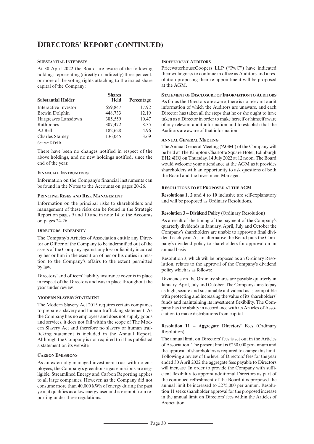# **DIRECTORS' REPORT (CONTINUED)**

### **SUBSTANTIAL INTERESTS**

At 30 April 2022 the Board are aware of the following holdings representing (directly or indirectly) three per cent. or more of the voting rights attaching to the issued share capital of the Company:

| <b>Substantial Holder</b> | <b>Shares</b><br><b>Held</b> | Percentage |
|---------------------------|------------------------------|------------|
| Interactive Investor      | 659.847                      | 17.92      |
| Brewin Dolphin            | 448,733                      | 12.19      |
| Hargreaves Lansdown       | 385,559                      | 10.47      |
| Rathbones                 | 307,472                      | 8.35       |
| AJ Bell                   | 182.628                      | 4.96       |
| <b>Charles Stanley</b>    | 136,045                      | 3.69       |
| Source: RD:IR             |                              |            |

There have been no changes notified in respect of the above holdings, and no new holdings notified, since the end of the year.

#### **FINANCIAL INSTRUMENTS**

Information on the Company's financial instruments can be found in the Notes to the Accounts on pages 20-26.

#### **PRINCIPAL RISKS AND RISK MANAGEMENT**

Information on the principal risks to shareholders and management of these risks can be found in the Strategic Report on pages 9 and 10 and in note 14 to the Accounts on pages 24-26.

#### **DIRECTORS' INDEMNITY**

The Company's Articles of Association entitle any Director or Officer of the Company to be indemnified out of the assets of the Company against any loss or liability incurred by her or him in the execution of her or his duties in relation to the Company's affairs to the extent permitted by law.

Directors' and officers' liability insurance cover is in place in respect of the Directors and was in place throughout the year under review.

#### **MODERN SLAVERY STATEMENT**

The Modern Slavery Act 2015 requires certain companies to prepare a slavery and human trafficking statement. As the Company has no employees and does not supply goods and services, it does not fall within the scope of The Modern Slavery Act and therefore no slavery or human trafficking statement is included in the Annual Report. Although the Company is not required to it has published a statement on its website.

#### **CARBON EMISSIONS**

As an externally managed investment trust with no employees, the Company's greenhouse gas emissions are negligible. Streamlined Energy and Carbon Reporting applies to all large companies. However, as the Company did not consume more than 40,000 kWh of energy during the past year, it qualifies as a low energy user and is exempt from reporting under these regulations.

#### **INDEPENDENT AUDITORS**

PricewaterhouseCoopers LLP ("PwC") have indicated their willingness to continue in office as Auditors and a resolution proposing their re-appointment will be proposed at the AGM.

### **STATEMENT OF DISCLOSURE OF INFORMATION TO AUDITORS**

As far as the Directors are aware, there is no relevant audit information of which the Auditors are unaware, and each Director has taken all the steps that he or she ought to have taken as a Director in order to make herself or himself aware of any relevant audit information and to establish that the Auditors are aware of that information.

#### **ANNUAL GENERAL MEETING**

The Annual General Meeting ('AGM') of the Company will be held at The Kimpton Charlotte Square Hotel, Edinburgh EH2 4HQ on Thursday, 14 July 2022 at 12 noon. The Board would welcome your attendance at the AGM as it provides shareholders with an opportunity to ask questions of both the Board and the Investment Manager.

#### **RESOLUTIONS TO BE PROPOSED AT THE AGM**

**Resolutions 1, 2** and **4** to **10** inclusive are self-explanatory and will be proposed as Ordinary Resolutions.

#### **Resolution 3 – Dividend Policy** (Ordinary Resolution)

As a result of the timing of the payment of the Company's quarterly dividends in January, April, July and October the Company's shareholders are unable to approve a final dividend each year. As an alternative the Board puts the Company's dividend policy to shareholders for approval on an annual basis.

Resolution 3, which will be proposed as an Ordinary Resolution, relates to the approval of the Company's dividend policy which is as follows:

Dividends on the Ordinary shares are payable quarterly in January, April, July and October. The Company aimsto pay as high, secure and sustainable a dividend as is compatible with protecting and increasing the value of its shareholders' funds and maintaining its investment flexibility. The Company has the ability in accordance with its Articles of Association to make distributions from capital.

#### **Resolution 11 – Aggregate Directors' Fees** (Ordinary Resolution)

The annual limit on Directors' fees is set out in the Articles of Association. The present limit is £250,000 per annum and the approval of shareholders is required to change this limit. Following a review of the level of Directors' fees for the year ended 30 April 2022 the aggregate fees payable to Directors will increase. In order to provide the Company with sufficient flexibility to appoint additional Directors as part of the continued refreshment of the Board it is proposed the annual limit be increased to £275,000 per annum. Resolution 11 seeks shareholder approval for the proposed increase in the annual limit on Directors' fees within the Articles of Association.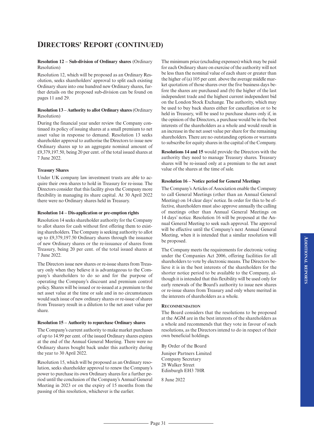#### **Resolution 12 – Sub-division of Ordinary shares** (Ordinary Resolution)

Resolution 12, which will be proposed as an Ordinary Resolution, seeks shareholders' approval to split each existing Ordinary share into one hundred new Ordinary shares, further details on the proposed sub-division can be found on pages 11 and 29.

### **Resolution 13 – Authority to allot Ordinary shares**(Ordinary Resolution)

During the financial year under review the Company continued its policy of issuing shares at a small premium to net asset value in response to demand. Resolution 13 seeks shareholder approval to authorise the Directors to issue new Ordinary shares up to an aggregate nominal amount of  $£9,379,197.50$ , being 20 per cent. of the total issued shares at 7 June 2022.

### **Treasury Shares**

Under UK company law investment trusts are able to acquire their own shares to hold in Treasury for re-issue. The Directors consider that this facility gives the Company more flexibility in managing its share capital. At 30 April 2022 there were no Ordinary shares held in Treasury.

### **Resolution 14 – Dis-application or pre-emption rights**

Resolution 14 seeks shareholder authority for the Company to allot shares for cash without first offering them to existing shareholders. The Company is seeking authority to allot up to £9,379,197.50 Ordinary shares through the issuance of new Ordinary shares or the re-issuance of shares from Treasury, being 20 per cent. of the total issued shares at 7 June 2022.

The Directors issue new shares or re-issue shares from Treasury only when they believe it is advantageous to the Company's shareholders to do so and for the purpose of operating the Company's discount and premium control policy. Shares will be issued or re-issued at a premium to the net asset value at the time or sale and in no circumstances would such issue of new ordinary shares or re-issue of shares from Treasury result in a dilution to the net asset value per share.

# **Resolution 15 – Authority to repurchase Ordinary shares**

The Company's current authority to make market purchases of up to 14.99 per cent. of the issued Ordinary shares expires at the end of the Annual General Meeting. There were no Ordinary shares bought back under this authority during the year to 30 April 2022.

Resolution 15, which will be proposed as an Ordinary resolution, seeks shareholder approval to renew the Company's power to purchase its own Ordinary shares for a further period until the conclusion of the Company's Annual General Meeting in 2023 or on the expiry of 15 months from the passing of this resolution, whichever is the earlier.

The minimum price (excluding expenses) which may be paid for each Ordinary share on exercise of the authority will not be less than the nominal value of each share or greater than the higher of (a)  $105$  per cent. above the average middle market quotation of those shares over the five business days before the shares are purchased and (b) the higher of the last independent trade and the highest current independent bid on the London Stock Exchange. The authority, which may be used to buy back shares either for cancellation or to be held in Treasury, will be used to purchase shares only if, in the opinion of the Directors, a purchase would be in the best interests of the shareholders as a whole and would result in an increase in the net asset value pershare forthe remaining shareholders. There are no outstanding options or warrants to subscribe for equity shares in the capital of the Company.

**Resolutions 14 and 15** would provide the Directors with the authority they need to manage Treasury shares. Treasury shares will be re-issued only at a premium to the net asset value of the shares at the time of sale.

### **Resolution 16 – Notice period for General Meetings**

The Company's Articles of Association enable the Company to call General Meetings (other than an Annual General Meeting) on 14 clear days' notice. In order for this to be effective, shareholders must also approve annually the calling of meetings other than Annual General Meetings on 14 days' notice. Resolution 16 will be proposed at the Annual General Meeting to seek such approval. The approval will be effective until the Company's next Annual General Meeting, when it is intended that a similar resolution will be proposed.

The Company meets the requirements for electronic voting under the Companies Act 2006, offering facilities for all shareholders to vote by electronic means. The Directors believe it is in the best interests of the shareholders for the shorter notice period to be available to the Company, although it is intended that this flexibility will be used only for early renewals of the Board's authority to issue new shares or re-issue shares from Treasury and only where merited in the interests of shareholders as a whole.

# **RECOMMENDATION**

The Board considers that the resolutions to be proposed at the AGM are in the best interests of the shareholders as a whole and recommends that they vote in favour of such resolutions, as the Directors intend to do in respect of their own beneficial holdings.

By Order of the Board

Juniper Partners Limited Company Secretary 28 Walker Street Edinburgh EH3 7HR

8 June 2022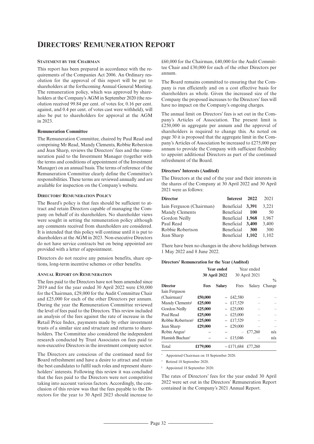# **DIRECTORS' REMUNERATION REPORT**

#### **STATEMENT BY THE CHAIRMAN**

This report has been prepared in accordance with the requirements of the Companies Act 2006. An Ordinary resolution for the approval of this report will be put to shareholders at the forthcoming Annual General Meeting. The remuneration policy, which was approved by shareholders at the Company's AGM in September 2020 (the resolution received 99.84 per cent. of votes for, 0.16 per cent. against, and 0.4 per cent. of votes cast were withheld), will also be put to shareholders for approval at the AGM in 2023.

#### **Remuneration Committee**

The Remuneration Committee, chaired by Paul Read and comprising Mr Read, Mandy Clements, Robbie Roberston and Jean Sharp, reviews the Directors' fees and the remuneration paid to the Investment Manager (together with the terms and conditions of appointment of the Investment Manager) on an annual basis. The terms of reference of the Remuneration Committee clearly define the Committee's responsibilities. These terms are reviewed annually and are available for inspection on the Company's website.

#### **DIRECTORS' REMUNERATION POLICY**

The Board's policy is that fees should be sufficient to attract and retain Directors capable of managing the Company on behalf of its shareholders. No shareholder views were sought in setting the remuneration policy although any comments received from shareholders are considered. It is intended that this policy will continue until it is put to shareholders at the AGM in 2023. Non-executive Directors do not have service contracts but on being appointed are provided with a letter of appointment.

Directors do not receive any pension benefits, share options, long-term incentive schemes or other benefits.

#### **ANNUAL REPORT ON REMUNERATION**

The fees paid to the Directors have not been amended since 2019 and for the year ended 30 April 2022 were £50,000 for the Chairman, £29,000 for the Audit Committee Chair and £25,000 for each of the other Directors per annum. During the year the Remuneration Committee reviewed the level of fees paid to the Directors. This review included an analysis of the fees against the rate of increase in the Retail Price Index, payments made by other investment trusts of a similar size and structure and returns to shareholders. The Committee also considered the independent research conducted by Trust Associates on fees paid to non-executive Directors in the investment company sector.

The Directors are conscious of the continued need for Board refreshment and have a desire to attract and retain the best candidates to fulfil such roles and represent shareholders' interests. Following this review it was concluded that the fees paid to the Directors were not competitive taking into account various factors. Accordingly, the conclusion of this review was that the fees payable to the Directors for the year to 30 April 2023 should increase to

£60,000 for the Chairman, £40,000 for the Audit Committee Chair and £30,000 for each of the other Directors per annum.

The Board remains committed to ensuring that the Company is run efficiently and on a cost effective basis for shareholders as whole. Given the increased size of the Company the proposed increases to the Directors'fees will have no impact on the Company's ongoing charges.

The annual limit on Directors' fees is set out in the Company's Articles of Association. The present limit is £250,000 in aggregate per annum and the approval of shareholders is required to change this. As noted on page 30 it is proposed that the aggregate limit in the Company's Articles of Association be increased to £275,000 per annum to provide the Company with sufficient flexibility to appoint additional Directors as part of the continued refreshment of the Board.

#### **Directors' Interests (Audited)**

The Directors at the end of the year and their interests in the shares of the Company at 30 April 2022 and 30 April 2021 were as follows:

|            |            | 2021                                                                                          |
|------------|------------|-----------------------------------------------------------------------------------------------|
|            |            | 3.221                                                                                         |
| Beneficial | 100        | 50                                                                                            |
|            |            | 1.967                                                                                         |
|            |            | 3,400                                                                                         |
| Beneficial | <b>300</b> | 300                                                                                           |
|            |            | 1.102                                                                                         |
|            |            | Interest 2022<br>Beneficial 3,391<br>Beneficial 1,968<br>Beneficial 3,400<br>Beneficial 1,102 |

There have been no changes in the above holdings between 1 May 2022 and 8 June 2022.

#### **Directors' Remuneration for the Year (Audited)**

|                               | <b>Year ended</b><br><b>30 April 2022</b> |                          |             | Year ended<br>30 April 2021 |                         |
|-------------------------------|-------------------------------------------|--------------------------|-------------|-----------------------------|-------------------------|
| <b>Director</b>               | Fees                                      | <b>Salary</b>            | Fees        | Salary                      | $\frac{0}{0}$<br>Change |
| Iain Ferguson                 |                                           |                          |             |                             |                         |
| (Chairman)*                   | £50,000                                   |                          | $-$ £42,580 |                             |                         |
| Mandy Clements <sup>§</sup>   | £25,000                                   |                          | £17,529     |                             |                         |
| Gordon Neilly                 | £25,000                                   |                          | £25,000     |                             |                         |
| Paul Read                     | £25,000                                   | $\overline{\phantom{0}}$ | £25,000     |                             |                         |
| Robbie Robertson <sup>§</sup> | £25,000                                   |                          | £17,529     |                             |                         |
| Jean Sharp                    | £29,000                                   |                          | £29,000     |                             |                         |
| Robin Angust                  |                                           |                          |             | £77,260                     | n/a                     |
| Hamish Buchan <sup>†</sup>    |                                           |                          | £15,046     |                             | n/a                     |
| Total                         | £179,000                                  |                          | $-£171.684$ | £77,260                     |                         |

Appointed Chairman on 18 September 2020.

† Retired 18 September 2020.

§ Appointed 18 September 2020.

The rates of Directors' fees for the year ended 30 April 2022 were set out in the Directors' Remuneration Report contained in the Company's 2021 Annual Report.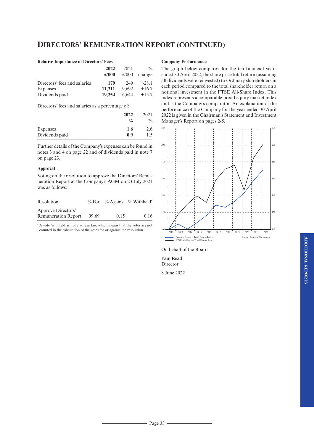# **DIRECTORS' REMUNERATION REPORT (CONTINUED)**

#### **Relative Importance of Directors' Fees**

|                              | 2022          | 2021   | $\frac{0}{0}$ |
|------------------------------|---------------|--------|---------------|
|                              | $\pounds 000$ | £'000  | change        |
| Directors' fees and salaries | 179           | 249    | $-28.1$       |
| Expenses                     | 11,311        | 9.692  | $+16.7$       |
| Dividends paid               | 19,254        | 16.644 | $+15.7$       |

Directors' fees and salaries as a percentage of:

|                | 2022<br>$\frac{0}{0}$ | 2021<br>$\frac{0}{0}$ |
|----------------|-----------------------|-----------------------|
| Expenses       | 1.6                   | 2.6                   |
| Dividends paid | 0.9                   | .5                    |

Further details of the Company's expenses can be found in notes 3 and 4 on page 22 and of dividends paid in note 7 on page 23.

#### **Approval**

Voting on the resolution to approve the Directors' Remuneration Report at the Company's AGM on 23 July 2021 was as follows:

| Resolution                 |       |      | % For % Against % Withheld* |
|----------------------------|-------|------|-----------------------------|
| Approve Directors'         |       |      |                             |
| <b>Remuneration Report</b> | 99.69 | 0.15 | 0.16                        |

\* A vote 'withheld' is not a vote in law, which means that the votes are not counted in the calculation of the votes for or against the resolution.

#### **Company Performance**

The graph below compares, for the ten financial years ended 30 April 2022, the share price total return (assuming all dividends were reinvested) to Ordinary shareholders in each period compared to the total shareholder return on a notional investment in the FTSE All-Share Index. This index represents a comparable broad equity market index and is the Company's comparator. An explanation of the performance of the Company for the year ended 30 April 2022 is given in the Chairman's Statement and Investment Manager's Report on pages 2-5.



On behalf of the Board

Paul Read Director

8 June 2022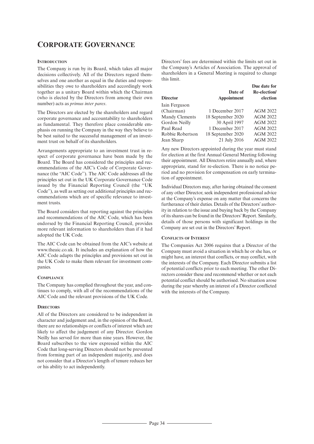# **CORPORATE GOVERNANCE**

### **INTRODUCTION**

The Company is run by its Board, which takes all major decisions collectively. All of the Directors regard themselves and one another as equal in the duties and responsibilities they owe to shareholders and accordingly work together as a unitary Board within which the Chairman (who is elected by the Directors from among their own number) acts as *primus inter pares*.

The Directors are elected by the shareholders and regard corporate governance and accountability to shareholders as fundamental. They therefore place considerable emphasis on running the Company in the way they believe to be best suited to the successful management of an investment trust on behalf of its shareholders.

Arrangements appropriate to an investment trust in respect of corporate governance have been made by the Board. The Board has considered the principles and recommendations of the AIC's Code of Corporate Governance (the ''AIC Code''). The AIC Code addresses all the principles set out in the UK Corporate Governance Code issued by the Financial Reporting Council (the ''UK Code''), as well as setting out additional principles and recommendations which are of specific relevance to investment trusts.

The Board considers that reporting against the principles and recommendations of the AIC Code, which has been endorsed by the Financial Reporting Council, provides more relevant information to shareholders than if it had adopted the UK Code.

The AIC Code can be obtained from the AIC's website at www.theaic.co.uk. It includes an explanation of how the AIC Code adapts the principles and provisions set out in the UK Code to make them relevant for investment companies.

#### **COMPLIANCE**

The Company has complied throughout the year, and continues to comply, with all of the recommendations of the AIC Code and the relevant provisions of the UK Code.

#### **DIRECTORS**

All of the Directors are considered to be independent in character and judgement and, in the opinion of the Board, there are no relationships or conflicts of interest which are likely to affect the judgement of any Director. Gordon Neilly has served for more than nine years. However, the Board subscribes to the view expressed within the AIC Code that long-serving Directors should not be prevented from forming part of an independent majority, and does not consider that a Director's length of tenure reduces her or his ability to act independently.

Directors' fees are determined within the limits set out in the Company's Articles of Association. The approval of shareholders in a General Meeting is required to change this limit.

| Date of<br>Appointment | Due date for<br>Re-election/<br>election |
|------------------------|------------------------------------------|
|                        |                                          |
| 1 December 2017        | <b>AGM 2022</b>                          |
| 18 September 2020      | <b>AGM 2022</b>                          |
| 30 April 1997          | <b>AGM 2022</b>                          |
| 1 December 2017        | <b>AGM 2022</b>                          |
| 18 September 2020      | <b>AGM 2022</b>                          |
| 21 July 2016           | <b>AGM 2022</b>                          |
|                        |                                          |

Any new Directors appointed during the year must stand for election at the first Annual General Meeting following their appointment. All Directors retire annually and, where appropriate, stand for re-election. There is no notice period and no provision for compensation on early termination of appointment.

Individual Directors may, after having obtained the consent of any other Director, seek independent professional advice at the Company's expense on any matter that concerns the furtherance of their duties. Details of the Directors' authority in relation to the issue and buying back by the Company of its shares can be found in the Directors' Report. Similarly, details of those persons with significant holdings in the Company are set out in the Directors' Report.

#### **CONFLICTS OF INTEREST**

The Companies Act 2006 requires that a Director of the Company must avoid a situation in which he or she has, or might have, an interest that conflicts, or may conflict, with the interests of the Company. Each Director submits a list of potential conflicts prior to each meeting. The other Directors consider these and recommend whether or not each potential conflict should be authorised. No situation arose during the year whereby an interest of a Director conflicted with the interests of the Company.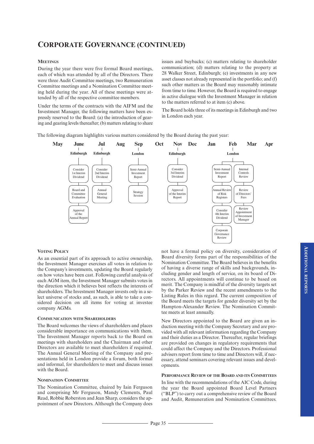# **CORPORATE GOVERNANCE (CONTINUED)**

#### **MEETINGS**

During the year there were five formal Board meetings, each of which was attended by all of the Directors. There were three Audit Committee meetings, two Remuneration Committee meetings and a Nomination Committee meeting held during the year. All of these meetings were attended by all of the respective committee members.

Under the terms of the contracts with the AIFM and the Investment Manager, the following matters have been expressly reserved to the Board: (a) the introduction of gearing and gearing levels thereafter; (b) matters relating to share

issues and buybacks; (c) matters relating to shareholder communication; (d) matters relating to the property at 28 Walker Street, Edinburgh; (e) investments in any new asset classes not already represented in the portfolio; and (f) such other matters as the Board may reasonably intimate from time to time. However, the Board is required to engage in active dialogue with the Investment Manager in relation to the matters referred to at item (c) above.

The Board holds three of its meetings in Edinburgh and two in London each year.

The following diagram highlights various matters considered by the Board during the past year:



#### **VOTING POLICY**

As an essential part of its approach to active ownership, the Investment Manager exercises all votes in relation to the Company's investments, updating the Board regularly on how votes have been cast. Following careful analysis of each AGM item, the Investment Manager submits votes in the direction which it believes best reflects the interests of shareholders. The Investment Manager invests only in a select universe of stocks and, as such, is able to take a considered decision on all items for voting at investee company AGMs.

#### **COMMUNICATION WITH SHAREHOLDERS**

The Board welcomes the views of shareholders and places considerable importance on communications with them. The Investment Manager reports back to the Board on meetings with shareholders and the Chairman and other Directors are available to meet shareholders if required. The Annual General Meeting of the Company and presentations held in London provide a forum, both formal and informal, for shareholders to meet and discuss issues with the Board.

#### **NOMINATION COMMITTEE**

The Nomination Committee, chaired by Iain Ferguson and comprising Mr Ferguson, Mandy Clements, Paul Read, Robbie Roberston and Jean Sharp, considers the appointment of new Directors. Although the Company does

not have a formal policy on diversity, consideration of Board diversity forms part of the responsibilities of the Nomination Committee. The Board believes in the benefits of having a diverse range of skills and backgrounds, including gender and length of service, on its board of Directors. All appointments will continue to be based on merit. The Company is mindful of the diversity targets set by the Parker Review and the recent amendments to the Listing Rules in this regard. The current composition of the Board meets the targets for gender diversity set by the Hampton-Alexander Review. The Nomination Committee meets at least annually.

New Directors appointed to the Board are given an induction meeting with the Company Secretary and are provided with all relevant information regarding the Company and their duties as a Director. Thereafter, regular briefings are provided on changes in regulatory requirements that could affect the Company and the Directors. Professional advisers report from time to time and Directors will, if necessary, attend seminars covering relevant issues and developments.

#### **PERFORMANCE REVIEW OF THE BOARD AND ITS COMMITTEES**

In line with the recommendations of the AIC Code, during the year the Board appointed Board Level Partners ("BLP") to carry out a comprehensive review of the Board and Audit, Remuneration and Nomination Committees.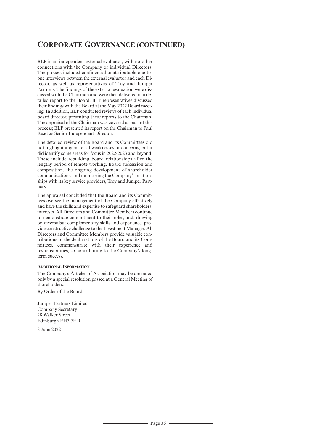# **CORPORATE GOVERNANCE (CONTINUED)**

BLP is an independent external evaluator, with no other connections with the Company or individual Directors. The process included confidential unattributable one-toone interviews between the external evaluator and each Director, as well as representatives of Troy and Juniper Partners. The findings of the external evaluation were discussed with the Chairman and were then delivered in a detailed report to the Board. BLP representatives discussed their findings with the Board at the May 2022 Board meeting. In addition, BLP conducted reviews of each individual board director, presenting these reports to the Chairman. The appraisal of the Chairman was covered as part of this process; BLP presented its report on the Chairman to Paul Read as Senior Independent Director.

The detailed review of the Board and its Committees did not highlight any material weaknesses or concerns, but it did identify some areas for focus in 2022-2023 and beyond. These include rebuilding board relationships after the lengthy period of remote working, Board succession and composition, the ongoing development of shareholder communications, and monitoring the Company's relationships with its key service providers, Troy and Juniper Partners.

The appraisal concluded that the Board and its Committees oversee the management of the Company effectively and have the skills and expertise to safeguard shareholders' interests. All Directors and Committee Members continue to demonstrate commitment to their roles, and, drawing on diverse but complementary skills and experience, provide constructive challenge to the Investment Manager. All Directors and Committee Members provide valuable contributions to the deliberations of the Board and its Committees, commensurate with their experience and responsibilities, so contributing to the Company's longterm success.

#### **ADDITIONAL INFORMATION**

The Company's Articles of Association may be amended only by a special resolution passed at a General Meeting of shareholders.

By Order of the Board

Juniper Partners Limited Company Secretary 28 Walker Street Edinburgh EH3 7HR

8 June 2022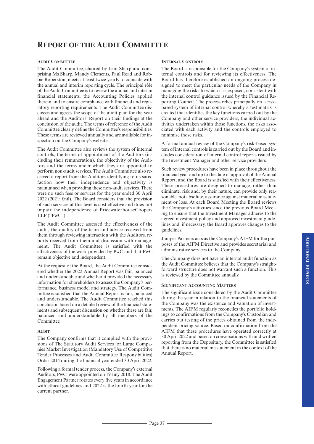# **REPORT OF THE AUDIT COMMITTEE**

#### **AUDIT COMMITTEE**

The Audit Committee, chaired by Jean Sharp and comprising Ms Sharp, Mandy Clements, Paul Read and Robbie Roberston, meets at least twice yearly to coincide with the annual and interim reporting cycle. The principal rôle of the Audit Committee is to review the annual and interim financial statements, the Accounting Policies applied therein and to ensure compliance with financial and regulatory reporting requirements. The Audit Committee discusses and agrees the scope of the audit plan for the year ahead and the Auditors' Report on their findings at the conclusion of the audit. The terms of reference of the Audit Committee clearly define the Committee's responsibilities. These terms are reviewed annually and are available for inspection on the Company's website.

The Audit Committee also reviews the system of internal controls, the terms of appointment of the Auditors (including their remuneration), the objectivity of the Auditors and the terms under which they are appointed to perform non-audit services. The Audit Committee also received a report from the Auditors identifying to its satisfaction how their independence and objectivity is maintained when providing these non-audit services. There were no such fees or services for the year ended 30 April 2022 (2021: £nil). The Board considers that the provision of such services at this level is cost effective and does not impair the independence of PricewaterhouseCoopers LLP ("PwC").

The Audit Committee assessed the effectiveness of the audit, the quality of the team and advice received from them through reviewing interaction with the Auditors, reports received from them and discussion with management. The Audit Committee is satisfied with the effectiveness of the work provided by PwC and that PwC remain objective and independent.

At the request of the Board, the Audit Committee considered whether the 2022 Annual Report was fair, balanced and understandable and whether it provided the necessary information for shareholders to assess the Company's performance, business model and strategy. The Audit Committee is satisfied that the Annual Report is fair, balanced and understandable. The Audit Committee reached this conclusion based on a detailed review of the financial statements and subsequent discussion on whether these are fair. balanced and understandable by all members of the Committee.

#### **AUDIT**

The Company confirms that it complied with the provisions of The Statutory Audit Services for Large Companies Market Investigation (Mandatory Use of Competitive Tender Processes and Audit Committee Responsibilities) Order 2014 during the financial year ended 30 April 2022.

Following a formal tender process, the Company's external Auditors, PwC, were appointed on 19 July 2018. The Audit Engagement Partner rotates every five years in accordance with ethical guidelines and 2022 is the fourth year for the current partner.

#### **INTERNAL CONTROLS**

The Board is responsible for the Company's system of internal controls and for reviewing its effectiveness. The Board has therefore established an ongoing process designed to meet the particular needs of the Company in managing the risks to which it is exposed, consistent with the internal control guidance issued by the Financial Reporting Council. The process relies principally on a riskbased system of internal control whereby a test matrix is created that identifies the key functions carried out by the Company and other service providers, the individual activities undertaken within those functions, the risks associated with each activity and the controls employed to minimise those risks.

A formal annual review of the Company's risk-based system of internal controls is carried out by the Board and includes consideration of internal control reports issued by the Investment Manager and other service providers.

Such review procedures have been in place throughout the financial year and up to the date of approval of the Annual Report, and the Board is satisfied with their effectiveness. These procedures are designed to manage, rather than eliminate, risk and, by their nature, can provide only reasonable, not absolute, assurance against material misstatement or loss. At each Board Meeting the Board reviews the Company's activities since the previous Board Meeting to ensure that the Investment Manager adheres to the agreed investment policy and approved investment guidelines and, if necessary, the Board approves changes to the guidelines.

Juniper Partners acts as the Company's AIFM for the purposes of the AIFM Directive and provides secretarial and administrative services to the Company.

The Company does not have an internal audit function as the Audit Committee believes that the Company's straightforward structure does not warrant such a function. This is reviewed by the Committee annually.

#### **SIGNIFICANT ACCOUNTING MATTERS**

The significant issue considered by the Audit Committee during the year in relation to the financial statements of the Company was the existence and valuation of investments. The AIFM regularly reconciles the portfolio holdings to confirmations from the Company's Custodian and carries out testing of the prices obtained from the independent pricing source. Based on confirmation from the AIFM that these procedures have operated correctly at 30 April 2022 and based on conversations with and written reporting from the Depositary, the Committee is satisfied that there is no material misstatement in the context of the Annual Report.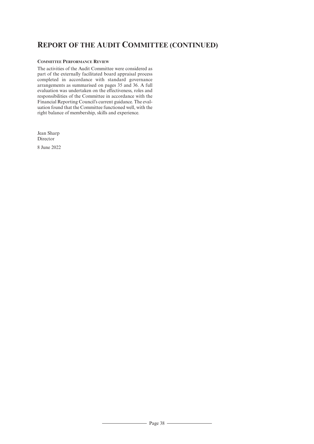# **REPORT OF THE AUDIT COMMITTEE (CONTINUED)**

# **COMMITTEE PERFORMANCE REVIEW**

The activities of the Audit Committee were considered as part of the externally facilitated board appraisal process completed in accordance with standard governance arrangements as summarised on pages 35 and 36. A full evaluation was undertaken on the effectiveness, roles and responsibilities of the Committee in accordance with the Financial Reporting Council's current guidance. The evaluation found that the Committee functioned well, with the right balance of membership, skills and experience.

Jean Sharp Director

8 June 2022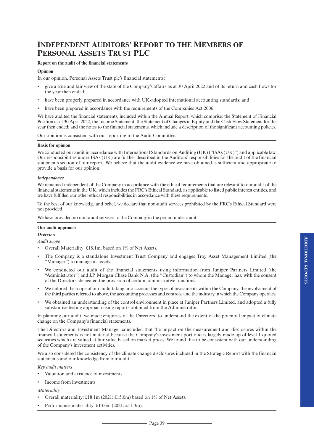#### **Report on the audit of the financial statements**

#### **Opinion**

In our opinion, Personal Assets Trust plc's financial statements:

- give a true and fair view of the state of the Company's affairs as at 30 April 2022 and of its return and cash flows for the year then ended;
- have been properly prepared in accordance with UK-adopted international accounting standards; and
- have been prepared in accordance with the requirements of the Companies Act 2006.

We have audited the financial statements, included within the Annual Report, which comprise: the Statement of Financial Position as at 30 April 2022; the Income Statement, the Statement of Changes in Equity and the Cash Flow Statement for the year then ended; and the notes to the financial statements, which include a description of the significant accounting policies.

Our opinion is consistent with our reporting to the Audit Committee.

#### **Basis for opinion**

We conducted our audit in accordance with International Standards on Auditing (UK) ("ISAs (UK)") and applicable law. Our responsibilities under ISAs (UK) are further described in the Auditors' responsibilities for the audit of the financial statements section of our report. We believe that the audit evidence we have obtained is sufficient and appropriate to provide a basis for our opinion.

#### *Independence*

We remained independent of the Company in accordance with the ethical requirements that are relevant to our audit of the financial statements in the UK, which includes the FRC's Ethical Standard, as applicable to listed public interest entities, and we have fulfilled our other ethical responsibilities in accordance with these requirements.

To the best of our knowledge and belief, we declare that non-audit services prohibited by the FRC's Ethical Standard were not provided.

We have provided no non-audit services to the Company in the period under audit.

#### **Our audit approach**

#### *Overview*

*Audit scope*

- Overall Materiality: £18.1m, based on 1% of Net Assets.
- The Company is a standalone Investment Trust Company and engages Troy Asset Management Limited (the "Manager") to manage its assets.
- We conducted our audit of the financial statements using information from Juniper Partners Limited (the "Administrator") and J.P. Morgan Chase Bank N.A. (the "Custodian") to whom the Manager has, with the consent of the Directors, delegated the provision of certain administrative functions.
- We tailored the scope of our audit taking into account the types of investments within the Company, the involvement of the third parties referred to above, the accounting processes and controls, and the industry in which the Company operates.
- We obtained an understanding of the control environment in place at Juniper Partners Limited, and adopted a fully substantive testing approach using reports obtained from the Administrator.

In planning our audit, we made enquiries of the Directors to understand the extent of the potential impact of climate change on the Company's financial statements.

The Directors and Investment Manager concluded that the impact on the measurement and disclosures within the financial statements is not material because the Company's investment portfolio is largely made up of level 1 quoted securities which are valued at fair value based on market prices. We found this to be consistent with our understanding of the Company's investment activities.

We also considered the consistency of the climate change disclosures included in the Strategic Report with the financial statements and our knowledge from our audit.

*Key audit matters*

- Valuation and existence of investments
- Income from investments

#### *Materiality*

- Overall materiality: £18.1m (2021: £15.0m) based on 1% of Net Assets.
- Performance materiality: £13.6m (2021: £11.3m).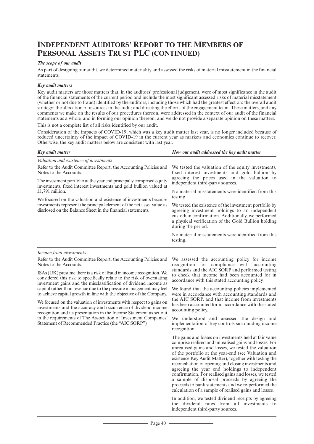### *The scope of our audit*

As part of designing our audit, we determined materiality and assessed the risks of material misstatement in the financial statements.

#### *Key audit matters*

Key audit matters are those matters that, in the auditors' professional judgement, were of most significance in the audit of the financial statements of the current period and include the most significant assessed risks of material misstatement (whether or not due to fraud) identified by the auditors, including those which had the greatest effect on: the overall audit strategy; the allocation ofresources in the audit; and directing the efforts of the engagement team. These matters, and any comments we make on the results of our procedures thereon, were addressed in the context of our audit of the financial statements as a whole, and in forming our opinion thereon, and we do not provide a separate opinion on these matters.

This is not a complete list of all risks identified by our audit.

Consideration of the impacts of COVID-19, which was a key audit matter last year, is no longer included because of reduced uncertainty of the impact of COVID-19 in the current year as markets and economies continue to recover. Otherwise, the key audit matters below are consistent with last year.

| How our audit addressed the key audit matter                                                                                                                                                                                                |  |                                                     |
|---------------------------------------------------------------------------------------------------------------------------------------------------------------------------------------------------------------------------------------------|--|-----------------------------------------------------|
|                                                                                                                                                                                                                                             |  |                                                     |
| We tested the valuation of the equity investments,<br>fixed interest investments and gold bullion by<br>agreeing the prices used in the valuation to<br>independent third-party sources.                                                    |  |                                                     |
|                                                                                                                                                                                                                                             |  | No material misstatements were identified from this |
| testing.                                                                                                                                                                                                                                    |  |                                                     |
| We tested the existence of the investment portfolio by<br>agreeing investment holdings to an independent<br>custodian confirmation. Additionally, we performed<br>a physical verification of the Gold Bullion holding<br>during the period. |  |                                                     |
| No material misstatements were identified from this<br>testing.                                                                                                                                                                             |  |                                                     |
|                                                                                                                                                                                                                                             |  |                                                     |

#### *Income from investments*

Refer to the Audit Committee Report, the Accounting Policies and Notes to the Accounts.

ISAs(UK) presume there is a risk offraud in income recognition. We considered this risk to specifically relate to the risk of overstating investment gains and the misclassification of dividend income as capital rather than revenue due to the pressure management may feel to achieve capital growth in line with the objective of the Company.

We focused on the valuation of investments with respect to gains on investments and the accuracy and occurrence of dividend income recognition and its presentation in the Income Statement as set out in the requirements of The Association of Investment Companies' Statement of Recommended Practice (the "AIC SORP")

We assessed the accounting policy for income recognition for compliance with accounting standards and the AIC SORP and performed testing to check that income had been accounted for in accordance with this stated accounting policy.

We found that the accounting policies implemented were in accordance with accounting standards and the AIC SORP, and that income from investments has been accounted for in accordance with the stated accounting policy.

We understood and assessed the design and implementation of key controls surrounding income recognition.

The gains and losses on investments held at fair value comprise realised and unrealised gains and losses. For unrealised gains and losses, we tested the valuation of the portfolio at the year-end (see Valuation and existence Key Audit Matter), together with testing the reconciliation of opening and closing investments and agreeing the year end holdings to independent confirmation. For realised gains and losses, we tested a sample of disposal proceeds by agreeing the proceeds to bank statements and we re-performed the calculation of a sample of realised gains and losses.

In addition, we tested dividend receipts by agreeing the dividend rates from all investments to independent third-party sources.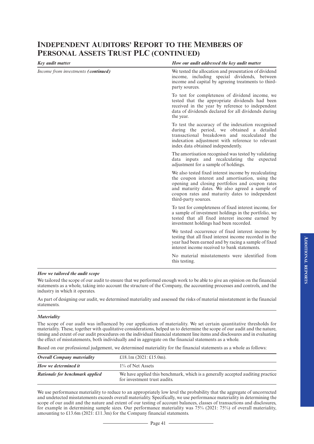| <b>Key audit matter</b>             | How our audit addressed the key audit matter                                                                                                                                                                                                                                            |
|-------------------------------------|-----------------------------------------------------------------------------------------------------------------------------------------------------------------------------------------------------------------------------------------------------------------------------------------|
| Income from investments (continued) | We tested the allocation and presentation of dividend<br>income, including special dividends, between<br>income and capital by agreeing treatments to third-<br>party sources.                                                                                                          |
|                                     | To test for completeness of dividend income, we<br>tested that the appropriate dividends had been<br>received in the year by reference to independent<br>data of dividends declared for all dividends during<br>the year.                                                               |
|                                     | To test the accuracy of the indexation recognised<br>during the period, we obtained a detailed<br>transactional breakdown and recalculated the<br>indexation adjustment with reference to relevant<br>index data obtained independently.                                                |
|                                     | The amortisation recognised was tested by validating<br>data inputs and recalculating the expected<br>adjustment for a sample of holdings.                                                                                                                                              |
|                                     | We also tested fixed interest income by recalculating<br>the coupon interest and amortisation, using the<br>opening and closing portfolios and coupon rates<br>and maturity dates. We also agreed a sample of<br>coupon rates and maturity dates to independent<br>third-party sources. |
|                                     | To test for completeness of fixed interest income, for<br>a sample of investment holdings in the portfolio, we<br>tested that all fixed interest income earned by<br>investment holdings had been recorded.                                                                             |
|                                     | We tested occurrence of fixed interest income by<br>testing that all fixed interest income recorded in the<br>year had been earned and by racing a sample of fixed<br>interest income received to bank statements.                                                                      |
|                                     | No material misstatements were identified from<br>this testing.                                                                                                                                                                                                                         |

### *How we tailored the audit scope*

We tailored the scope of our audit to ensure that we performed enough work to be able to give an opinion on the financial statements as a whole, taking into account the structure of the Company, the accounting processes and controls, and the industry in which it operates.

As part of designing our audit, we determined materiality and assessed the risks of material misstatement in the financial statements.

#### *Materiality*

The scope of our audit was influenced by our application of materiality. We set certain quantitative thresholds for materiality. These, together with qualitative considerations, helped us to determine the scope of our audit and the nature, timing and extent of our audit procedures on the individual financial statement line items and disclosures and in evaluating the effect of misstatements, both individually and in aggregate on the financial statements as a whole.

Based on our professional judgement, we determined materiality for the financial statements as a whole as follows:

| <b>Overall Company materiality</b> | £18.1m $(2021:£15.0m)$ .                                                                                        |
|------------------------------------|-----------------------------------------------------------------------------------------------------------------|
| How we determined it               | 1\% of Net Assets                                                                                               |
| Rationale for benchmark applied    | We have applied this benchmark, which is a generally accepted auditing practice<br>for investment trust audits. |

We use performance materiality to reduce to an appropriately low level the probability that the aggregate of uncorrected and undetected misstatements exceeds overall materiality. Specifically, we use performance materiality in determining the scope of our audit and the nature and extent of our testing of account balances, classes of transactions and disclosures, for example in determining sample sizes. Our performance materiality was 75% (2021: 75%) of overall materiality, amounting to £13.6m (2021: £11.3m) for the Company financial statements.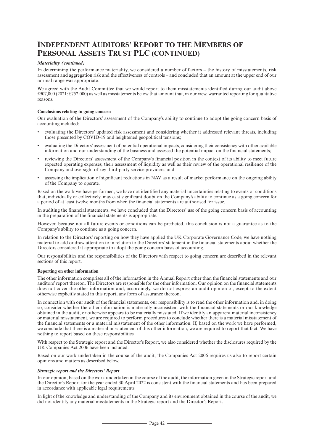#### *Materiality (continued)*

In determining the performance materiality, we considered a number of factors – the history of misstatements, risk assessment and aggregation risk and the effectiveness of controls – and concluded that an amount at the upper end of our normal range was appropriate.

We agreed with the Audit Committee that we would report to them misstatements identified during our audit above £907,000 (2021: £752,000) as well as misstatements below that amount that, in our view, warranted reporting for qualitative reasons.

#### **Conclusions relating to going concern**

Our evaluation of the Directors' assessment of the Company's ability to continue to adopt the going concern basis of accounting included:

- evaluating the Directors' updated risk assessment and considering whether it addressed relevant threats, including those presented by COVID-19 and heightened geopolitical tensions;
- evaluating the Directors' assessment of potential operational impacts, considering their consistency with other available information and our understanding of the business and assessed the potential impact on the financial statements;
- reviewing the Directors' assessment of the Company's financial position in the context of its ability to meet future expected operating expenses, their assessment of liquidity as well as their review of the operational resilience of the Company and oversight of key third-party service providers; and
- assessing the implication of significant reductions in NAV as a result of market performance on the ongoing ability of the Company to operate.

Based on the work we have performed, we have not identified any material uncertainties relating to events or conditions that, individually or collectively, may cast significant doubt on the Company's ability to continue as a going concern for a period of at least twelve months from when the financial statements are authorised for issue.

In auditing the financial statements, we have concluded that the Directors' use of the going concern basis of accounting in the preparation of the financial statements is appropriate.

However, because not all future events or conditions can be predicted, this conclusion is not a guarantee as to the Company's ability to continue as a going concern.

In relation to the Directors' reporting on how they have applied the UK Corporate Governance Code, we have nothing material to add or draw attention to in relation to the Directors' statement in the financial statements about whether the Directors considered it appropriate to adopt the going concern basis of accounting.

Our responsibilities and the responsibilities of the Directors with respect to going concern are described in the relevant sections of this report.

#### **Reporting on other information**

The other information comprises all of the information in the Annual Report other than the financial statements and our auditors'report thereon. The Directors are responsible for the other information. Our opinion on the financial statements does not cover the other information and, accordingly, we do not express an audit opinion or, except to the extent otherwise explicitly stated in this report, any form of assurance thereon.

In connection with our audit of the financial statements, our responsibility is to read the other information and, in doing so, consider whether the other information is materially inconsistent with the financial statements or our knowledge obtained in the audit, or otherwise appears to be materially misstated. If we identify an apparent material inconsistency or material misstatement, we are required to perform procedures to conclude whether there is a material misstatement of the financial statements or a material misstatement of the other information. If, based on the work we have performed, we conclude that there is a material misstatement of this other information, we are required to report that fact. We have nothing to report based on these responsibilities.

With respect to the Strategic report and the Director's Report, we also considered whether the disclosures required by the UK Companies Act 2006 have been included.

Based on our work undertaken in the course of the audit, the Companies Act 2006 requires us also to report certain opinions and matters as described below.

#### *Strategic report and the Directors' Report*

In our opinion, based on the work undertaken in the course of the audit, the information given in the Strategic report and the Director's Report for the year ended 30 April 2022 is consistent with the financial statements and has been prepared in accordance with applicable legal requirements.

In light of the knowledge and understanding of the Company and its environment obtained in the course of the audit, we did not identify any material misstatements in the Strategic report and the Director's Report.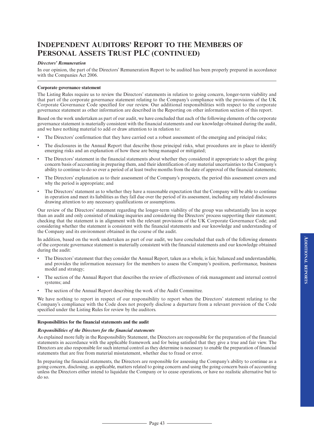#### *Directors' Remuneration*

In our opinion, the part of the Directors' Remuneration Report to be audited has been properly prepared in accordance with the Companies Act 2006.

#### **Corporate governance statement**

The Listing Rules require us to review the Directors' statements in relation to going concern, longer-term viability and that part of the corporate governance statement relating to the Company's compliance with the provisions of the UK Corporate Governance Code specified for our review. Our additional responsibilities with respect to the corporate governance statement as other information are described in the Reporting on other information section of this report.

Based on the work undertaken as part of our audit, we have concluded that each of the following elements of the corporate governance statement is materially consistent with the financial statements and our knowledge obtained during the audit, and we have nothing material to add or draw attention to in relation to:

- The Directors' confirmation that they have carried out a robust assessment of the emerging and principal risks;
- The disclosures in the Annual Report that describe those principal risks, what procedures are in place to identify emerging risks and an explanation of how these are being managed or mitigated;
- The Directors'statement in the financial statements about whether they considered it appropriate to adopt the going concern basis of accounting in preparing them, and their identification of any material uncertainties to the Company's ability to continue to do so over a period of at least twelve months from the date of approval of the financial statements;
- The Directors' explanation as to their assessment of the Company's prospects, the period this assessment covers and why the period is appropriate; and
- The Directors'statement as to whether they have a reasonable expectation that the Company will be able to continue in operation and meet its liabilities as they fall due over the period of its assessment, including any related disclosures drawing attention to any necessary qualifications or assumptions.

Our review of the Directors' statement regarding the longer-term viability of the group was substantially less in scope than an audit and only consisted of making inquiries and considering the Directors' process supporting their statement; checking that the statement is in alignment with the relevant provisions of the UK Corporate Governance Code; and considering whether the statement is consistent with the financial statements and our knowledge and understanding of the Company and its environment obtained in the course of the audit.

In addition, based on the work undertaken as part of our audit, we have concluded that each of the following elements of the corporate governance statement is materially consistent with the financial statements and our knowledge obtained during the audit:

- The Directors'statement that they consider the Annual Report, taken as a whole, is fair, balanced and understandable, and provides the information necessary for the members to assess the Company's position, performance, business model and strategy;
- The section of the Annual Report that describes the review of effectiveness of risk management and internal control systems; and
- The section of the Annual Report describing the work of the Audit Committee.

We have nothing to report in respect of our responsibility to report when the Directors' statement relating to the Company's compliance with the Code does not properly disclose a departure from a relevant provision of the Code specified under the Listing Rules for review by the auditors.

#### **Responsibilities for the financial statements and the audit**

#### *Responsibilities of the Directors for the financial statements*

As explained more fully in the Responsibility Statement, the Directors are responsible for the preparation of the financial statements in accordance with the applicable framework and for being satisfied that they give a true and fair view. The Directors are also responsible for such internal control as they determine is necessary to enable the preparation of financial statements that are free from material misstatement, whether due to fraud or error.

In preparing the financial statements, the Directors are responsible for assessing the Company's ability to continue as a going concern, disclosing, as applicable, matters related to going concern and using the going concern basis of accounting unless the Directors either intend to liquidate the Company or to cease operations, or have no realistic alternative but to do so.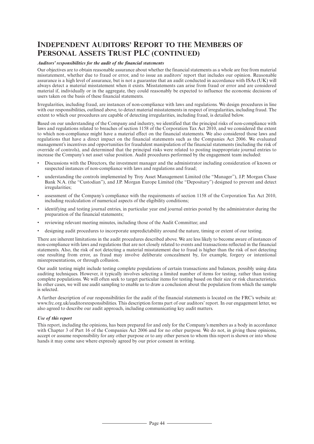### *Auditors' responsibilities for the audit of the financial statements*

Our objectives are to obtain reasonable assurance about whether the financial statements as a whole are free from material misstatement, whether due to fraud or error, and to issue an auditors' report that includes our opinion. Reasonable assurance is a high level of assurance, but is not a guarantee that an audit conducted in accordance with ISAs (UK) will always detect a material misstatement when it exists. Misstatements can arise from fraud or error and are considered material if, individually or in the aggregate, they could reasonably be expected to influence the economic decisions of users taken on the basis of these financial statements.

Irregularities, including fraud, are instances of non-compliance with laws and regulations. We design procedures in line with our responsibilities, outlined above, to detect material misstatements in respect of irregularities, including fraud. The extent to which our procedures are capable of detecting irregularities, including fraud, is detailed below.

Based on our understanding of the Company and industry, we identified that the principal risks of non-compliance with laws and regulations related to breaches of section 1158 of the Corporation Tax Act 2010, and we considered the extent to which non-compliance might have a material effect on the financial statements. We also considered those laws and regulations that have a direct impact on the financial statements such as the Companies Act 2006. We evaluated management's incentives and opportunities for fraudulent manipulation of the financial statements (including the risk of override of controls), and determined that the principal risks were related to posting inappropriate journal entries to increase the Company's net asset value position. Audit procedures performed by the engagement team included:

- Discussions with the Directors, the investment manager and the administrator including consideration of known or suspected instances of non-compliance with laws and regulations and fraud;
- understanding the controls implemented by Troy Asset Management Limited (the "Manager"), J.P. Morgan Chase Bank N.A. (the "Custodian"), and J.P. Morgan Europe Limited (the "Depositary") designed to prevent and detect irregularities;
- assessment of the Company's compliance with the requirements of section 1158 of the Corporation Tax Act 2010, including recalculation of numerical aspects of the eligibility conditions;
- identifying and testing journal entries, in particular year end journal entries posted by the administrator during the preparation of the financial statements;
- reviewing relevant meeting minutes, including those of the Audit Committee; and
- designing audit procedures to incorporate unpredictability around the nature, timing or extent of our testing.

There are inherent limitations in the audit procedures described above. We are less likely to become aware of instances of non-compliance with laws and regulations that are not closely related to events and transactions reflected in the financial statements. Also, the risk of not detecting a material misstatement due to fraud is higher than the risk of not detecting one resulting from error, as fraud may involve deliberate concealment by, for example, forgery or intentional misrepresentations, or through collusion.

Our audit testing might include testing complete populations of certain transactions and balances, possibly using data auditing techniques. However, it typically involves selecting a limited number of items for testing, rather than testing complete populations. We will often seek to target particular items for testing based on their size or risk characteristics. In other cases, we will use audit sampling to enable us to draw a conclusion about the population from which the sample is selected.

A further description of our responsibilities for the audit of the financial statements is located on the FRC's website at: www.frc.org.uk/auditorsresponsibilities. This description forms part of our auditors'report. In our engagement letter, we also agreed to describe our audit approach, including communicating key audit matters.

#### *Use of this report*

This report, including the opinions, has been prepared for and only for the Company's members as a body in accordance with Chapter 3 of Part 16 of the Companies Act 2006 and for no other purpose. We do not, in giving these opinions, accept or assume responsibility for any other purpose or to any other person to whom this report is shown or into whose hands it may come save where expressly agreed by our prior consent in writing.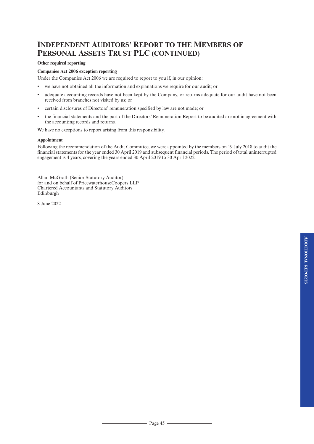### **Other required reporting**

### **Companies Act 2006 exception reporting**

Under the Companies Act 2006 we are required to report to you if, in our opinion:

- we have not obtained all the information and explanations we require for our audit; or
- adequate accounting records have not been kept by the Company, or returns adequate for our audit have not been received from branches not visited by us; or
- certain disclosures of Directors' remuneration specified by law are not made; or
- the financial statements and the part of the Directors' Remuneration Report to be audited are not in agreement with the accounting records and returns.

We have no exceptions to report arising from this responsibility.

#### **Appointment**

Following the recommendation of the Audit Committee, we were appointed by the members on 19 July 2018 to audit the financial statements for the year ended 30 April 2019 and subsequent financial periods. The period of total uninterrupted engagement is 4 years, covering the years ended 30 April 2019 to 30 April 2022.

Allan McGrath (Senior Statutory Auditor) for and on behalf of PricewaterhouseCoopers LLP Chartered Accountants and Statutory Auditors Edinburgh

8 June 2022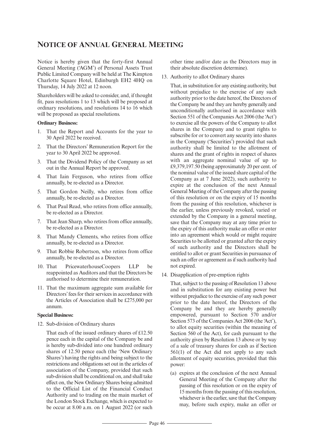# **NOTICE OF ANNUAL GENERAL MEETING**

Notice is hereby given that the forty-first Annual General Meeting ('AGM') of Personal Assets Trust Public Limited Company will be held at The Kimpton Charlotte Square Hotel, Edinburgh EH2 4HQ on Thursday, 14 July 2022 at 12 noon.

Shareholders will be asked to consider, and, if thought fit, pass resolutions 1 to 13 which will be proposed at ordinary resolutions, and resolutions 14 to 16 which will be proposed as special resolutions.

### **Ordinary Business:**

- 1. That the Report and Accounts for the year to 30 April 2022 be received.
- 2. That the Directors' Remuneration Report for the year to 30 April 2022 be approved.
- 3. That the Dividend Policy of the Company as set out in the Annual Report be approved.
- 4. That Iain Ferguson, who retires from office annually, be re-elected as a Director.
- 5. That Gordon Neilly, who retires from office annually, be re-elected as a Director.
- 6. That Paul Read, who retires from office annually, be re-elected as a Director.
- 7. That Jean Sharp, who retires from office annually, be re-elected as a Director.
- 8. That Mandy Clements, who retires from office annually, be re-elected as a Director.
- 9. That Robbie Robertson, who retires from office annually, be re-elected as a Director.
- 10. That PricewaterhouseCoopers LLP be reappointed as Auditors and that the Directors be authorised to determine their remuneration.
- 11. That the maximum aggregate sum available for Directors' fees for their services in accordance with the Articles of Association shall be £275,000 per annum.

### **Special Business:**

12. Sub-division of Ordinary shares

That each of the issued ordinary shares of £12.50 pence each in the capital of the Company be and is hereby sub-divided into one hundred ordinary shares of 12.50 pence each (the 'New Ordinary Shares') having the rights and being subject to the restrictions and obligations set out in the articles of association of the Company, provided that such sub-division shall be conditional on, and shall take effect on, the New Ordinary Shares being admitted to the Official List of the Financial Conduct Authority and to trading on the main market of the London Stock Exchange, which is expected to be occur at 8.00 a.m. on 1 August 2022 (or such

other time and/or date as the Directors may in their absolute discretion determine).

13. Authority to allot Ordinary shares

That, in substitution for any existing authority, but without prejudice to the exercise of any such authority prior to the date hereof, the Directors of the Company be and they are hereby generally and unconditionally authorised in accordance with Section 551 of the Companies Act 2006 (the 'Act') to exercise all the powers of the Company to allot shares in the Company and to grant rights to subscribe for or to convert any security into shares in the Company ('Securities') provided that such authority shall be limited to the allotment of shares and the grant of rights in respect of shares with an aggregate nominal value of up to £9,379,197.50 (being approximately 20 per cent. of the nominal value of the issued share capital of the Company as at 7 June 2022), such authority to expire at the conclusion of the next Annual General Meeting of the Company after the passing of this resolution or on the expiry of 15 months from the passing of this resolution, whichever is the earlier, unless previously revoked, varied or extended by the Company in a general meeting, save that the Company may at any time prior to the expiry of this authority make an offer or enter into an agreement which would or might require Securities to be allotted or granted after the expiry of such authority and the Directors shall be entitled to allot or grant Securities in pursuance of such an offer or agreement as if such authority had not expired.

14. Disapplication of pre-emption rights

That, subject to the passing of Resolution 13 above and in substitution for any existing power but without prejudice to the exercise of any such power prior to the date hereof, the Directors of the Company be and they are hereby generally empowered, pursuant to Section 570 and/or Section 573 of the Companies Act 2006 (the 'Act'), to allot equity securities (within the meaning of Section 560 of the Act), for cash pursuant to the authority given by Resolution 13 above or by way of a sale of treasury shares for cash as if Section 561(1) of the Act did not apply to any such allotment of equity securities, provided that this power:

(a) expires at the conclusion of the next Annual General Meeting of the Company after the passing of this resolution or on the expiry of 15 months from the passing of this resolution, whichever is the earlier, save that the Company may, before such expiry, make an offer or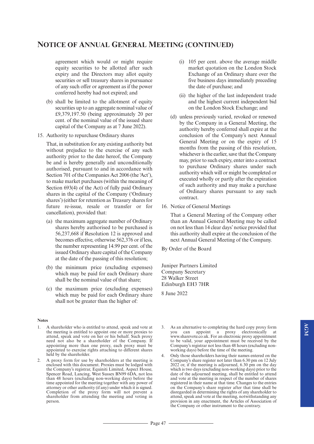# **NOTICE OF ANNUAL GENERAL MEETING (CONTINUED)**

agreement which would or might require equity securities to be allotted after such expiry and the Directors may allot equity securities or sell treasury shares in pursuance of any such offer or agreement as if the power conferred hereby had not expired; and

- (b) shall be limited to the allotment of equity securities up to an aggregate nominal value of £9,379,197.50 (being approximately 20 per cent. of the nominal value of the issued share capital of the Company as at 7 June 2022).
- 15. Authority to repurchase Ordinary shares

That, in substitution for any existing authority but without prejudice to the exercise of any such authority prior to the date hereof, the Company be and is hereby generally and unconditionally authorised, pursuant to and in accordance with Section 701 of the Companies Act 2006 (the 'Act'), to make market purchases (within the meaning of Section 693(4) of the Act) of fully paid Ordinary shares in the capital of the Company ('Ordinary shares') (either for retention as Treasury shares for future re-issue, resale or transfer or for cancellation), provided that:

- (a) the maximum aggregate number of Ordinary shares hereby authorised to be purchased is 56,237,668 if Resolution 12 is approved and becomes effective, otherwise 562,376 or if less. the number representing 14.99 per cent. of the issued Ordinary share capital of the Company at the date of the passing of this resolution;
- (b) the minimum price (excluding expenses) which may be paid for each Ordinary share shall be the nominal value of that share;
- (c) the maximum price (excluding expenses) which may be paid for each Ordinary share shall not be greater than the higher of:

#### **Notes**

- 1. A shareholder who is entitled to attend, speak and vote at the meeting is entitled to appoint one or more proxies to attend, speak and vote on her or his behalf. Such proxy need not also be a shareholder of the Company. If appointing more than one proxy, each proxy must be appointed to exercise rights attaching to different shares held by the shareholder.
- 2. A proxy form for use by shareholders at the meeting is enclosed with this document. Proxies must be lodged with the Company's registrar, Equiniti Limited, Aspect House, Spencer Road, Lancing, West Sussex BN99 6DA, not less than 48 hours (excluding non-working days) before the time appointed for the meeting together with any power of attorney or other authority (if any) under which it is signed. Completion of the proxy form will not prevent a shareholder from attending the meeting and voting in person.
- (i) 105 per cent. above the average middle market quotation on the London Stock Exchange of an Ordinary share over the five business days immediately preceding the date of purchase; and
- (ii) the higher of the last independent trade and the highest current independent bid on the London Stock Exchange; and
- (d) unless previously varied, revoked or renewed by the Company in a General Meeting, the authority hereby conferred shall expire at the conclusion of the Company's next Annual General Meeting or on the expiry of 15 months from the passing of this resolution, whichever is the earlier, save that the Company may, prior to such expiry, enter into a contract to purchase Ordinary shares under such authority which will or might be completed or executed wholly or partly after the expiration of such authority and may make a purchase of Ordinary shares pursuant to any such contract.
- 16. Notice of General Meetings

That a General Meeting of the Company other than an Annual General Meeting may be called on not lessthan 14 clear days'notice provided that this authority shall expire at the conclusion of the next Annual General Meeting of the Company.

By Order of the Board

Juniper Partners Limited Company Secretary 28 Walker Street Edinburgh EH3 7HR

8 June 2022

3. As an alternative to completing the hard copy proxy form you can appoint a proxy electronically at www.sharevote.co.uk. For an electronic proxy appointment to be valid, your appointment must be received by the Company's registrar not less than 48 hours (excluding nonworking days) before the time of the meeting.

4. Only those shareholders having their names entered on the Company's share register not later than 6.30 pm on 12 July 2022 or, if the meeting is adjourned, 6.30 pm on the day which is two days (excluding non-working days) prior to the date of the adjourned meeting, shall be entitled to attend and vote at the meeting in respect of the number of shares registered in their name at that time. Changes to the entries on the Company's share register after that time shall be disregarded in determining the rights of any shareholder to attend, speak and vote at the meeting, notwithstanding any provision in any enactment, the Articles of Association of the Company or other instrument to the contrary.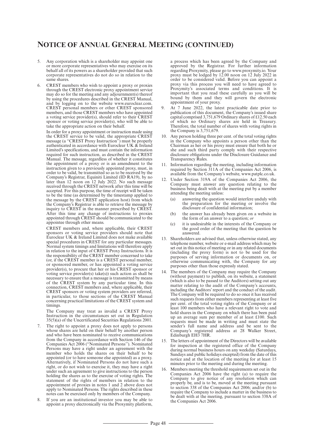# **NOTICE OF ANNUAL GENERAL MEETING (CONTINUED)**

- 5. Any corporation which is a shareholder may appoint one or more corporate representatives who may exercise on its behalf all of its powers as a shareholder provided that such corporate representatives do not do so in relation to the same shares.
- 6. CREST members who wish to appoint a proxy or proxies through the CREST electronic proxy appointment service may do so for the meeting and any adjournment(s) thereof by using the procedures described in the CREST Manual, and by logging on to the website www.euroclear.com. CREST personal members or other CREST sponsored members, and those CREST members who have appointed a voting service provider(s), should refer to their CREST sponsor or voting service provider(s), who will be able to take the appropriate action on their behalf.

In order for a proxy appointment or instruction made using the CREST service to be valid, the appropriate CREST message (a ''CREST Proxy Instruction'') must be properly authenticated in accordance with Euroclear UK  $\&$  Ireland Limited's specifications, and must contain the information required for such instruction, as described in the CREST Manual. The message, regardless of whether it constitutes the appointment of a proxy or is an amendment to the instruction given to a previously appointed proxy, must, in order to be valid, be transmitted so as to be received by the Company's Registrar, Equiniti Limited (ID RA19), by no later than 12 noon on 12 July 2022. No such message received through the CREST network after this time will be accepted. For this purpose, the time of receipt will be taken to be the time (as determined by the timestamp applied to the message by the CREST application host) from which the Company's Registrar is able to retrieve the message by inquiry to CREST in the manner prescribed by CREST. After this time any change of instructions to proxies appointed through CREST should be communicated to the appointee through other means.

CREST members and, where applicable, their CREST sponsors or voting service providers should note that Euroclear UK & Ireland Limited does not make available special procedures in CREST for any particular messages. Normal system timings and limitations will therefore apply in relation to the input of CREST Proxy Instructions. It is the responsibility of the CREST member concerned to take (or, if the CREST member is a CREST personal member, or sponsored member, or has appointed a voting service provider(s), to procure that her or his CREST sponsor or voting service provider(s) take(s)) such action as shall be necessary to ensure that a message is transmitted by means of the CREST system by any particular time. In this connection, CREST members and, where applicable, their CREST sponsors or voting system providers are referred, in particular, to those sections of the CREST Manual concerning practical limitations of the CREST system and timings.

The Company may treat as invalid a CREST Proxy Instruction in the circumstances set out in Regulation 35(5)(a) of the Uncertificated Securities Regulations 2001.

- 7. The right to appoint a proxy does not apply to persons whose shares are held on their behalf by another person and who have been nominated to receive communications from the Company in accordance with Section 146 of the Companies Act 2006 (''Nominated Persons''). Nominated Persons may have a right under an agreement with the member who holds the shares on their behalf to be appointed (or to have someone else appointed) as a proxy. Alternatively, if Nominated Persons do not have such a right, or do not wish to exercise it, they may have a right under such an agreement to give instructions to the person holding the shares as to the exercise of voting rights. The statement of the rights of members in relation to the appointment of proxies in notes 1 and 2 above does not apply to Nominated Persons. The rights described in these notes can be exercised only by members of the Company.
- 8. If you are an institutional investor you may be able to appoint a proxy electronically via the Proxymity platform,

a process which has been agreed by the Company and approved by the Registrar. For further information regarding Proxymity, please go to www.proxymity.io. Your proxy must be lodged by 12.00 noon on 12 July 2022 in order to be considered valid. Before you can appoint a proxy via this process you will need to have agreed to Proxymity's associated terms and conditions. It is important that you read these carefully as you will be bound by them and they will govern the electronic appointment of your proxy.

- 9. At 7 June 2022, the latest practicable date prior to publication of this document, the Company's issued share capital comprised 3,751,679 Ordinary shares of £12.50 each of which no Ordinary shares are held in Treasury. Therefore, the total number of shares with voting rights in the Company is 3,751,679.
- 10. Any person holding three per cent. of the total voting rights in the Company who appoints a person other than the Chairman as her or his proxy must ensure that both he or she and such third party comply with their respective disclosure obligations under the Disclosure Guidance and Transparency Rules.
- 11. Information regarding the meeting, including information required by Section 311A of the Companies Act 2006, is available from the Company's website, www.patplc.co.uk.
- 12. Under Section 319A of the Companies Act 2006, the Company must answer any question relating to the business being dealt with at the meeting put by a member attending the meeting unless:
	- (a) answering the question would interfere unduly with the preparation for the meeting or involve the disclosure of confidential information;
	- (b) the answer has already been given on a website in the form of an answer to a question; *or*
	- (c) it is undesirable in the interests of the Company or the good order of the meeting that the question be answered.
- 13. Shareholders are advised that, unless otherwise stated, any telephone number, website or e-mail address which may be set out in this notice of meeting or in any related documents (including the proxy form) is not to be used for the purposes of serving information or documents on, or otherwise communicating with, the Company for any purposes other than those expressly stated.
- 14. The members of the Company may require the Company (without payment) to publish, on its website, a statement (which is also to be passed to the Auditors) setting out any matter relating to the audit of the Company's accounts, including the Auditors'report and the conduct of the audit. The Company will be required to do so once it has received such requests from either members representing at least five per cent. of the total voting rights of the Company or at least 100 members who have a relevant right to vote and hold shares in the Company on which there has been paid up an average sum per member of at least £100. Such requests must be made in writing and must state the sender's full name and address and be sent to the Company's registered address at 28 Walker Street, Edinburgh EH3 7HR.
- 15. The letters of appointment of the Directors will be available for inspection at the registered office of the Company during normal business hours on any weekday (Saturdays, Sundays and public holidays excepted) from the date of this notice and at the location of the meeting for at least 15 minutes prior to the meeting and during the meeting.
- 16. Members meeting the threshold requirements set out in the Companies Act 2006 have the right (a) to require the Company to give notice of any resolution which can properly be, and is to be, moved at the meeting pursuant to section 338 of the Companies Act 2006; and/or (b) to require the Company to include a matter in the business to be dealt with at the meeting, pursuant to section 338A of the Companies Act 2006.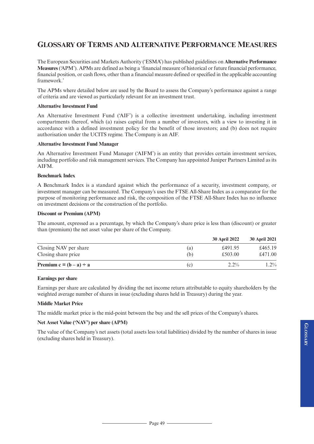# **GLOSSARY OF TERMS AND ALTERNATIVE PERFORMANCE MEASURES**

The European Securities and Markets Authority ('ESMA') has published guidelines on **Alternative Performance Measures**('APM'). APMs are defined as being a 'financial measure of historical orfuture financial performance, financial position, or cash flows, other than a financial measure defined or specified in the applicable accounting framework.'

The APMs where detailed below are used by the Board to assess the Company's performance against a range of criteria and are viewed as particularly relevant for an investment trust.

### **Alternative Investment Fund**

An Alternative Investment Fund ('AIF') is a collective investment undertaking, including investment compartments thereof, which (a) raises capital from a number of investors, with a view to investing it in accordance with a defined investment policy for the benefit of those investors; and (b) does not require authorisation under the UCITS regime. The Company is an AIF.

### **Alternative Investment Fund Manager**

An Alternative Investment Fund Manager ('AIFM') is an entity that provides certain investment services, including portfolio and risk management services. The Company has appointed Juniper Partners Limited as its AIFM.

### **Benchmark Index**

A Benchmark Index is a standard against which the performance of a security, investment company, or investment manager can be measured. The Company's uses the FTSE All-Share Index as a comparator for the purpose of monitoring performance and risk, the composition of the FTSE All-Share Index has no influence on investment decisions or the construction of the portfolio.

### **Discount or Premium (APM)**

The amount, expressed as a percentage, by which the Company's share price is less than (discount) or greater than (premium) the net asset value per share of the Company.

|                              |     | <b>30 April 2022</b> | <b>30 April 2021</b> |
|------------------------------|-----|----------------------|----------------------|
| Closing NAV per share        | (a) | £491.95              | £465.19              |
| Closing share price          | (b) | £503.00              | £471.00              |
| Premium c = $(b - a) \div a$ | (c) | $2.2\%$              | $1.2\%$              |

### **Earnings per share**

Earnings per share are calculated by dividing the net income return attributable to equity shareholders by the weighted average number of shares in issue (excluding shares held in Treasury) during the year.

### **Middle Market Price**

The middle market price is the mid-point between the buy and the sell prices of the Company's shares.

# **Net Asset Value ('NAV') per share (APM)**

The value of the Company's net assets (total assets less total liabilities) divided by the number ofshares in issue (excluding shares held in Treasury).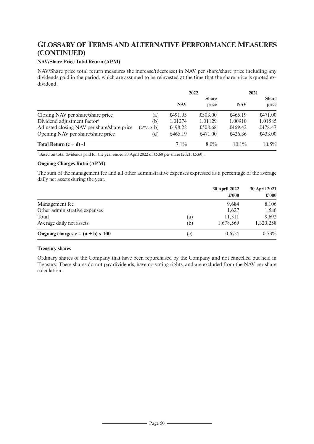# **GLOSSARY OF TERMS AND ALTERNATIVE PERFORMANCE MEASURES (CONTINUED)**

# **NAV/Share Price Total Return (APM)**

NAV/Share price total return measures the increase/(decrease) in NAV per share/share price including any dividends paid in the period, which are assumed to be reinvested at the time that the share price is quoted exdividend.

|                                            |                  | 2022       |              | 2021       |              |
|--------------------------------------------|------------------|------------|--------------|------------|--------------|
|                                            |                  |            | <b>Share</b> |            | <b>Share</b> |
|                                            |                  | <b>NAV</b> | price        | <b>NAV</b> | price        |
| Closing NAV per share/share price          | (a)              | £491.95    | £503.00      | £465.19    | £471.00      |
| Dividend adjustment factor <sup>†</sup>    | (b)              | 1.01274    | 1.01129      | 1.00910    | 1.01585      |
| Adjusted closing NAV per share/share price | $(c=a \times b)$ | £498.22    | £508.68      | £469.42    | £478.47      |
| Opening NAV per share/share price          | (d)              | £465.19    | £471.00      | £426.36    | £433.00      |
| Total Return $(c \div d) -1$               |                  | $7.1\%$    | $8.0\%$      | $10.1\%$   | $10.5\%$     |

†Based on total dividends paid for the year ended 30 April 2022 of £5.60 per share (2021: £5.60).

### **Ongoing Charges Ratio (APM)**

The sum of the management fee and all other administrative expenses expressed as a percentage of the average daily net assets during the year.

|                                             |     | <b>30 April 2022</b><br>$\pounds 000$ | <b>30 April 2021</b><br>£'000 |
|---------------------------------------------|-----|---------------------------------------|-------------------------------|
| Management fee                              |     | 9,684                                 | 8,106                         |
| Other administrative expenses               |     | 1,627                                 | 1,586                         |
| Total                                       | (a) | 11,311                                | 9,692                         |
| Average daily net assets                    | (b) | 1,678,569                             | 1,320,258                     |
| Ongoing charges $c = (a \div b) \times 100$ | (c) | 0.67%                                 | 0.73%                         |

# **Treasury shares**

Ordinary shares of the Company that have been repurchased by the Company and not cancelled but held in Treasury. These shares do not pay dividends, have no voting rights, and are excluded from the NAV per share calculation.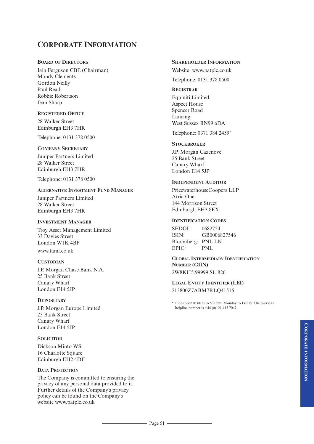# **CORPORATE INFORMATION**

### **BOARD OF DIRECTORS**

Iain Ferguson CBE (Chairman) Mandy Clements Gordon Neilly Paul Read Robbie Robertson Jean Sharp

# **REGISTERED OFFICE**

28 Walker Street Edinburgh EH3 7HR

Telephone: 0131 378 0500

### **COMPANY SECRETARY**

Juniper Partners Limited 28 Walker Street Edinburgh EH3 7HR

Telephone: 0131 378 0500

### **ALTERNATIVE INVESTMENT FUND MANAGER**

Juniper Partners Limited 28 Walker Street Edinburgh EH3 7HR

### **INVESTMENT MANAGER**

Troy Asset Management Limited 33 Davies Street London W1K 4BP www.taml.co.uk

### **CUSTODIAN**

J.P. Morgan Chase Bank N.A. 25 Bank Street Canary Wharf London E14 5JP

### **DEPOSITARY**

J.P. Morgan Europe Limited 25 Bank Street Canary Wharf London E14 5JP

### **SOLICITOR**

Dickson Minto WS 16 Charlotte Square Edinburgh EH2 4DF

### **DATA PROTECTION**

The Company is committed to ensuring the privacy of any personal data provided to it. Further details of the Company's privacy policy can be found on the Company's website www.patplc.co.uk

### **SHAREHOLDER INFORMATION**

Website: www.patplc.co.uk Telephone: 0131 378 0500

### **REGISTRAR**

Equiniti Limited Aspect House Spencer Road Lancing West Sussex BN99 6DA

Telephone: 0371 384 2459\*

### **STOCKBROKER**

J.P. Morgan Cazenove 25 Bank Street Canary Wharf London E14 5JP

### **INDEPENDENT AUDITOR**

PricewaterhouseCoopers LLP Atria One 144 Morrison Street Edinburgh EH3 8EX

### **IDENTIFICATION CODES**

SEDOL: 0682754 ISIN: GB0006827546 Bloomberg: PNL LN EPIC: PNL

### **GLOBAL INTERMEDIARY IDENTIFICATION NUMBER (GIIN)** 2W8KH5.99999.SL.826

**LEGAL ENTITY IDENTIFIER (LEI)** 213800Z7ABM7RLQ41516

\* Lines open 8:30am to 5:30pm, Monday to Friday. The overseas helpline number is +44 (0)121 415 7047.